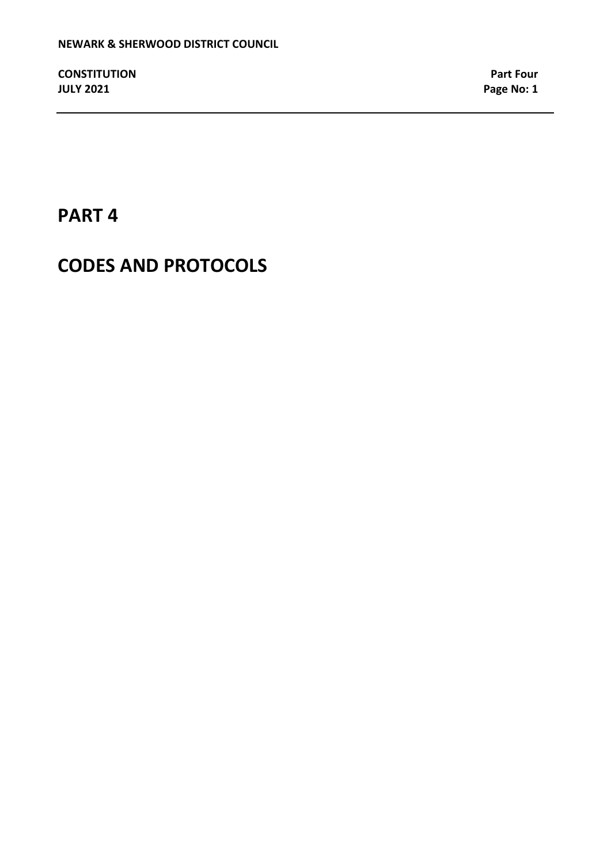# **PART 4**

# **CODES AND PROTOCOLS**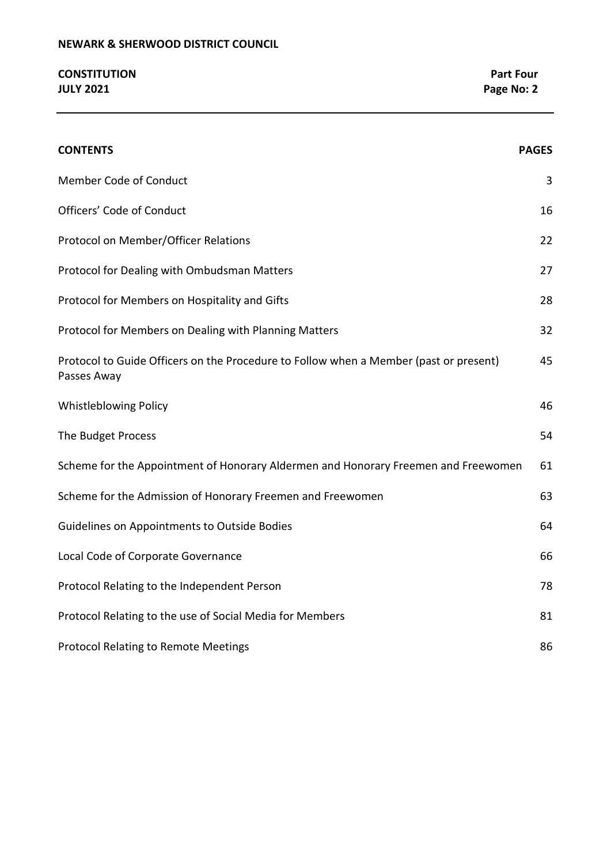# **NEWARK & SHERWOOD DISTRICT COUNCIL**

# **CONSTITUTION Part Four JULY 2021 Page No: 2**

| <b>CONTENTS</b>                                                                                      | <b>PAGES</b> |
|------------------------------------------------------------------------------------------------------|--------------|
| <b>Member Code of Conduct</b>                                                                        | 3            |
| Officers' Code of Conduct                                                                            | 16           |
| Protocol on Member/Officer Relations                                                                 | 22           |
| Protocol for Dealing with Ombudsman Matters                                                          | 27           |
| Protocol for Members on Hospitality and Gifts                                                        | 28           |
| Protocol for Members on Dealing with Planning Matters                                                | 32           |
| Protocol to Guide Officers on the Procedure to Follow when a Member (past or present)<br>Passes Away | 45           |
| <b>Whistleblowing Policy</b>                                                                         | 46           |
| The Budget Process                                                                                   | 54           |
| Scheme for the Appointment of Honorary Aldermen and Honorary Freemen and Freewomen                   | 61           |
| Scheme for the Admission of Honorary Freemen and Freewomen                                           | 63           |
| Guidelines on Appointments to Outside Bodies                                                         | 64           |
| Local Code of Corporate Governance                                                                   | 66           |
| Protocol Relating to the Independent Person                                                          | 78           |
| Protocol Relating to the use of Social Media for Members                                             | 81           |
| <b>Protocol Relating to Remote Meetings</b>                                                          | 86           |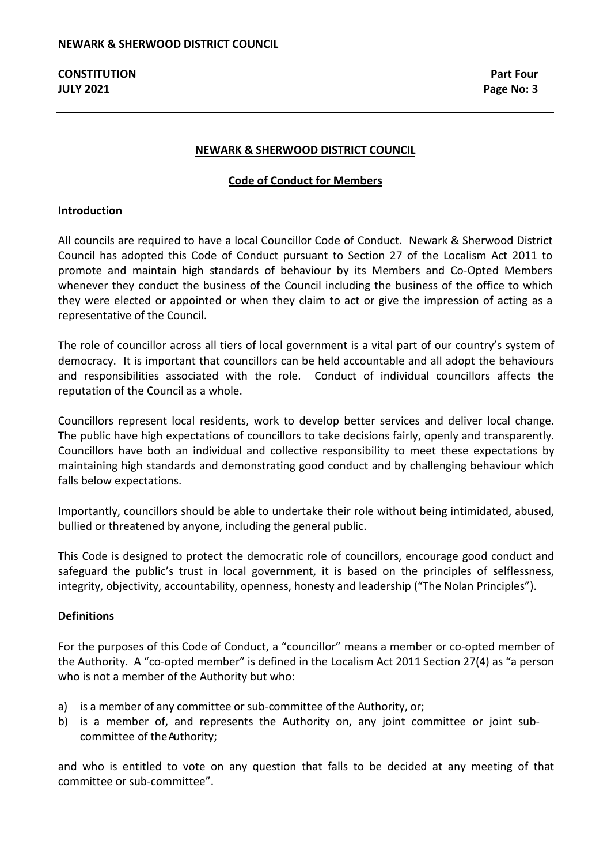#### **NEWARK & SHERWOOD DISTRICT COUNCIL**

#### **Code of Conduct for Members**

#### **Introduction**

All councils are required to have a local Councillor Code of Conduct. Newark & Sherwood District Council has adopted this Code of Conduct pursuant to Section 27 of the Localism Act 2011 to promote and maintain high standards of behaviour by its Members and Co-Opted Members whenever they conduct the business of the Council including the business of the office to which they were elected or appointed or when they claim to act or give the impression of acting as a representative of the Council.

The role of councillor across all tiers of local government is a vital part of our country's system of democracy. It is important that councillors can be held accountable and all adopt the behaviours and responsibilities associated with the role. Conduct of individual councillors affects the reputation of the Council as a whole.

Councillors represent local residents, work to develop better services and deliver local change. The public have high expectations of councillors to take decisions fairly, openly and transparently. Councillors have both an individual and collective responsibility to meet these expectations by maintaining high standards and demonstrating good conduct and by challenging behaviour which falls below expectations.

Importantly, councillors should be able to undertake their role without being intimidated, abused, bullied or threatened by anyone, including the general public.

This Code is designed to protect the democratic role of councillors, encourage good conduct and safeguard the public's trust in local government, it is based on the principles of selflessness, integrity, objectivity, accountability, openness, honesty and leadership ("The Nolan Principles").

#### **Definitions**

For the purposes of this Code of Conduct, a "councillor" means a member or co-opted member of the Authority. A "co-opted member" is defined in the Localism Act 2011 Section 27(4) as "a person who is not a member of the Authority but who:

- a) is a member of any committee or sub-committee of the Authority, or;
- b) is a member of, and represents the Authority on, any joint committee or joint subcommittee of theAuthority;

and who is entitled to vote on any question that falls to be decided at any meeting of that committee or sub-committee".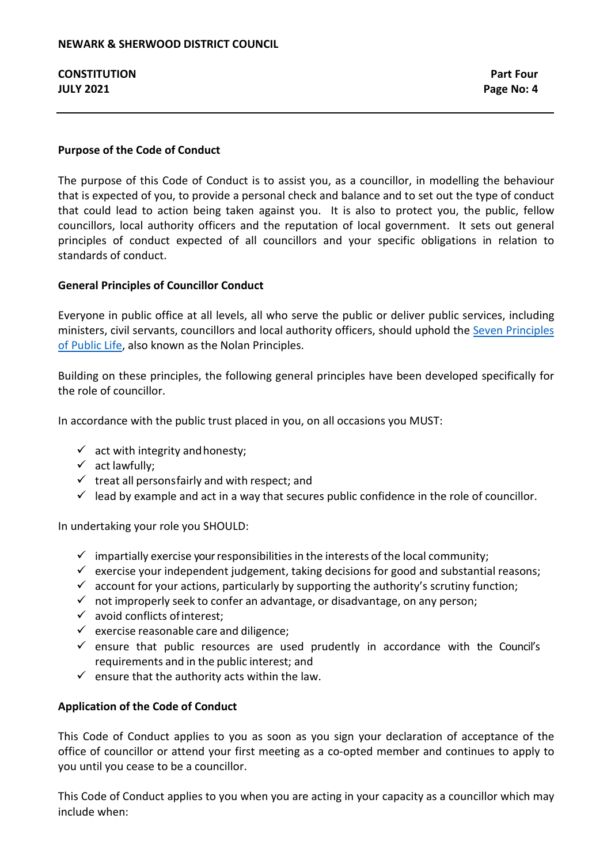# **Purpose of the Code of Conduct**

The purpose of this Code of Conduct is to assist you, as a councillor, in modelling the behaviour that is expected of you, to provide a personal check and balance and to set out the type of conduct that could lead to action being taken against you. It is also to protect you, the public, fellow councillors, local authority officers and the reputation of local government. It sets out general principles of conduct expected of all councillors and your specific obligations in relation to standards of conduct.

# **General Principles of Councillor Conduct**

Everyone in public office at all levels, all who serve the public or deliver public services, including ministers, civil servants, councillors and local authority officers, should uphold the [Seven Principles](https://www.gov.uk/government/publications/the-7-principles-of-public-life/the-7-principles-of-public-life--2)  [of Public Life,](https://www.gov.uk/government/publications/the-7-principles-of-public-life/the-7-principles-of-public-life--2) also known as the Nolan Principles.

Building on these principles, the following general principles have been developed specifically for the role of councillor.

In accordance with the public trust placed in you, on all occasions you MUST:

- $\checkmark$  act with integrity and honesty;
- $\checkmark$  act lawfully;
- $\checkmark$  treat all persons fairly and with respect: and
- $\checkmark$  lead by example and act in a way that secures public confidence in the role of councillor.

In undertaking your role you SHOULD:

- $\checkmark$  impartially exercise your responsibilities in the interests of the local community;
- $\checkmark$  exercise your independent judgement, taking decisions for good and substantial reasons;
- $\checkmark$  account for your actions, particularly by supporting the authority's scrutiny function;
- $\checkmark$  not improperly seek to confer an advantage, or disadvantage, on any person;
- $\checkmark$  avoid conflicts of interest;
- $\checkmark$  exercise reasonable care and diligence;
- $\checkmark$  ensure that public resources are used prudently in accordance with the Council's requirements and in the public interest; and
- $\checkmark$  ensure that the authority acts within the law.

# **Application of the Code of Conduct**

This Code of Conduct applies to you as soon as you sign your declaration of acceptance of the office of councillor or attend your first meeting as a co-opted member and continues to apply to you until you cease to be a councillor.

This Code of Conduct applies to you when you are acting in your capacity as a councillor which may include when: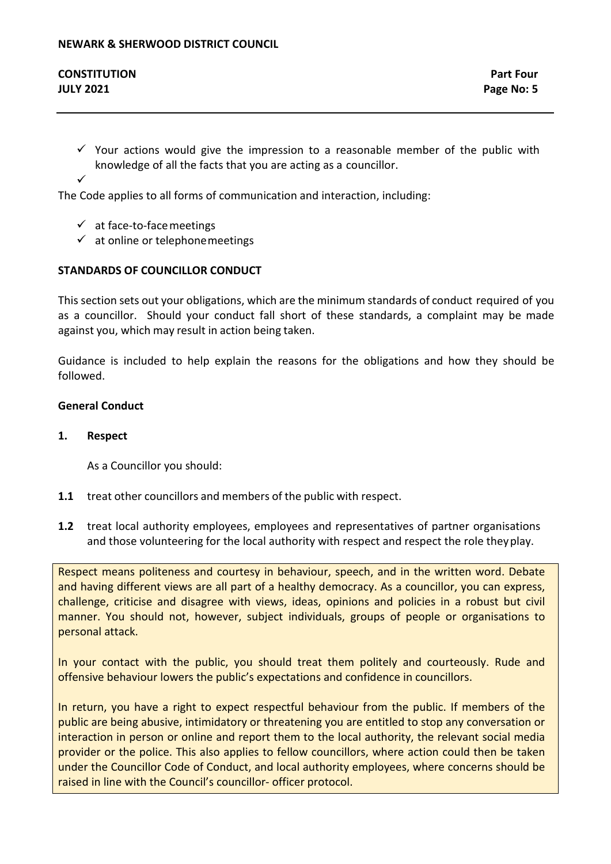- $\checkmark$  Your actions would give the impression to a reasonable member of the public with knowledge of all the facts that you are acting as a councillor.
- $\checkmark$

The Code applies to all forms of communication and interaction, including:

- $\checkmark$  at face-to-face meetings
- $\checkmark$  at online or telephone meetings

# **STANDARDS OF COUNCILLOR CONDUCT**

This section sets out your obligations, which are the minimum standards of conduct required of you as a councillor. Should your conduct fall short of these standards, a complaint may be made against you, which may result in action being taken.

Guidance is included to help explain the reasons for the obligations and how they should be followed.

# **General Conduct**

# **1. Respect**

As a Councillor you should:

- **1.1** treat other councillors and members of the public with respect.
- **1.2** treat local authority employees, employees and representatives of partner organisations and those volunteering for the local authority with respect and respect the role theyplay.

Respect means politeness and courtesy in behaviour, speech, and in the written word. Debate and having different views are all part of a healthy democracy. As a councillor, you can express, challenge, criticise and disagree with views, ideas, opinions and policies in a robust but civil manner. You should not, however, subject individuals, groups of people or organisations to personal attack.

In your contact with the public, you should treat them politely and courteously. Rude and offensive behaviour lowers the public's expectations and confidence in councillors.

In return, you have a right to expect respectful behaviour from the public. If members of the public are being abusive, intimidatory or threatening you are entitled to stop any conversation or interaction in person or online and report them to the local authority, the relevant social media provider or the police. This also applies to fellow councillors, where action could then be taken under the Councillor Code of Conduct, and local authority employees, where concerns should be raised in line with the Council's councillor- officer protocol.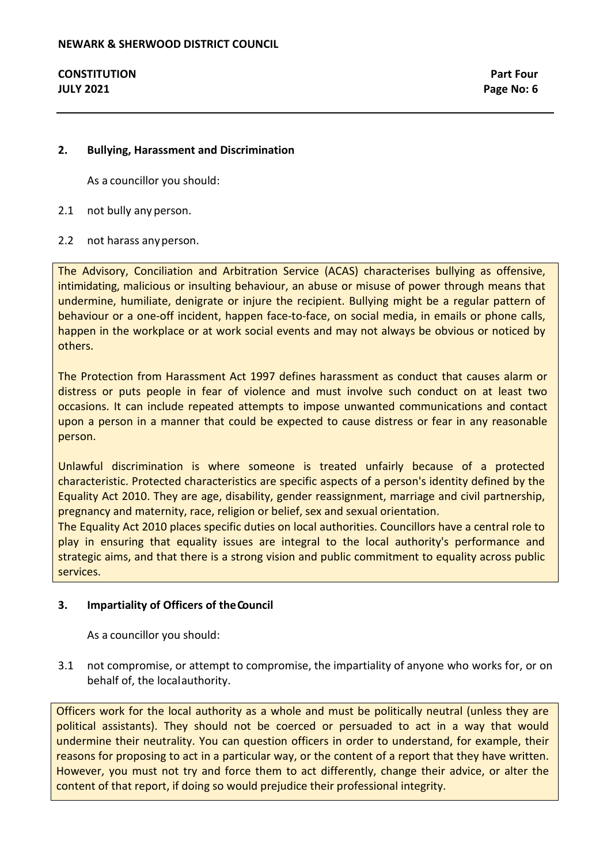# **2. Bullying, Harassment and Discrimination**

As a councillor you should:

- 2.1 not bully any person.
- 2.2 not harass anyperson.

The Advisory, Conciliation and Arbitration Service (ACAS) characterises bullying as offensive, intimidating, malicious or insulting behaviour, an abuse or misuse of power through means that undermine, humiliate, denigrate or injure the recipient. Bullying might be a regular pattern of behaviour or a one-off incident, happen face-to-face, on social media, in emails or phone calls, happen in the workplace or at work social events and may not always be obvious or noticed by others.

The Protection from Harassment Act 1997 defines harassment as conduct that causes alarm or distress or puts people in fear of violence and must involve such conduct on at least two occasions. It can include repeated attempts to impose unwanted communications and contact upon a person in a manner that could be expected to cause distress or fear in any reasonable person.

Unlawful discrimination is where someone is treated unfairly because of a protected characteristic. Protected characteristics are specific aspects of a person's identity defined by the Equality Act 2010. They are age, disability, gender reassignment, marriage and civil partnership, pregnancy and maternity, race, religion or belief, sex and sexual orientation.

The Equality Act 2010 places specific duties on local authorities. Councillors have a central role to play in ensuring that equality issues are integral to the local authority's performance and strategic aims, and that there is a strong vision and public commitment to equality across public services.

# **3. Impartiality of Officers of theCouncil**

As a councillor you should:

3.1 not compromise, or attempt to compromise, the impartiality of anyone who works for, or on behalf of, the localauthority.

Officers work for the local authority as a whole and must be politically neutral (unless they are political assistants). They should not be coerced or persuaded to act in a way that would undermine their neutrality. You can question officers in order to understand, for example, their reasons for proposing to act in a particular way, or the content of a report that they have written. However, you must not try and force them to act differently, change their advice, or alter the content of that report, if doing so would prejudice their professional integrity.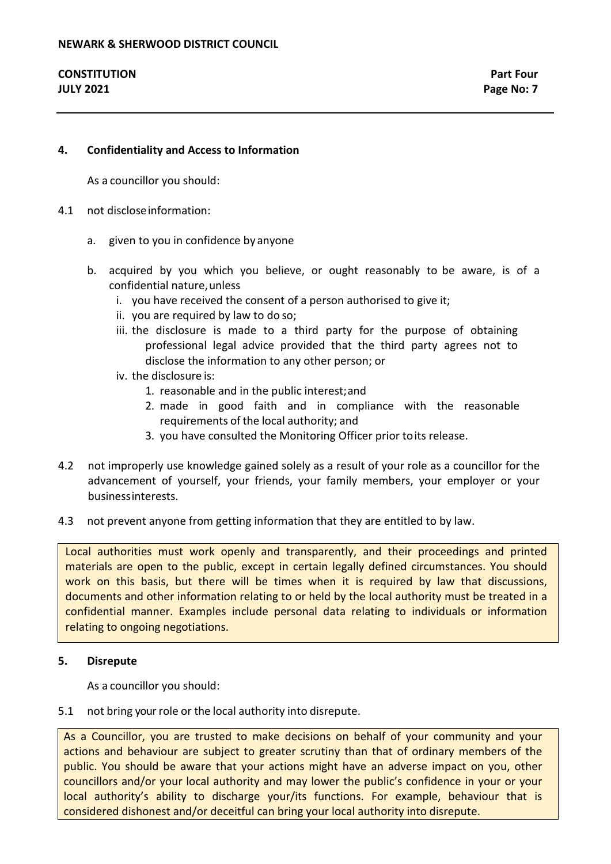### **4. Confidentiality and Access to Information**

As a councillor you should:

- 4.1 not discloseinformation:
	- a. given to you in confidence by anyone
	- b. acquired by you which you believe, or ought reasonably to be aware, is of a confidential nature,unless
		- i. you have received the consent of a person authorised to give it;
		- ii. you are required by law to do so;
		- iii. the disclosure is made to a third party for the purpose of obtaining professional legal advice provided that the third party agrees not to disclose the information to any other person; or
		- iv. the disclosure is:
			- 1. reasonable and in the public interest;and
			- 2. made in good faith and in compliance with the reasonable requirements of the local authority; and
			- 3. you have consulted the Monitoring Officer prior toits release.
- 4.2 not improperly use knowledge gained solely as a result of your role as a councillor for the advancement of yourself, your friends, your family members, your employer or your businessinterests.
- 4.3 not prevent anyone from getting information that they are entitled to by law.

Local authorities must work openly and transparently, and their proceedings and printed materials are open to the public, except in certain legally defined circumstances. You should work on this basis, but there will be times when it is required by law that discussions, documents and other information relating to or held by the local authority must be treated in a confidential manner. Examples include personal data relating to individuals or information relating to ongoing negotiations.

#### **5. Disrepute**

As a councillor you should:

#### 5.1 not bring your role or the local authority into disrepute.

As a Councillor, you are trusted to make decisions on behalf of your community and your actions and behaviour are subject to greater scrutiny than that of ordinary members of the public. You should be aware that your actions might have an adverse impact on you, other councillors and/or your local authority and may lower the public's confidence in your or your local authority's ability to discharge your/its functions. For example, behaviour that is considered dishonest and/or deceitful can bring your local authority into disrepute.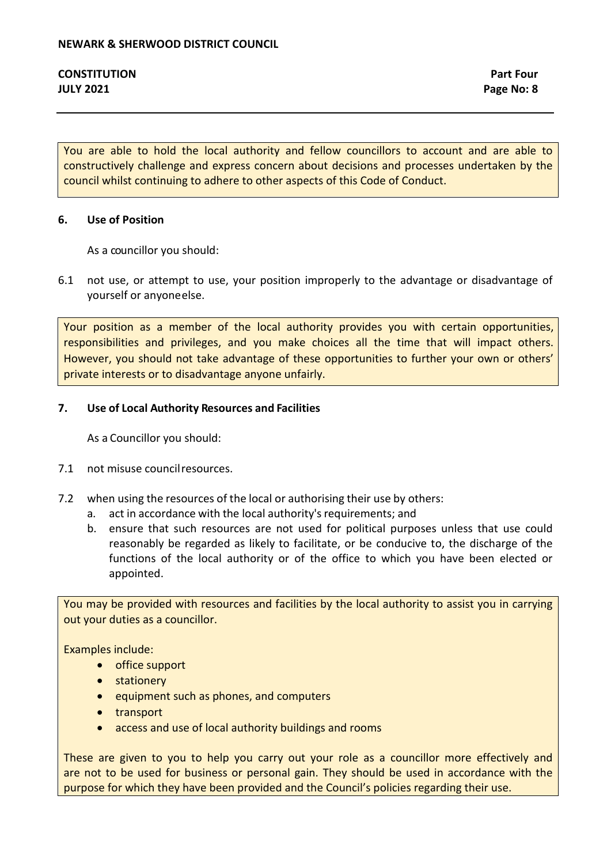You are able to hold the local authority and fellow councillors to account and are able to constructively challenge and express concern about decisions and processes undertaken by the council whilst continuing to adhere to other aspects of this Code of Conduct.

# **6. Use of Position**

As a councillor you should:

6.1 not use, or attempt to use, your position improperly to the advantage or disadvantage of yourself or anyoneelse.

Your position as a member of the local authority provides you with certain opportunities, responsibilities and privileges, and you make choices all the time that will impact others. However, you should not take advantage of these opportunities to further your own or others' private interests or to disadvantage anyone unfairly.

# **7. Use of Local Authority Resources and Facilities**

As a Councillor you should:

- 7.1 not misuse councilresources.
- 7.2 when using the resources of the local or authorising their use by others:
	- a. act in accordance with the local authority's requirements; and
	- b. ensure that such resources are not used for political purposes unless that use could reasonably be regarded as likely to facilitate, or be conducive to, the discharge of the functions of the local authority or of the office to which you have been elected or appointed.

You may be provided with resources and facilities by the local authority to assist you in carrying out your duties as a councillor.

Examples include:

- office support
- stationery
- equipment such as phones, and computers
- transport
- access and use of local authority buildings and rooms

These are given to you to help you carry out your role as a councillor more effectively and are not to be used for business or personal gain. They should be used in accordance with the purpose for which they have been provided and the Council's policies regarding their use.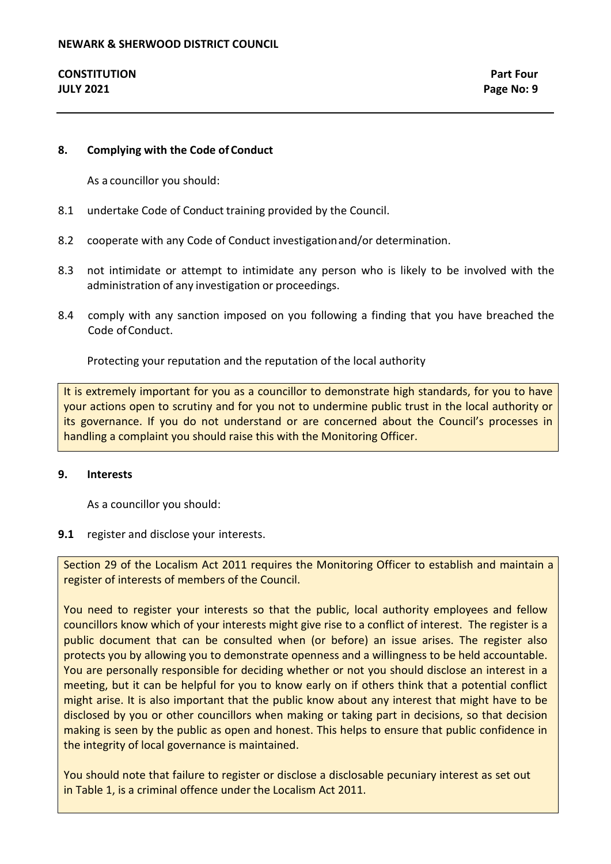# **8. Complying with the Code of Conduct**

As a councillor you should:

- 8.1 undertake Code of Conduct training provided by the Council.
- 8.2 cooperate with any Code of Conduct investigationand/or determination.
- 8.3 not intimidate or attempt to intimidate any person who is likely to be involved with the administration of any investigation or proceedings.
- 8.4 comply with any sanction imposed on you following a finding that you have breached the Code of Conduct.

Protecting your reputation and the reputation of the local authority

It is extremely important for you as a councillor to demonstrate high standards, for you to have your actions open to scrutiny and for you not to undermine public trust in the local authority or its governance. If you do not understand or are concerned about the Council's processes in handling a complaint you should raise this with the Monitoring Officer.

#### **9. Interests**

As a councillor you should:

#### **9.1** register and disclose your interests.

Section 29 of the Localism Act 2011 requires the Monitoring Officer to establish and maintain a register of interests of members of the Council.

You need to register your interests so that the public, local authority employees and fellow councillors know which of your interests might give rise to a conflict of interest. The register is a public document that can be consulted when (or before) an issue arises. The register also protects you by allowing you to demonstrate openness and a willingness to be held accountable. You are personally responsible for deciding whether or not you should disclose an interest in a meeting, but it can be helpful for you to know early on if others think that a potential conflict might arise. It is also important that the public know about any interest that might have to be disclosed by you or other councillors when making or taking part in decisions, so that decision making is seen by the public as open and honest. This helps to ensure that public confidence in the integrity of local governance is maintained.

You should note that failure to register or disclose a disclosable pecuniary interest as set out in Table 1, is a criminal offence under the Localism Act 2011.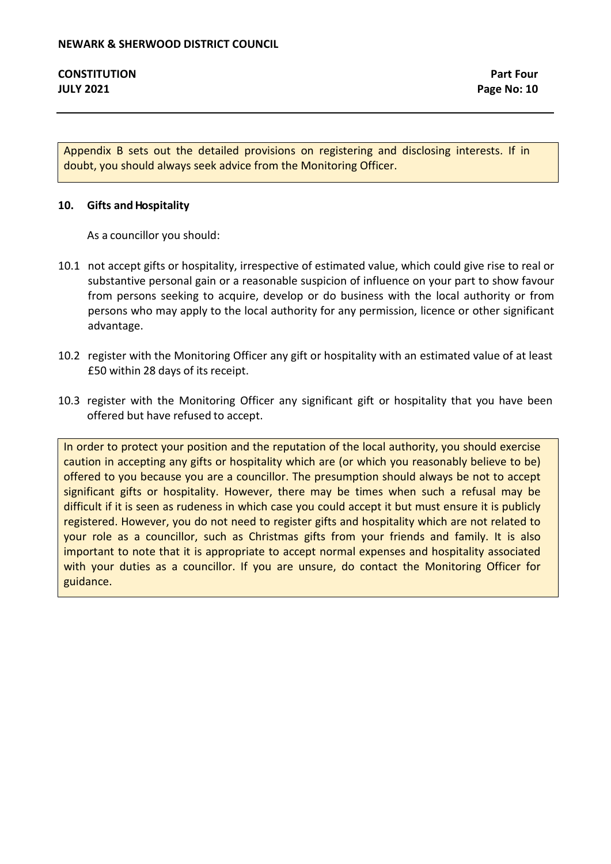Appendix B sets out the detailed provisions on registering and disclosing interests. If in doubt, you should always seek advice from the Monitoring Officer.

#### **10. Gifts andHospitality**

As a councillor you should:

- 10.1 not accept gifts or hospitality, irrespective of estimated value, which could give rise to real or substantive personal gain or a reasonable suspicion of influence on your part to show favour from persons seeking to acquire, develop or do business with the local authority or from persons who may apply to the local authority for any permission, licence or other significant advantage.
- 10.2 register with the Monitoring Officer any gift or hospitality with an estimated value of at least £50 within 28 days of its receipt.
- 10.3 register with the Monitoring Officer any significant gift or hospitality that you have been offered but have refused to accept.

In order to protect your position and the reputation of the local authority, you should exercise caution in accepting any gifts or hospitality which are (or which you reasonably believe to be) offered to you because you are a councillor. The presumption should always be not to accept significant gifts or hospitality. However, there may be times when such a refusal may be difficult if it is seen as rudeness in which case you could accept it but must ensure it is publicly registered. However, you do not need to register gifts and hospitality which are not related to your role as a councillor, such as Christmas gifts from your friends and family. It is also important to note that it is appropriate to accept normal expenses and hospitality associated with your duties as a councillor. If you are unsure, do contact the Monitoring Officer for guidance.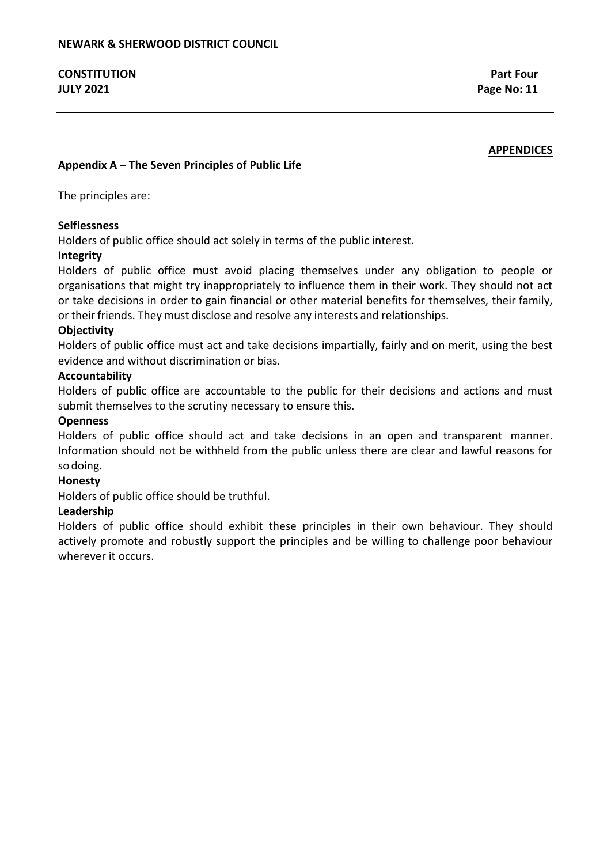# **APPENDICES**

# **Appendix A – The Seven Principles of Public Life**

The principles are:

# **Selflessness**

Holders of public office should act solely in terms of the public interest.

# **Integrity**

Holders of public office must avoid placing themselves under any obligation to people or organisations that might try inappropriately to influence them in their work. They should not act or take decisions in order to gain financial or other material benefits for themselves, their family, or their friends. They must disclose and resolve any interests and relationships.

# **Objectivity**

Holders of public office must act and take decisions impartially, fairly and on merit, using the best evidence and without discrimination or bias.

# **Accountability**

Holders of public office are accountable to the public for their decisions and actions and must submit themselves to the scrutiny necessary to ensure this.

# **Openness**

Holders of public office should act and take decisions in an open and transparent manner. Information should not be withheld from the public unless there are clear and lawful reasons for so doing.

# **Honesty**

Holders of public office should be truthful.

# **Leadership**

Holders of public office should exhibit these principles in their own behaviour. They should actively promote and robustly support the principles and be willing to challenge poor behaviour wherever it occurs.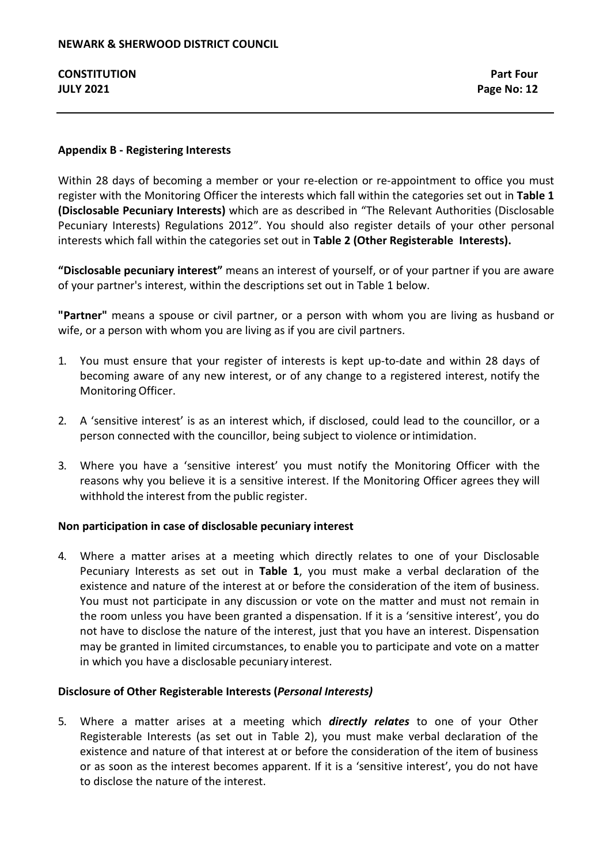# **Appendix B - Registering Interests**

Within 28 days of becoming a member or your re-election or re-appointment to office you must register with the Monitoring Officer the interests which fall within the categories set out in **Table 1 (Disclosable Pecuniary Interests)** which are as described in "The Relevant Authorities (Disclosable Pecuniary Interests) Regulations 2012". You should also register details of your other personal interests which fall within the categories set out in **Table 2 (Other Registerable Interests).**

**"Disclosable pecuniary interest"** means an interest of yourself, or of your partner if you are aware of your partner's interest, within the descriptions set out in Table 1 below.

**"Partner"** means a spouse or civil partner, or a person with whom you are living as husband or wife, or a person with whom you are living as if you are civil partners.

- 1. You must ensure that your register of interests is kept up-to-date and within 28 days of becoming aware of any new interest, or of any change to a registered interest, notify the Monitoring Officer.
- 2. A 'sensitive interest' is as an interest which, if disclosed, could lead to the councillor, or a person connected with the councillor, being subject to violence or intimidation.
- 3. Where you have a 'sensitive interest' you must notify the Monitoring Officer with the reasons why you believe it is a sensitive interest. If the Monitoring Officer agrees they will withhold the interest from the public register.

# **Non participation in case of disclosable pecuniary interest**

4. Where a matter arises at a meeting which directly relates to one of your Disclosable Pecuniary Interests as set out in **Table 1**, you must make a verbal declaration of the existence and nature of the interest at or before the consideration of the item of business. You must not participate in any discussion or vote on the matter and must not remain in the room unless you have been granted a dispensation. If it is a 'sensitive interest', you do not have to disclose the nature of the interest, just that you have an interest. Dispensation may be granted in limited circumstances, to enable you to participate and vote on a matter in which you have a disclosable pecuniary interest.

# **Disclosure of Other Registerable Interests (***Personal Interests)*

5. Where a matter arises at a meeting which *directly relates* to one of your Other Registerable Interests (as set out in Table 2), you must make verbal declaration of the existence and nature of that interest at or before the consideration of the item of business or as soon as the interest becomes apparent. If it is a 'sensitive interest', you do not have to disclose the nature of the interest.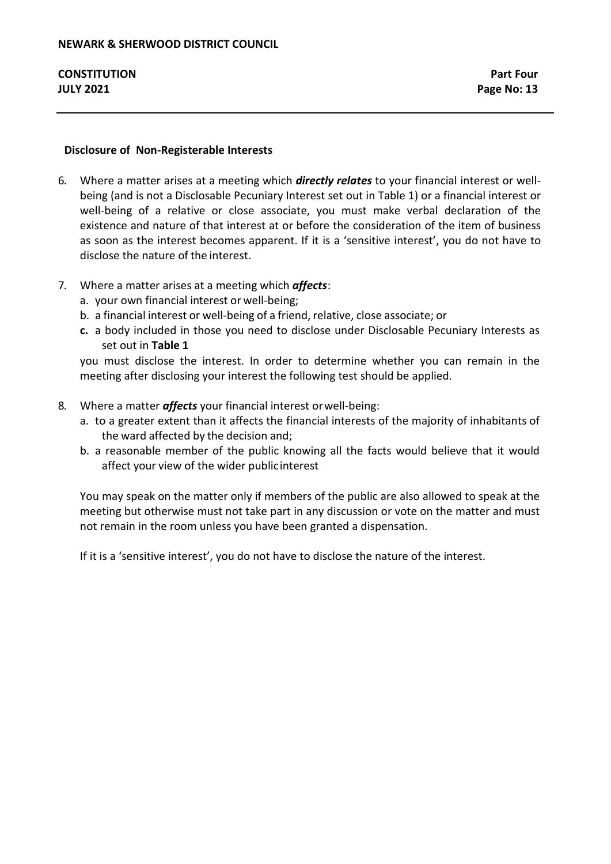# **Disclosure of Non-Registerable Interests**

- 6. Where a matter arises at a meeting which *directly relates* to your financial interest or wellbeing (and is not a Disclosable Pecuniary Interest set out in Table 1) or a financial interest or well-being of a relative or close associate, you must make verbal declaration of the existence and nature of that interest at or before the consideration of the item of business as soon as the interest becomes apparent. If it is a 'sensitive interest', you do not have to disclose the nature of the interest.
- 7. Where a matter arises at a meeting which *affects*:
	- a. your own financial interest or well-being;
	- b. a financial interest or well-being of a friend, relative, close associate; or
	- **c.** a body included in those you need to disclose under Disclosable Pecuniary Interests as set out in **Table 1**

you must disclose the interest. In order to determine whether you can remain in the meeting after disclosing your interest the following test should be applied.

- 8. Where a matter *affects* your financial interest orwell-being:
	- a. to a greater extent than it affects the financial interests of the majority of inhabitants of the ward affected by the decision and;
	- b. a reasonable member of the public knowing all the facts would believe that it would affect your view of the wider publicinterest

You may speak on the matter only if members of the public are also allowed to speak at the meeting but otherwise must not take part in any discussion or vote on the matter and must not remain in the room unless you have been granted a dispensation.

If it is a 'sensitive interest', you do not have to disclose the nature of the interest.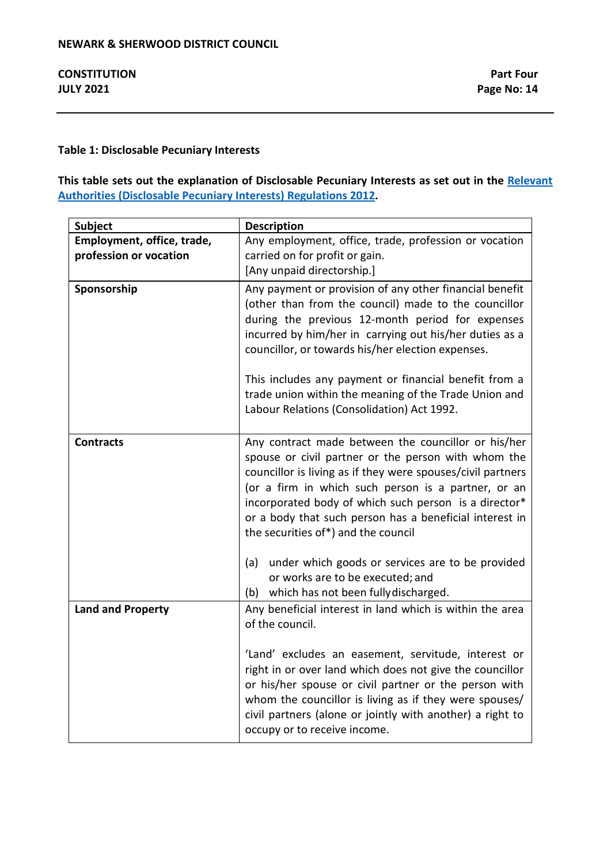# **Table 1: Disclosable Pecuniary Interests**

# **This table sets out the explanation of Disclosable Pecuniary Interests as set out in the [Relevant](https://www.legislation.gov.uk/uksi/2012/1464/made)  [Authorities \(Disclosable Pecuniary Interests\) Regulations 2012.](https://www.legislation.gov.uk/uksi/2012/1464/made)**

| <b>Subject</b>             | <b>Description</b>                                                                                                                                                                                                                                                                                                                                                                                                                                  |
|----------------------------|-----------------------------------------------------------------------------------------------------------------------------------------------------------------------------------------------------------------------------------------------------------------------------------------------------------------------------------------------------------------------------------------------------------------------------------------------------|
| Employment, office, trade, | Any employment, office, trade, profession or vocation                                                                                                                                                                                                                                                                                                                                                                                               |
| profession or vocation     | carried on for profit or gain.                                                                                                                                                                                                                                                                                                                                                                                                                      |
|                            | [Any unpaid directorship.]                                                                                                                                                                                                                                                                                                                                                                                                                          |
| Sponsorship                | Any payment or provision of any other financial benefit<br>(other than from the council) made to the councillor<br>during the previous 12-month period for expenses<br>incurred by him/her in carrying out his/her duties as a<br>councillor, or towards his/her election expenses.<br>This includes any payment or financial benefit from a<br>trade union within the meaning of the Trade Union and<br>Labour Relations (Consolidation) Act 1992. |
|                            |                                                                                                                                                                                                                                                                                                                                                                                                                                                     |
| <b>Contracts</b>           | Any contract made between the councillor or his/her<br>spouse or civil partner or the person with whom the<br>councillor is living as if they were spouses/civil partners<br>(or a firm in which such person is a partner, or an<br>incorporated body of which such person is a director*<br>or a body that such person has a beneficial interest in<br>the securities of*) and the council                                                         |
|                            | under which goods or services are to be provided<br>(a)<br>or works are to be executed; and<br>(b) which has not been fully discharged.                                                                                                                                                                                                                                                                                                             |
| <b>Land and Property</b>   | Any beneficial interest in land which is within the area<br>of the council.                                                                                                                                                                                                                                                                                                                                                                         |
|                            | 'Land' excludes an easement, servitude, interest or<br>right in or over land which does not give the councillor<br>or his/her spouse or civil partner or the person with<br>whom the councillor is living as if they were spouses/<br>civil partners (alone or jointly with another) a right to<br>occupy or to receive income.                                                                                                                     |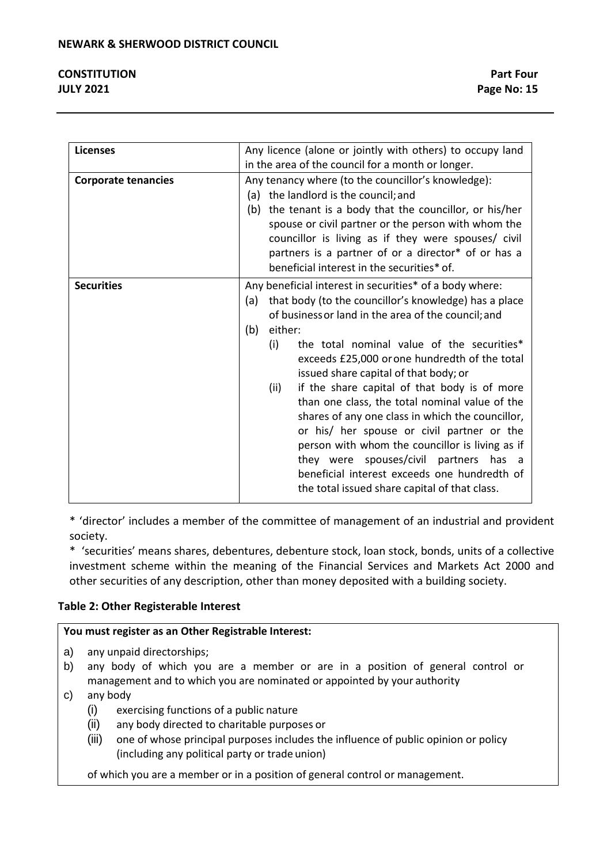| <b>Licenses</b>            | Any licence (alone or jointly with others) to occupy land    |  |  |
|----------------------------|--------------------------------------------------------------|--|--|
|                            | in the area of the council for a month or longer.            |  |  |
| <b>Corporate tenancies</b> | Any tenancy where (to the councillor's knowledge):           |  |  |
|                            | (a) the landlord is the council; and                         |  |  |
|                            | the tenant is a body that the councillor, or his/her<br>(b)  |  |  |
|                            | spouse or civil partner or the person with whom the          |  |  |
|                            | councillor is living as if they were spouses/ civil          |  |  |
|                            | partners is a partner of or a director* of or has a          |  |  |
|                            | beneficial interest in the securities* of.                   |  |  |
| <b>Securities</b>          | Any beneficial interest in securities* of a body where:      |  |  |
|                            | that body (to the councillor's knowledge) has a place<br>(a) |  |  |
|                            | of business or land in the area of the council; and          |  |  |
|                            | either:<br>(b)                                               |  |  |
|                            | the total nominal value of the securities*<br>(i)            |  |  |
|                            | exceeds £25,000 or one hundredth of the total                |  |  |
|                            | issued share capital of that body; or                        |  |  |
|                            | if the share capital of that body is of more<br>(ii)         |  |  |
|                            | than one class, the total nominal value of the               |  |  |
|                            | shares of any one class in which the councillor,             |  |  |
|                            | or his/ her spouse or civil partner or the                   |  |  |
|                            | person with whom the councillor is living as if              |  |  |
|                            | they were spouses/civil partners has a                       |  |  |
|                            | beneficial interest exceeds one hundredth of                 |  |  |
|                            | the total issued share capital of that class.                |  |  |
|                            |                                                              |  |  |

\* 'director' includes a member of the committee of management of an industrial and provident society.

\* 'securities' means shares, debentures, debenture stock, loan stock, bonds, units of a collective investment scheme within the meaning of the Financial Services and Markets Act 2000 and other securities of any description, other than money deposited with a building society.

# **Table 2: Other Registerable Interest**

# **You must register as an Other Registrable Interest:**

- a) any unpaid directorships;
- b) any body of which you are a member or are in a position of general control or management and to which you are nominated or appointed by your authority
- c) any body
	- (i) exercising functions of a public nature
	- (ii) any body directed to charitable purposes or
	- (iii) one of whose principal purposes includes the influence of public opinion or policy (including any political party or trade union)

of which you are a member or in a position of general control or management.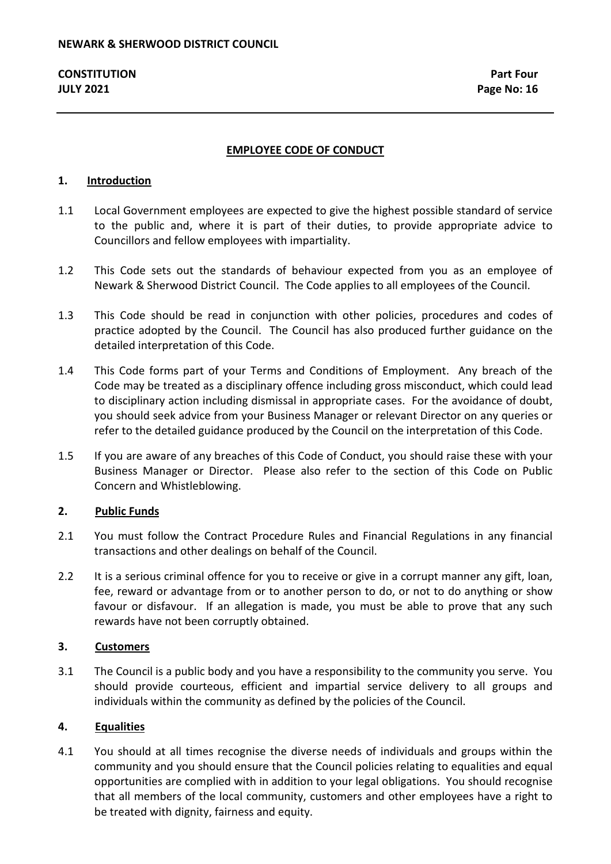# **EMPLOYEE CODE OF CONDUCT**

# **1. Introduction**

- 1.1 Local Government employees are expected to give the highest possible standard of service to the public and, where it is part of their duties, to provide appropriate advice to Councillors and fellow employees with impartiality.
- 1.2 This Code sets out the standards of behaviour expected from you as an employee of Newark & Sherwood District Council. The Code applies to all employees of the Council.
- 1.3 This Code should be read in conjunction with other policies, procedures and codes of practice adopted by the Council. The Council has also produced further guidance on the detailed interpretation of this Code.
- 1.4 This Code forms part of your Terms and Conditions of Employment. Any breach of the Code may be treated as a disciplinary offence including gross misconduct, which could lead to disciplinary action including dismissal in appropriate cases. For the avoidance of doubt, you should seek advice from your Business Manager or relevant Director on any queries or refer to the detailed guidance produced by the Council on the interpretation of this Code.
- 1.5 If you are aware of any breaches of this Code of Conduct, you should raise these with your Business Manager or Director. Please also refer to the section of this Code on Public Concern and Whistleblowing.

# **2. Public Funds**

- 2.1 You must follow the Contract Procedure Rules and Financial Regulations in any financial transactions and other dealings on behalf of the Council.
- 2.2 It is a serious criminal offence for you to receive or give in a corrupt manner any gift, loan, fee, reward or advantage from or to another person to do, or not to do anything or show favour or disfavour. If an allegation is made, you must be able to prove that any such rewards have not been corruptly obtained.

# **3. Customers**

3.1 The Council is a public body and you have a responsibility to the community you serve. You should provide courteous, efficient and impartial service delivery to all groups and individuals within the community as defined by the policies of the Council.

# **4. Equalities**

4.1 You should at all times recognise the diverse needs of individuals and groups within the community and you should ensure that the Council policies relating to equalities and equal opportunities are complied with in addition to your legal obligations. You should recognise that all members of the local community, customers and other employees have a right to be treated with dignity, fairness and equity.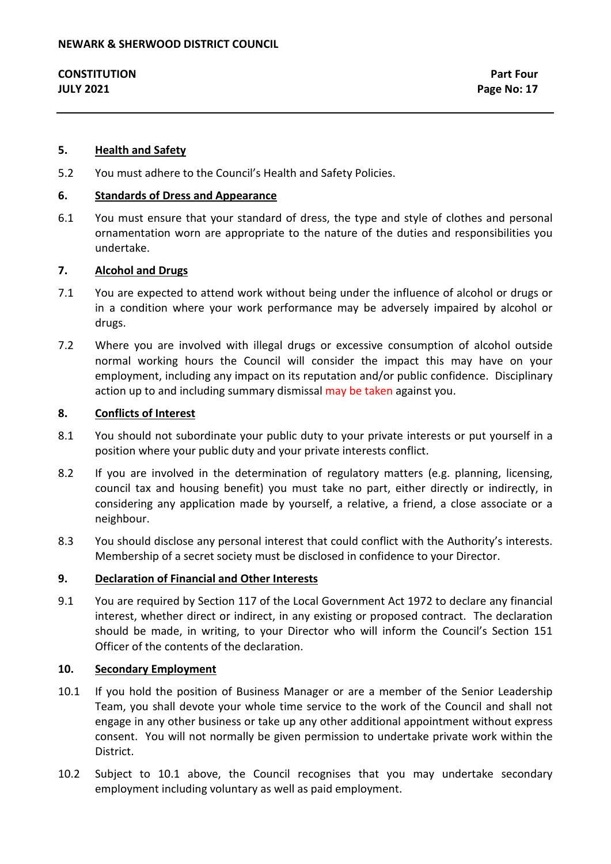### **5. Health and Safety**

5.2 You must adhere to the Council's Health and Safety Policies.

#### **6. Standards of Dress and Appearance**

6.1 You must ensure that your standard of dress, the type and style of clothes and personal ornamentation worn are appropriate to the nature of the duties and responsibilities you undertake.

#### **7. Alcohol and Drugs**

- 7.1 You are expected to attend work without being under the influence of alcohol or drugs or in a condition where your work performance may be adversely impaired by alcohol or drugs.
- 7.2 Where you are involved with illegal drugs or excessive consumption of alcohol outside normal working hours the Council will consider the impact this may have on your employment, including any impact on its reputation and/or public confidence. Disciplinary action up to and including summary dismissal may be taken against you.

#### **8. Conflicts of Interest**

- 8.1 You should not subordinate your public duty to your private interests or put yourself in a position where your public duty and your private interests conflict.
- 8.2 If you are involved in the determination of regulatory matters (e.g. planning, licensing, council tax and housing benefit) you must take no part, either directly or indirectly, in considering any application made by yourself, a relative, a friend, a close associate or a neighbour.
- 8.3 You should disclose any personal interest that could conflict with the Authority's interests. Membership of a secret society must be disclosed in confidence to your Director.

#### **9. Declaration of Financial and Other Interests**

9.1 You are required by Section 117 of the Local Government Act 1972 to declare any financial interest, whether direct or indirect, in any existing or proposed contract. The declaration should be made, in writing, to your Director who will inform the Council's Section 151 Officer of the contents of the declaration.

#### **10. Secondary Employment**

- 10.1 If you hold the position of Business Manager or are a member of the Senior Leadership Team, you shall devote your whole time service to the work of the Council and shall not engage in any other business or take up any other additional appointment without express consent. You will not normally be given permission to undertake private work within the District.
- 10.2 Subject to 10.1 above, the Council recognises that you may undertake secondary employment including voluntary as well as paid employment.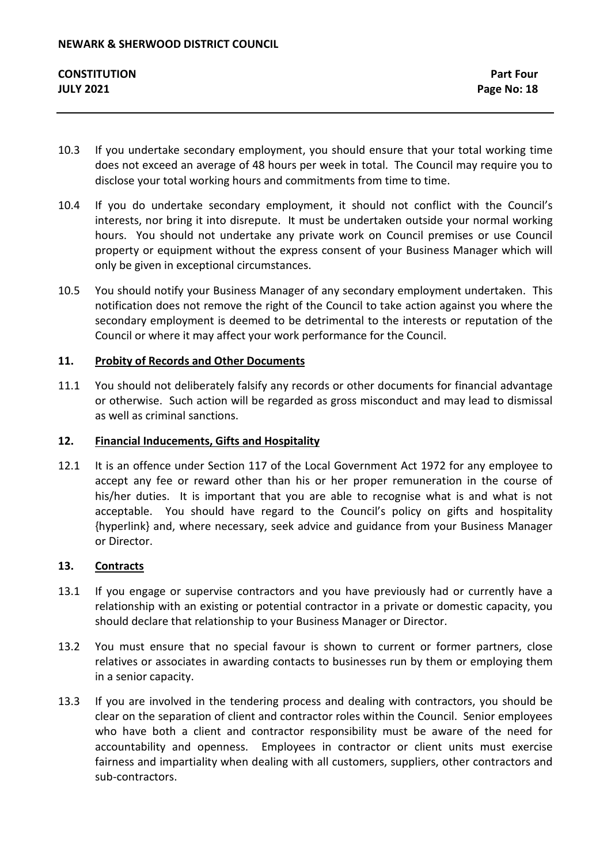- 10.3 If you undertake secondary employment, you should ensure that your total working time does not exceed an average of 48 hours per week in total. The Council may require you to disclose your total working hours and commitments from time to time.
- 10.4 If you do undertake secondary employment, it should not conflict with the Council's interests, nor bring it into disrepute. It must be undertaken outside your normal working hours. You should not undertake any private work on Council premises or use Council property or equipment without the express consent of your Business Manager which will only be given in exceptional circumstances.
- 10.5 You should notify your Business Manager of any secondary employment undertaken. This notification does not remove the right of the Council to take action against you where the secondary employment is deemed to be detrimental to the interests or reputation of the Council or where it may affect your work performance for the Council.

# **11. Probity of Records and Other Documents**

11.1 You should not deliberately falsify any records or other documents for financial advantage or otherwise. Such action will be regarded as gross misconduct and may lead to dismissal as well as criminal sanctions.

# **12. Financial Inducements, Gifts and Hospitality**

12.1 It is an offence under Section 117 of the Local Government Act 1972 for any employee to accept any fee or reward other than his or her proper remuneration in the course of his/her duties. It is important that you are able to recognise what is and what is not acceptable. You should have regard to the Council's policy on gifts and hospitality {hyperlink} and, where necessary, seek advice and guidance from your Business Manager or Director.

# **13. Contracts**

- 13.1 If you engage or supervise contractors and you have previously had or currently have a relationship with an existing or potential contractor in a private or domestic capacity, you should declare that relationship to your Business Manager or Director.
- 13.2 You must ensure that no special favour is shown to current or former partners, close relatives or associates in awarding contacts to businesses run by them or employing them in a senior capacity.
- 13.3 If you are involved in the tendering process and dealing with contractors, you should be clear on the separation of client and contractor roles within the Council. Senior employees who have both a client and contractor responsibility must be aware of the need for accountability and openness. Employees in contractor or client units must exercise fairness and impartiality when dealing with all customers, suppliers, other contractors and sub-contractors.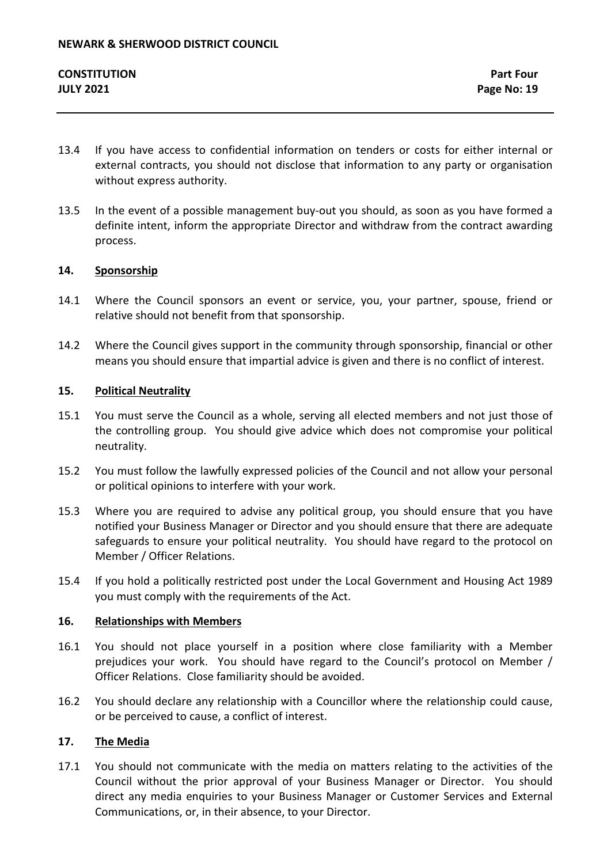- 13.4 If you have access to confidential information on tenders or costs for either internal or external contracts, you should not disclose that information to any party or organisation without express authority.
- 13.5 In the event of a possible management buy-out you should, as soon as you have formed a definite intent, inform the appropriate Director and withdraw from the contract awarding process.

# **14. Sponsorship**

- 14.1 Where the Council sponsors an event or service, you, your partner, spouse, friend or relative should not benefit from that sponsorship.
- 14.2 Where the Council gives support in the community through sponsorship, financial or other means you should ensure that impartial advice is given and there is no conflict of interest.

# **15. Political Neutrality**

- 15.1 You must serve the Council as a whole, serving all elected members and not just those of the controlling group. You should give advice which does not compromise your political neutrality.
- 15.2 You must follow the lawfully expressed policies of the Council and not allow your personal or political opinions to interfere with your work.
- 15.3 Where you are required to advise any political group, you should ensure that you have notified your Business Manager or Director and you should ensure that there are adequate safeguards to ensure your political neutrality. You should have regard to the protocol on Member / Officer Relations.
- 15.4 If you hold a politically restricted post under the Local Government and Housing Act 1989 you must comply with the requirements of the Act.

# **16. Relationships with Members**

- 16.1 You should not place yourself in a position where close familiarity with a Member prejudices your work. You should have regard to the Council's protocol on Member / Officer Relations. Close familiarity should be avoided.
- 16.2 You should declare any relationship with a Councillor where the relationship could cause, or be perceived to cause, a conflict of interest.

# **17. The Media**

17.1 You should not communicate with the media on matters relating to the activities of the Council without the prior approval of your Business Manager or Director. You should direct any media enquiries to your Business Manager or Customer Services and External Communications, or, in their absence, to your Director.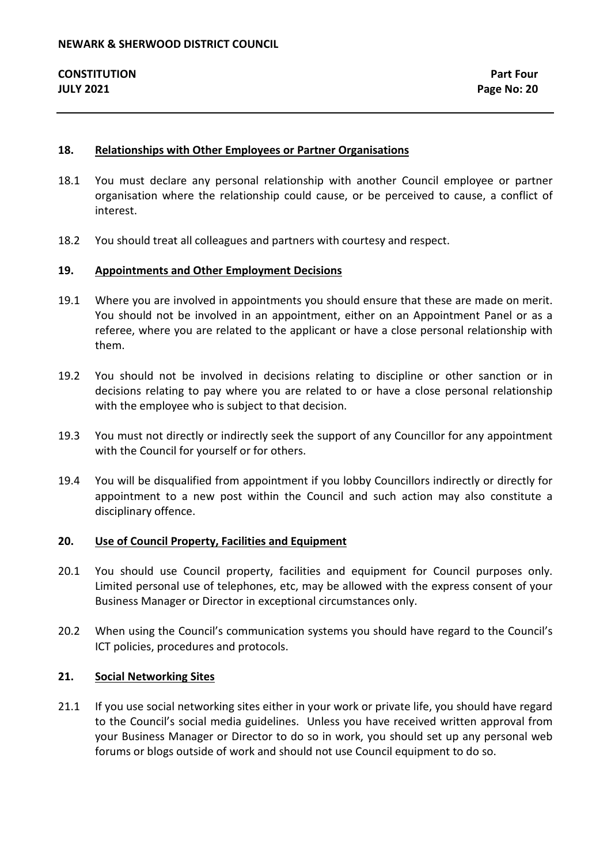### **18. Relationships with Other Employees or Partner Organisations**

- 18.1 You must declare any personal relationship with another Council employee or partner organisation where the relationship could cause, or be perceived to cause, a conflict of interest.
- 18.2 You should treat all colleagues and partners with courtesy and respect.

#### **19. Appointments and Other Employment Decisions**

- 19.1 Where you are involved in appointments you should ensure that these are made on merit. You should not be involved in an appointment, either on an Appointment Panel or as a referee, where you are related to the applicant or have a close personal relationship with them.
- 19.2 You should not be involved in decisions relating to discipline or other sanction or in decisions relating to pay where you are related to or have a close personal relationship with the employee who is subject to that decision.
- 19.3 You must not directly or indirectly seek the support of any Councillor for any appointment with the Council for yourself or for others.
- 19.4 You will be disqualified from appointment if you lobby Councillors indirectly or directly for appointment to a new post within the Council and such action may also constitute a disciplinary offence.

#### **20. Use of Council Property, Facilities and Equipment**

- 20.1 You should use Council property, facilities and equipment for Council purposes only. Limited personal use of telephones, etc, may be allowed with the express consent of your Business Manager or Director in exceptional circumstances only.
- 20.2 When using the Council's communication systems you should have regard to the Council's ICT policies, procedures and protocols.

#### **21. Social Networking Sites**

21.1 If you use social networking sites either in your work or private life, you should have regard to the Council's social media guidelines. Unless you have received written approval from your Business Manager or Director to do so in work, you should set up any personal web forums or blogs outside of work and should not use Council equipment to do so.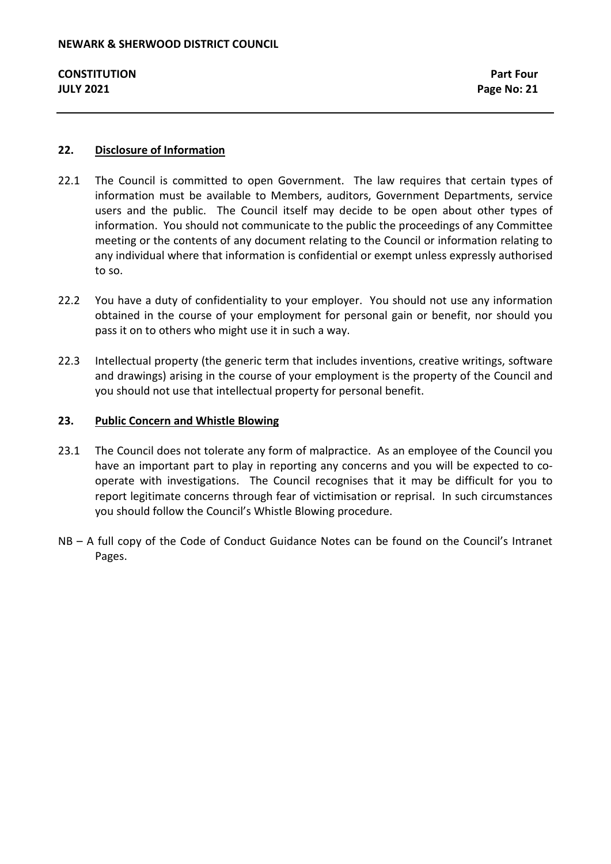# **22. Disclosure of Information**

- 22.1 The Council is committed to open Government. The law requires that certain types of information must be available to Members, auditors, Government Departments, service users and the public. The Council itself may decide to be open about other types of information. You should not communicate to the public the proceedings of any Committee meeting or the contents of any document relating to the Council or information relating to any individual where that information is confidential or exempt unless expressly authorised to so.
- 22.2 You have a duty of confidentiality to your employer. You should not use any information obtained in the course of your employment for personal gain or benefit, nor should you pass it on to others who might use it in such a way.
- 22.3 Intellectual property (the generic term that includes inventions, creative writings, software and drawings) arising in the course of your employment is the property of the Council and you should not use that intellectual property for personal benefit.

# **23. Public Concern and Whistle Blowing**

- 23.1 The Council does not tolerate any form of malpractice. As an employee of the Council you have an important part to play in reporting any concerns and you will be expected to cooperate with investigations. The Council recognises that it may be difficult for you to report legitimate concerns through fear of victimisation or reprisal. In such circumstances you should follow the Council's Whistle Blowing procedure.
- NB A full copy of the Code of Conduct Guidance Notes can be found on the Council's Intranet Pages.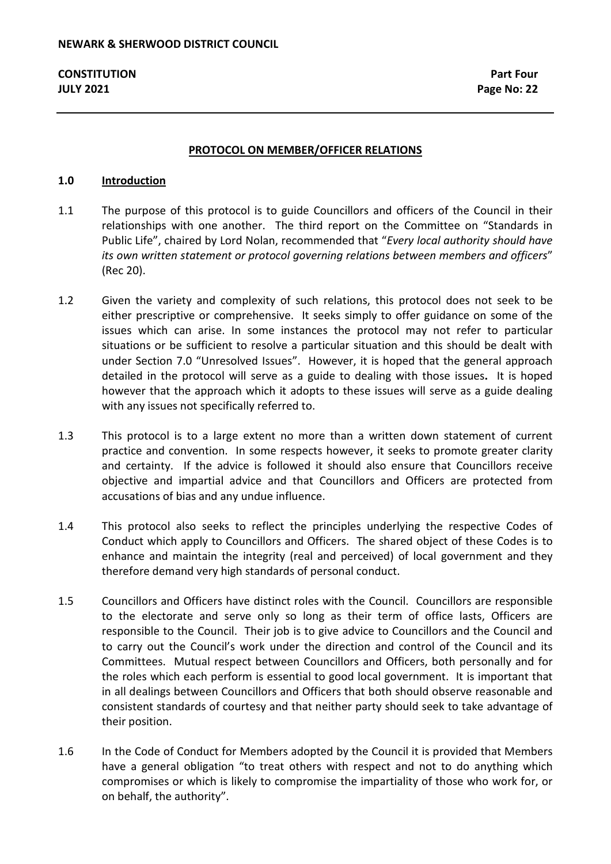#### **PROTOCOL ON MEMBER/OFFICER RELATIONS**

#### **1.0 Introduction**

- 1.1 The purpose of this protocol is to guide Councillors and officers of the Council in their relationships with one another. The third report on the Committee on "Standards in Public Life", chaired by Lord Nolan, recommended that "*Every local authority should have its own written statement or protocol governing relations between members and officers*" (Rec 20).
- 1.2 Given the variety and complexity of such relations, this protocol does not seek to be either prescriptive or comprehensive. It seeks simply to offer guidance on some of the issues which can arise. In some instances the protocol may not refer to particular situations or be sufficient to resolve a particular situation and this should be dealt with under Section 7.0 "Unresolved Issues". However, it is hoped that the general approach detailed in the protocol will serve as a guide to dealing with those issues**.** It is hoped however that the approach which it adopts to these issues will serve as a guide dealing with any issues not specifically referred to.
- 1.3 This protocol is to a large extent no more than a written down statement of current practice and convention. In some respects however, it seeks to promote greater clarity and certainty. If the advice is followed it should also ensure that Councillors receive objective and impartial advice and that Councillors and Officers are protected from accusations of bias and any undue influence.
- 1.4 This protocol also seeks to reflect the principles underlying the respective Codes of Conduct which apply to Councillors and Officers. The shared object of these Codes is to enhance and maintain the integrity (real and perceived) of local government and they therefore demand very high standards of personal conduct.
- 1.5 Councillors and Officers have distinct roles with the Council. Councillors are responsible to the electorate and serve only so long as their term of office lasts, Officers are responsible to the Council. Their job is to give advice to Councillors and the Council and to carry out the Council's work under the direction and control of the Council and its Committees. Mutual respect between Councillors and Officers, both personally and for the roles which each perform is essential to good local government. It is important that in all dealings between Councillors and Officers that both should observe reasonable and consistent standards of courtesy and that neither party should seek to take advantage of their position.
- 1.6 In the Code of Conduct for Members adopted by the Council it is provided that Members have a general obligation "to treat others with respect and not to do anything which compromises or which is likely to compromise the impartiality of those who work for, or on behalf, the authority".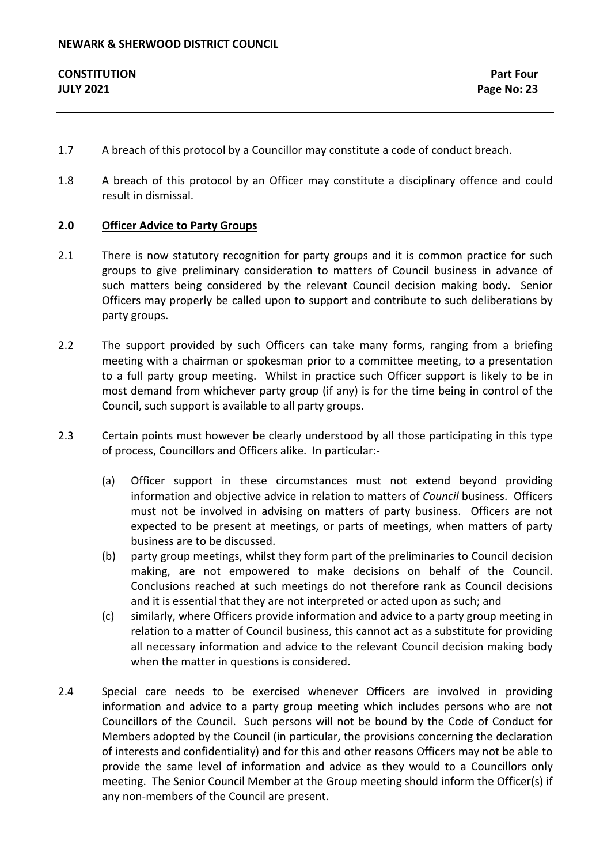- 1.7 A breach of this protocol by a Councillor may constitute a code of conduct breach.
- 1.8 A breach of this protocol by an Officer may constitute a disciplinary offence and could result in dismissal.

# **2.0 Officer Advice to Party Groups**

- 2.1 There is now statutory recognition for party groups and it is common practice for such groups to give preliminary consideration to matters of Council business in advance of such matters being considered by the relevant Council decision making body. Senior Officers may properly be called upon to support and contribute to such deliberations by party groups.
- 2.2 The support provided by such Officers can take many forms, ranging from a briefing meeting with a chairman or spokesman prior to a committee meeting, to a presentation to a full party group meeting. Whilst in practice such Officer support is likely to be in most demand from whichever party group (if any) is for the time being in control of the Council, such support is available to all party groups.
- 2.3 Certain points must however be clearly understood by all those participating in this type of process, Councillors and Officers alike. In particular:-
	- (a) Officer support in these circumstances must not extend beyond providing information and objective advice in relation to matters of *Council* business. Officers must not be involved in advising on matters of party business. Officers are not expected to be present at meetings, or parts of meetings, when matters of party business are to be discussed.
	- (b) party group meetings, whilst they form part of the preliminaries to Council decision making, are not empowered to make decisions on behalf of the Council. Conclusions reached at such meetings do not therefore rank as Council decisions and it is essential that they are not interpreted or acted upon as such; and
	- (c) similarly, where Officers provide information and advice to a party group meeting in relation to a matter of Council business, this cannot act as a substitute for providing all necessary information and advice to the relevant Council decision making body when the matter in questions is considered.
- 2.4 Special care needs to be exercised whenever Officers are involved in providing information and advice to a party group meeting which includes persons who are not Councillors of the Council. Such persons will not be bound by the Code of Conduct for Members adopted by the Council (in particular, the provisions concerning the declaration of interests and confidentiality) and for this and other reasons Officers may not be able to provide the same level of information and advice as they would to a Councillors only meeting. The Senior Council Member at the Group meeting should inform the Officer(s) if any non-members of the Council are present.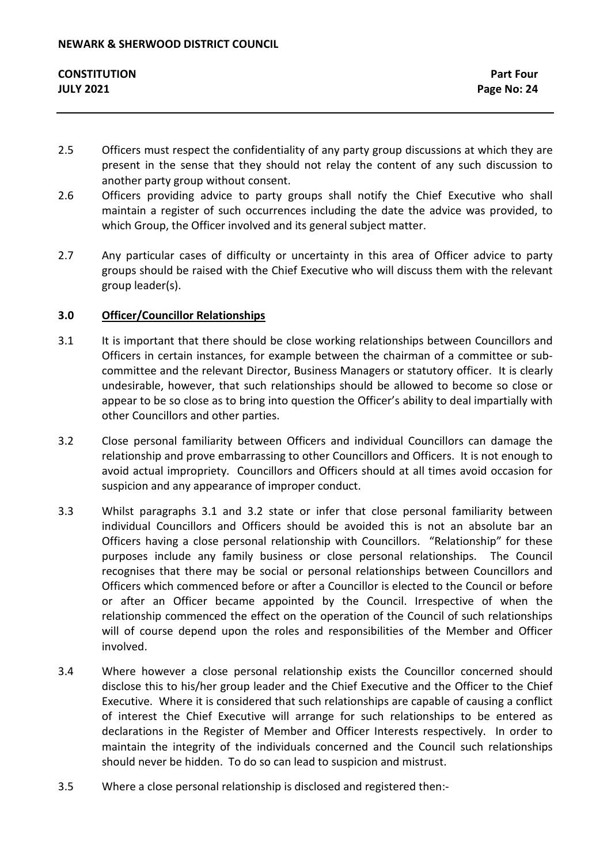- 2.5 Officers must respect the confidentiality of any party group discussions at which they are present in the sense that they should not relay the content of any such discussion to another party group without consent.
- 2.6 Officers providing advice to party groups shall notify the Chief Executive who shall maintain a register of such occurrences including the date the advice was provided, to which Group, the Officer involved and its general subject matter.
- 2.7 Any particular cases of difficulty or uncertainty in this area of Officer advice to party groups should be raised with the Chief Executive who will discuss them with the relevant group leader(s).

# **3.0 Officer/Councillor Relationships**

- 3.1 It is important that there should be close working relationships between Councillors and Officers in certain instances, for example between the chairman of a committee or subcommittee and the relevant Director, Business Managers or statutory officer. It is clearly undesirable, however, that such relationships should be allowed to become so close or appear to be so close as to bring into question the Officer's ability to deal impartially with other Councillors and other parties.
- 3.2 Close personal familiarity between Officers and individual Councillors can damage the relationship and prove embarrassing to other Councillors and Officers. It is not enough to avoid actual impropriety. Councillors and Officers should at all times avoid occasion for suspicion and any appearance of improper conduct.
- 3.3 Whilst paragraphs 3.1 and 3.2 state or infer that close personal familiarity between individual Councillors and Officers should be avoided this is not an absolute bar an Officers having a close personal relationship with Councillors. "Relationship" for these purposes include any family business or close personal relationships. The Council recognises that there may be social or personal relationships between Councillors and Officers which commenced before or after a Councillor is elected to the Council or before or after an Officer became appointed by the Council. Irrespective of when the relationship commenced the effect on the operation of the Council of such relationships will of course depend upon the roles and responsibilities of the Member and Officer involved.
- 3.4 Where however a close personal relationship exists the Councillor concerned should disclose this to his/her group leader and the Chief Executive and the Officer to the Chief Executive. Where it is considered that such relationships are capable of causing a conflict of interest the Chief Executive will arrange for such relationships to be entered as declarations in the Register of Member and Officer Interests respectively. In order to maintain the integrity of the individuals concerned and the Council such relationships should never be hidden. To do so can lead to suspicion and mistrust.
- 3.5 Where a close personal relationship is disclosed and registered then:-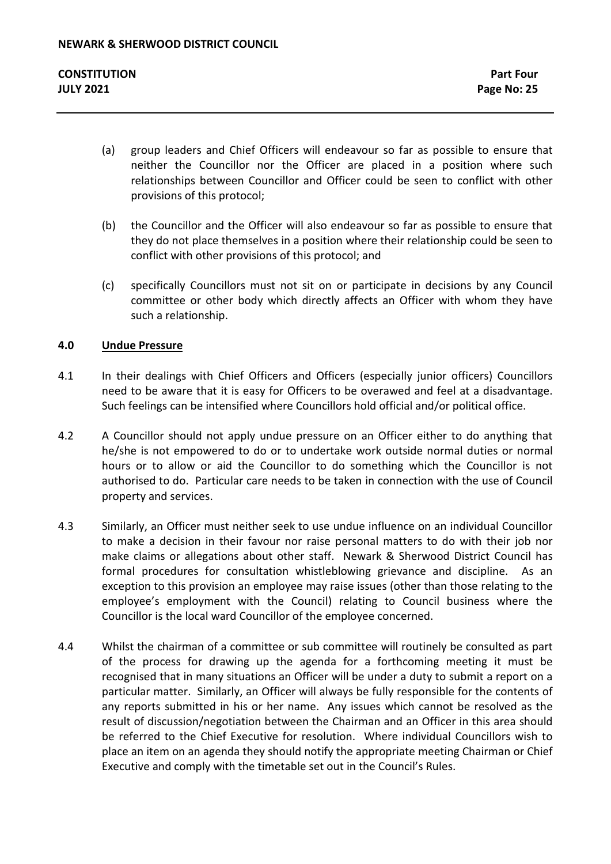- (a) group leaders and Chief Officers will endeavour so far as possible to ensure that neither the Councillor nor the Officer are placed in a position where such relationships between Councillor and Officer could be seen to conflict with other provisions of this protocol;
- (b) the Councillor and the Officer will also endeavour so far as possible to ensure that they do not place themselves in a position where their relationship could be seen to conflict with other provisions of this protocol; and
- (c) specifically Councillors must not sit on or participate in decisions by any Council committee or other body which directly affects an Officer with whom they have such a relationship.

# **4.0 Undue Pressure**

- 4.1 In their dealings with Chief Officers and Officers (especially junior officers) Councillors need to be aware that it is easy for Officers to be overawed and feel at a disadvantage. Such feelings can be intensified where Councillors hold official and/or political office.
- 4.2 A Councillor should not apply undue pressure on an Officer either to do anything that he/she is not empowered to do or to undertake work outside normal duties or normal hours or to allow or aid the Councillor to do something which the Councillor is not authorised to do. Particular care needs to be taken in connection with the use of Council property and services.
- 4.3 Similarly, an Officer must neither seek to use undue influence on an individual Councillor to make a decision in their favour nor raise personal matters to do with their job nor make claims or allegations about other staff. Newark & Sherwood District Council has formal procedures for consultation whistleblowing grievance and discipline. As an exception to this provision an employee may raise issues (other than those relating to the employee's employment with the Council) relating to Council business where the Councillor is the local ward Councillor of the employee concerned.
- 4.4 Whilst the chairman of a committee or sub committee will routinely be consulted as part of the process for drawing up the agenda for a forthcoming meeting it must be recognised that in many situations an Officer will be under a duty to submit a report on a particular matter. Similarly, an Officer will always be fully responsible for the contents of any reports submitted in his or her name. Any issues which cannot be resolved as the result of discussion/negotiation between the Chairman and an Officer in this area should be referred to the Chief Executive for resolution. Where individual Councillors wish to place an item on an agenda they should notify the appropriate meeting Chairman or Chief Executive and comply with the timetable set out in the Council's Rules.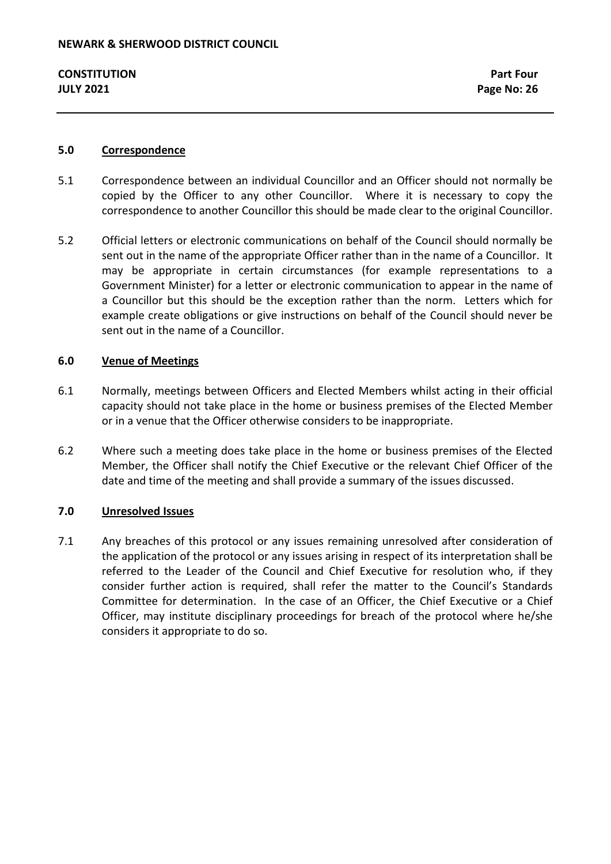### **5.0 Correspondence**

- 5.1 Correspondence between an individual Councillor and an Officer should not normally be copied by the Officer to any other Councillor. Where it is necessary to copy the correspondence to another Councillor this should be made clear to the original Councillor.
- 5.2 Official letters or electronic communications on behalf of the Council should normally be sent out in the name of the appropriate Officer rather than in the name of a Councillor. It may be appropriate in certain circumstances (for example representations to a Government Minister) for a letter or electronic communication to appear in the name of a Councillor but this should be the exception rather than the norm. Letters which for example create obligations or give instructions on behalf of the Council should never be sent out in the name of a Councillor.

# **6.0 Venue of Meetings**

- 6.1 Normally, meetings between Officers and Elected Members whilst acting in their official capacity should not take place in the home or business premises of the Elected Member or in a venue that the Officer otherwise considers to be inappropriate.
- 6.2 Where such a meeting does take place in the home or business premises of the Elected Member, the Officer shall notify the Chief Executive or the relevant Chief Officer of the date and time of the meeting and shall provide a summary of the issues discussed.

# **7.0 Unresolved Issues**

7.1 Any breaches of this protocol or any issues remaining unresolved after consideration of the application of the protocol or any issues arising in respect of its interpretation shall be referred to the Leader of the Council and Chief Executive for resolution who, if they consider further action is required, shall refer the matter to the Council's Standards Committee for determination. In the case of an Officer, the Chief Executive or a Chief Officer, may institute disciplinary proceedings for breach of the protocol where he/she considers it appropriate to do so.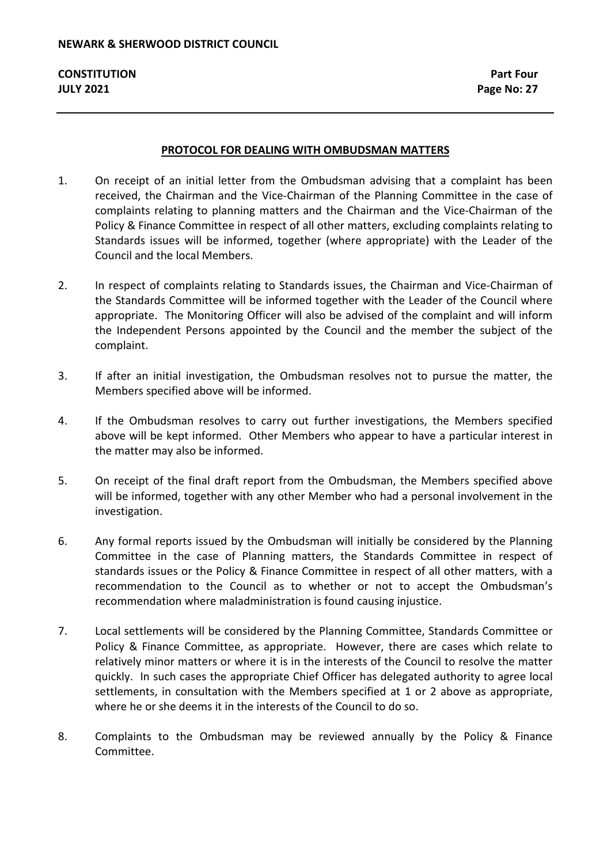#### **PROTOCOL FOR DEALING WITH OMBUDSMAN MATTERS**

- 1. On receipt of an initial letter from the Ombudsman advising that a complaint has been received, the Chairman and the Vice-Chairman of the Planning Committee in the case of complaints relating to planning matters and the Chairman and the Vice-Chairman of the Policy & Finance Committee in respect of all other matters, excluding complaints relating to Standards issues will be informed, together (where appropriate) with the Leader of the Council and the local Members.
- 2. In respect of complaints relating to Standards issues, the Chairman and Vice-Chairman of the Standards Committee will be informed together with the Leader of the Council where appropriate. The Monitoring Officer will also be advised of the complaint and will inform the Independent Persons appointed by the Council and the member the subject of the complaint.
- 3. If after an initial investigation, the Ombudsman resolves not to pursue the matter, the Members specified above will be informed.
- 4. If the Ombudsman resolves to carry out further investigations, the Members specified above will be kept informed. Other Members who appear to have a particular interest in the matter may also be informed.
- 5. On receipt of the final draft report from the Ombudsman, the Members specified above will be informed, together with any other Member who had a personal involvement in the investigation.
- 6. Any formal reports issued by the Ombudsman will initially be considered by the Planning Committee in the case of Planning matters, the Standards Committee in respect of standards issues or the Policy & Finance Committee in respect of all other matters, with a recommendation to the Council as to whether or not to accept the Ombudsman's recommendation where maladministration is found causing injustice.
- 7. Local settlements will be considered by the Planning Committee, Standards Committee or Policy & Finance Committee, as appropriate. However, there are cases which relate to relatively minor matters or where it is in the interests of the Council to resolve the matter quickly. In such cases the appropriate Chief Officer has delegated authority to agree local settlements, in consultation with the Members specified at 1 or 2 above as appropriate, where he or she deems it in the interests of the Council to do so.
- 8. Complaints to the Ombudsman may be reviewed annually by the Policy & Finance Committee.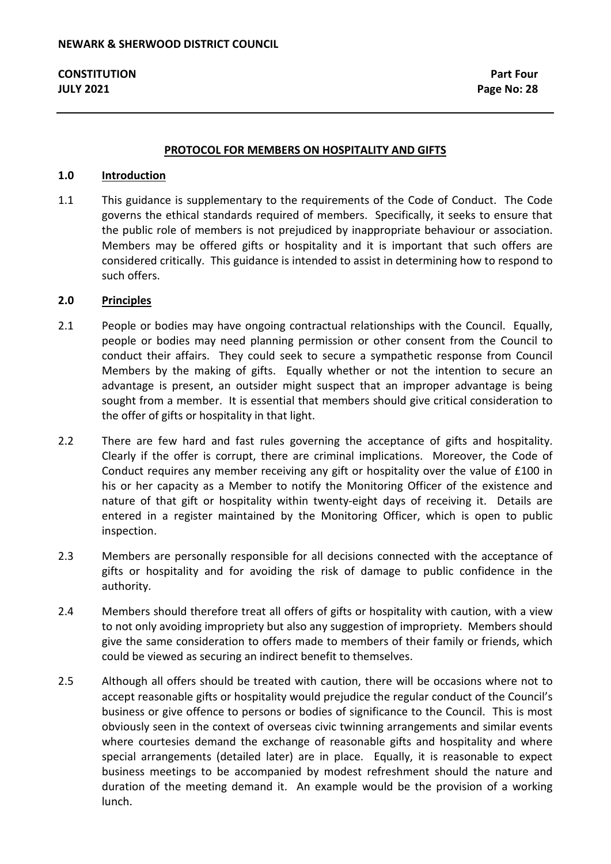#### **PROTOCOL FOR MEMBERS ON HOSPITALITY AND GIFTS**

#### **1.0 Introduction**

1.1 This guidance is supplementary to the requirements of the Code of Conduct. The Code governs the ethical standards required of members. Specifically, it seeks to ensure that the public role of members is not prejudiced by inappropriate behaviour or association. Members may be offered gifts or hospitality and it is important that such offers are considered critically. This guidance is intended to assist in determining how to respond to such offers.

### **2.0 Principles**

- 2.1 People or bodies may have ongoing contractual relationships with the Council. Equally, people or bodies may need planning permission or other consent from the Council to conduct their affairs. They could seek to secure a sympathetic response from Council Members by the making of gifts. Equally whether or not the intention to secure an advantage is present, an outsider might suspect that an improper advantage is being sought from a member. It is essential that members should give critical consideration to the offer of gifts or hospitality in that light.
- 2.2 There are few hard and fast rules governing the acceptance of gifts and hospitality. Clearly if the offer is corrupt, there are criminal implications. Moreover, the Code of Conduct requires any member receiving any gift or hospitality over the value of £100 in his or her capacity as a Member to notify the Monitoring Officer of the existence and nature of that gift or hospitality within twenty-eight days of receiving it. Details are entered in a register maintained by the Monitoring Officer, which is open to public inspection.
- 2.3 Members are personally responsible for all decisions connected with the acceptance of gifts or hospitality and for avoiding the risk of damage to public confidence in the authority.
- 2.4 Members should therefore treat all offers of gifts or hospitality with caution, with a view to not only avoiding impropriety but also any suggestion of impropriety. Members should give the same consideration to offers made to members of their family or friends, which could be viewed as securing an indirect benefit to themselves.
- 2.5 Although all offers should be treated with caution, there will be occasions where not to accept reasonable gifts or hospitality would prejudice the regular conduct of the Council's business or give offence to persons or bodies of significance to the Council. This is most obviously seen in the context of overseas civic twinning arrangements and similar events where courtesies demand the exchange of reasonable gifts and hospitality and where special arrangements (detailed later) are in place. Equally, it is reasonable to expect business meetings to be accompanied by modest refreshment should the nature and duration of the meeting demand it. An example would be the provision of a working lunch.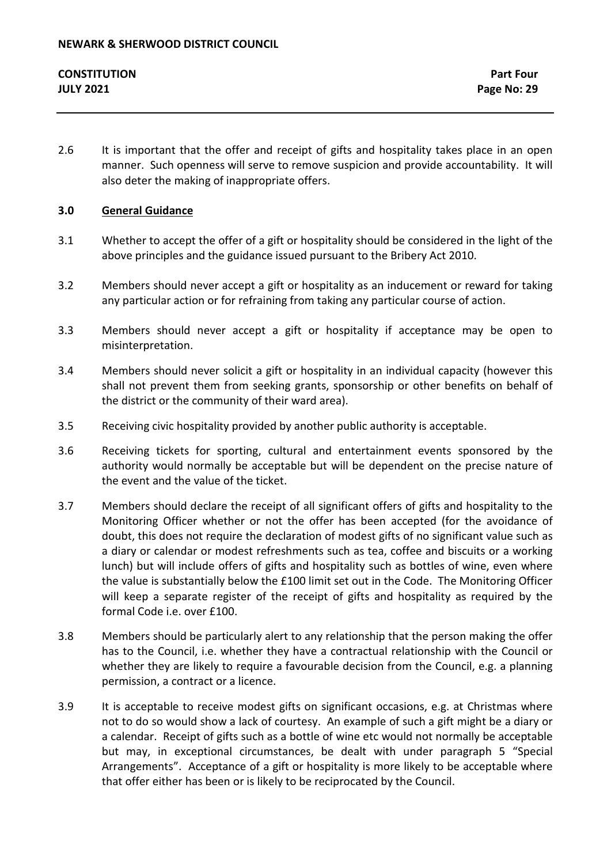2.6 It is important that the offer and receipt of gifts and hospitality takes place in an open manner. Such openness will serve to remove suspicion and provide accountability. It will also deter the making of inappropriate offers.

# **3.0 General Guidance**

- 3.1 Whether to accept the offer of a gift or hospitality should be considered in the light of the above principles and the guidance issued pursuant to the Bribery Act 2010.
- 3.2 Members should never accept a gift or hospitality as an inducement or reward for taking any particular action or for refraining from taking any particular course of action.
- 3.3 Members should never accept a gift or hospitality if acceptance may be open to misinterpretation.
- 3.4 Members should never solicit a gift or hospitality in an individual capacity (however this shall not prevent them from seeking grants, sponsorship or other benefits on behalf of the district or the community of their ward area).
- 3.5 Receiving civic hospitality provided by another public authority is acceptable.
- 3.6 Receiving tickets for sporting, cultural and entertainment events sponsored by the authority would normally be acceptable but will be dependent on the precise nature of the event and the value of the ticket.
- 3.7 Members should declare the receipt of all significant offers of gifts and hospitality to the Monitoring Officer whether or not the offer has been accepted (for the avoidance of doubt, this does not require the declaration of modest gifts of no significant value such as a diary or calendar or modest refreshments such as tea, coffee and biscuits or a working lunch) but will include offers of gifts and hospitality such as bottles of wine, even where the value is substantially below the £100 limit set out in the Code. The Monitoring Officer will keep a separate register of the receipt of gifts and hospitality as required by the formal Code i.e. over £100.
- 3.8 Members should be particularly alert to any relationship that the person making the offer has to the Council, i.e. whether they have a contractual relationship with the Council or whether they are likely to require a favourable decision from the Council, e.g. a planning permission, a contract or a licence.
- 3.9 It is acceptable to receive modest gifts on significant occasions, e.g. at Christmas where not to do so would show a lack of courtesy. An example of such a gift might be a diary or a calendar. Receipt of gifts such as a bottle of wine etc would not normally be acceptable but may, in exceptional circumstances, be dealt with under paragraph 5 "Special Arrangements". Acceptance of a gift or hospitality is more likely to be acceptable where that offer either has been or is likely to be reciprocated by the Council.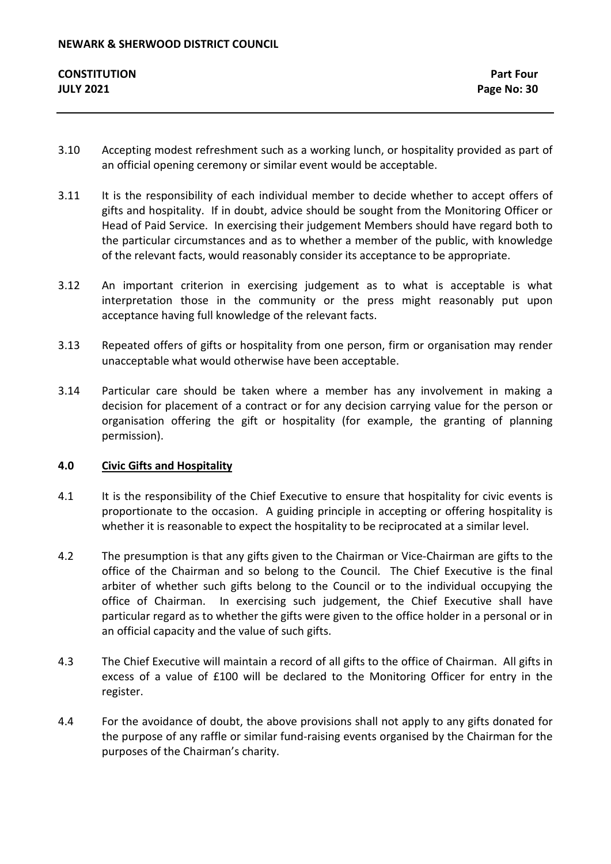- 3.10 Accepting modest refreshment such as a working lunch, or hospitality provided as part of an official opening ceremony or similar event would be acceptable.
- 3.11 It is the responsibility of each individual member to decide whether to accept offers of gifts and hospitality. If in doubt, advice should be sought from the Monitoring Officer or Head of Paid Service. In exercising their judgement Members should have regard both to the particular circumstances and as to whether a member of the public, with knowledge of the relevant facts, would reasonably consider its acceptance to be appropriate.
- 3.12 An important criterion in exercising judgement as to what is acceptable is what interpretation those in the community or the press might reasonably put upon acceptance having full knowledge of the relevant facts.
- 3.13 Repeated offers of gifts or hospitality from one person, firm or organisation may render unacceptable what would otherwise have been acceptable.
- 3.14 Particular care should be taken where a member has any involvement in making a decision for placement of a contract or for any decision carrying value for the person or organisation offering the gift or hospitality (for example, the granting of planning permission).

# **4.0 Civic Gifts and Hospitality**

- 4.1 It is the responsibility of the Chief Executive to ensure that hospitality for civic events is proportionate to the occasion. A guiding principle in accepting or offering hospitality is whether it is reasonable to expect the hospitality to be reciprocated at a similar level.
- 4.2 The presumption is that any gifts given to the Chairman or Vice-Chairman are gifts to the office of the Chairman and so belong to the Council. The Chief Executive is the final arbiter of whether such gifts belong to the Council or to the individual occupying the office of Chairman. In exercising such judgement, the Chief Executive shall have particular regard as to whether the gifts were given to the office holder in a personal or in an official capacity and the value of such gifts.
- 4.3 The Chief Executive will maintain a record of all gifts to the office of Chairman. All gifts in excess of a value of £100 will be declared to the Monitoring Officer for entry in the register.
- 4.4 For the avoidance of doubt, the above provisions shall not apply to any gifts donated for the purpose of any raffle or similar fund-raising events organised by the Chairman for the purposes of the Chairman's charity.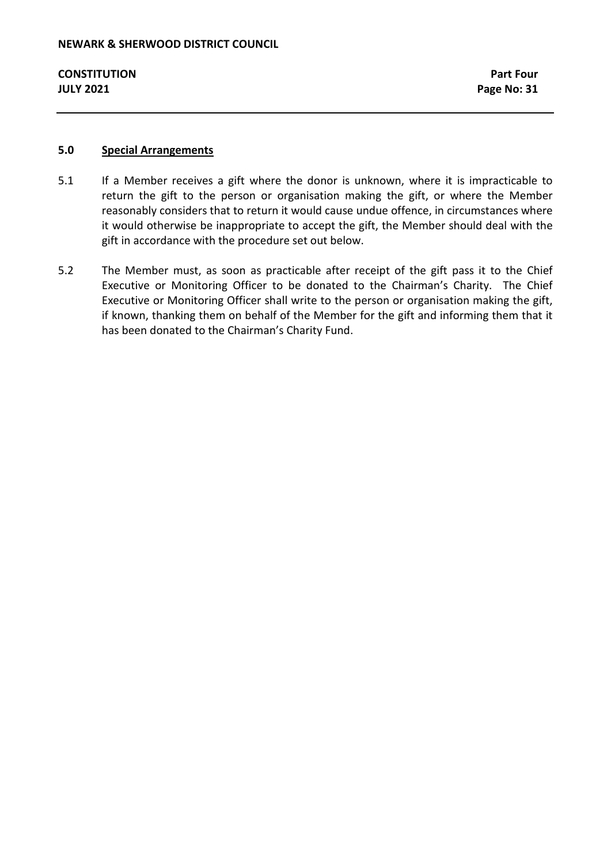# **5.0 Special Arrangements**

- 5.1 If a Member receives a gift where the donor is unknown, where it is impracticable to return the gift to the person or organisation making the gift, or where the Member reasonably considers that to return it would cause undue offence, in circumstances where it would otherwise be inappropriate to accept the gift, the Member should deal with the gift in accordance with the procedure set out below.
- 5.2 The Member must, as soon as practicable after receipt of the gift pass it to the Chief Executive or Monitoring Officer to be donated to the Chairman's Charity. The Chief Executive or Monitoring Officer shall write to the person or organisation making the gift, if known, thanking them on behalf of the Member for the gift and informing them that it has been donated to the Chairman's Charity Fund.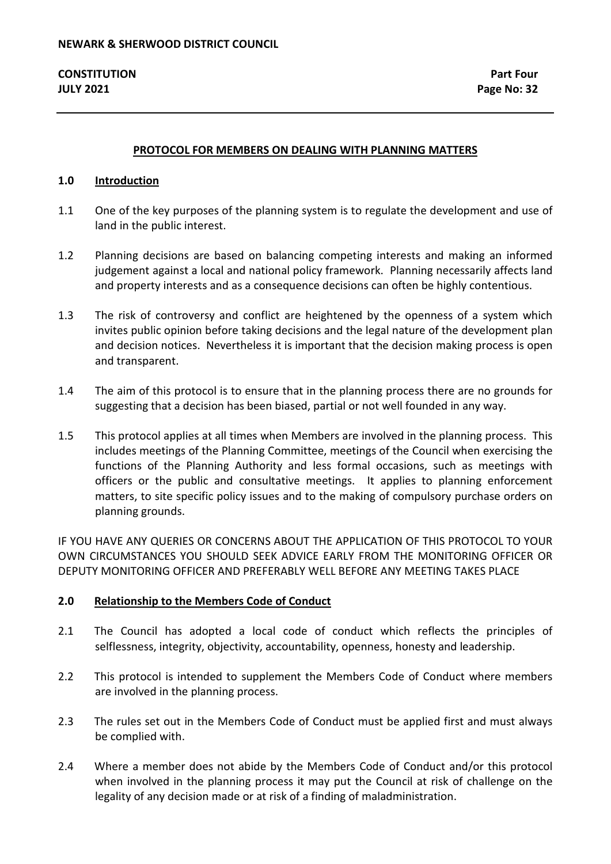### **PROTOCOL FOR MEMBERS ON DEALING WITH PLANNING MATTERS**

#### **1.0 Introduction**

- 1.1 One of the key purposes of the planning system is to regulate the development and use of land in the public interest.
- 1.2 Planning decisions are based on balancing competing interests and making an informed judgement against a local and national policy framework. Planning necessarily affects land and property interests and as a consequence decisions can often be highly contentious.
- 1.3 The risk of controversy and conflict are heightened by the openness of a system which invites public opinion before taking decisions and the legal nature of the development plan and decision notices. Nevertheless it is important that the decision making process is open and transparent.
- 1.4 The aim of this protocol is to ensure that in the planning process there are no grounds for suggesting that a decision has been biased, partial or not well founded in any way.
- 1.5 This protocol applies at all times when Members are involved in the planning process. This includes meetings of the Planning Committee, meetings of the Council when exercising the functions of the Planning Authority and less formal occasions, such as meetings with officers or the public and consultative meetings. It applies to planning enforcement matters, to site specific policy issues and to the making of compulsory purchase orders on planning grounds.

IF YOU HAVE ANY QUERIES OR CONCERNS ABOUT THE APPLICATION OF THIS PROTOCOL TO YOUR OWN CIRCUMSTANCES YOU SHOULD SEEK ADVICE EARLY FROM THE MONITORING OFFICER OR DEPUTY MONITORING OFFICER AND PREFERABLY WELL BEFORE ANY MEETING TAKES PLACE

#### **2.0 Relationship to the Members Code of Conduct**

- 2.1 The Council has adopted a local code of conduct which reflects the principles of selflessness, integrity, objectivity, accountability, openness, honesty and leadership.
- 2.2 This protocol is intended to supplement the Members Code of Conduct where members are involved in the planning process.
- 2.3 The rules set out in the Members Code of Conduct must be applied first and must always be complied with.
- 2.4 Where a member does not abide by the Members Code of Conduct and/or this protocol when involved in the planning process it may put the Council at risk of challenge on the legality of any decision made or at risk of a finding of maladministration.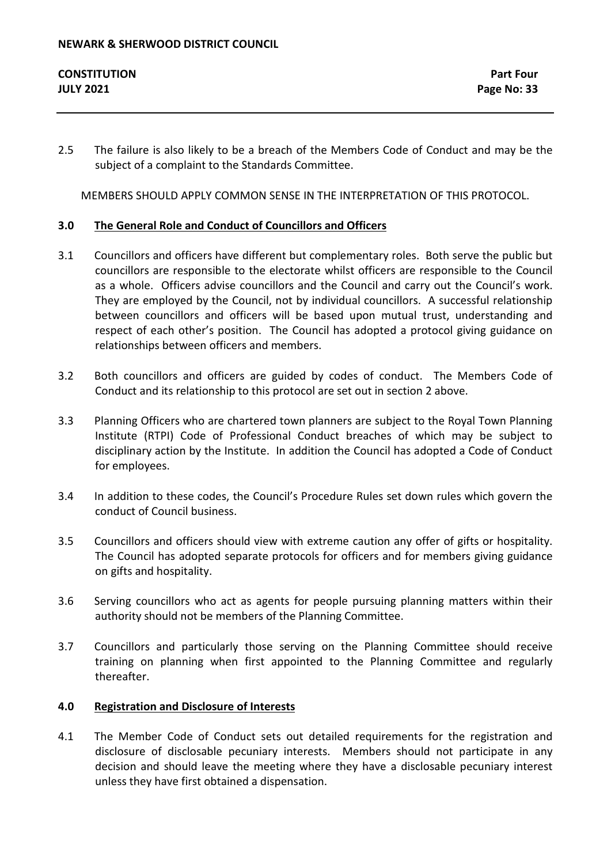| <b>CONSTITUTION</b> | <b>Part Four</b> |
|---------------------|------------------|
| <b>JULY 2021</b>    | Page No: 33      |

2.5 The failure is also likely to be a breach of the Members Code of Conduct and may be the subject of a complaint to the Standards Committee.

MEMBERS SHOULD APPLY COMMON SENSE IN THE INTERPRETATION OF THIS PROTOCOL.

# **3.0 The General Role and Conduct of Councillors and Officers**

- 3.1 Councillors and officers have different but complementary roles. Both serve the public but councillors are responsible to the electorate whilst officers are responsible to the Council as a whole. Officers advise councillors and the Council and carry out the Council's work. They are employed by the Council, not by individual councillors. A successful relationship between councillors and officers will be based upon mutual trust, understanding and respect of each other's position. The Council has adopted a protocol giving guidance on relationships between officers and members.
- 3.2 Both councillors and officers are guided by codes of conduct. The Members Code of Conduct and its relationship to this protocol are set out in section 2 above.
- 3.3 Planning Officers who are chartered town planners are subject to the Royal Town Planning Institute (RTPI) Code of Professional Conduct breaches of which may be subject to disciplinary action by the Institute. In addition the Council has adopted a Code of Conduct for employees.
- 3.4 In addition to these codes, the Council's Procedure Rules set down rules which govern the conduct of Council business.
- 3.5 Councillors and officers should view with extreme caution any offer of gifts or hospitality. The Council has adopted separate protocols for officers and for members giving guidance on gifts and hospitality.
- 3.6 Serving councillors who act as agents for people pursuing planning matters within their authority should not be members of the Planning Committee.
- 3.7 Councillors and particularly those serving on the Planning Committee should receive training on planning when first appointed to the Planning Committee and regularly thereafter.

# **4.0 Registration and Disclosure of Interests**

4.1 The Member Code of Conduct sets out detailed requirements for the registration and disclosure of disclosable pecuniary interests. Members should not participate in any decision and should leave the meeting where they have a disclosable pecuniary interest unless they have first obtained a dispensation.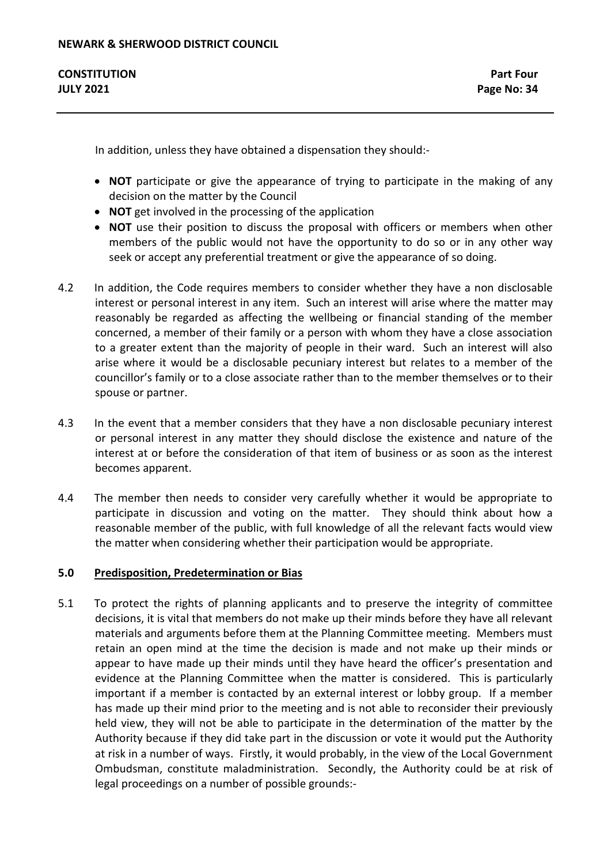In addition, unless they have obtained a dispensation they should:-

- **NOT** participate or give the appearance of trying to participate in the making of any decision on the matter by the Council
- **NOT** get involved in the processing of the application
- **NOT** use their position to discuss the proposal with officers or members when other members of the public would not have the opportunity to do so or in any other way seek or accept any preferential treatment or give the appearance of so doing.
- 4.2 In addition, the Code requires members to consider whether they have a non disclosable interest or personal interest in any item. Such an interest will arise where the matter may reasonably be regarded as affecting the wellbeing or financial standing of the member concerned, a member of their family or a person with whom they have a close association to a greater extent than the majority of people in their ward. Such an interest will also arise where it would be a disclosable pecuniary interest but relates to a member of the councillor's family or to a close associate rather than to the member themselves or to their spouse or partner.
- 4.3 In the event that a member considers that they have a non disclosable pecuniary interest or personal interest in any matter they should disclose the existence and nature of the interest at or before the consideration of that item of business or as soon as the interest becomes apparent.
- 4.4 The member then needs to consider very carefully whether it would be appropriate to participate in discussion and voting on the matter. They should think about how a reasonable member of the public, with full knowledge of all the relevant facts would view the matter when considering whether their participation would be appropriate.

# **5.0 Predisposition, Predetermination or Bias**

5.1 To protect the rights of planning applicants and to preserve the integrity of committee decisions, it is vital that members do not make up their minds before they have all relevant materials and arguments before them at the Planning Committee meeting. Members must retain an open mind at the time the decision is made and not make up their minds or appear to have made up their minds until they have heard the officer's presentation and evidence at the Planning Committee when the matter is considered. This is particularly important if a member is contacted by an external interest or lobby group. If a member has made up their mind prior to the meeting and is not able to reconsider their previously held view, they will not be able to participate in the determination of the matter by the Authority because if they did take part in the discussion or vote it would put the Authority at risk in a number of ways. Firstly, it would probably, in the view of the Local Government Ombudsman, constitute maladministration. Secondly, the Authority could be at risk of legal proceedings on a number of possible grounds:-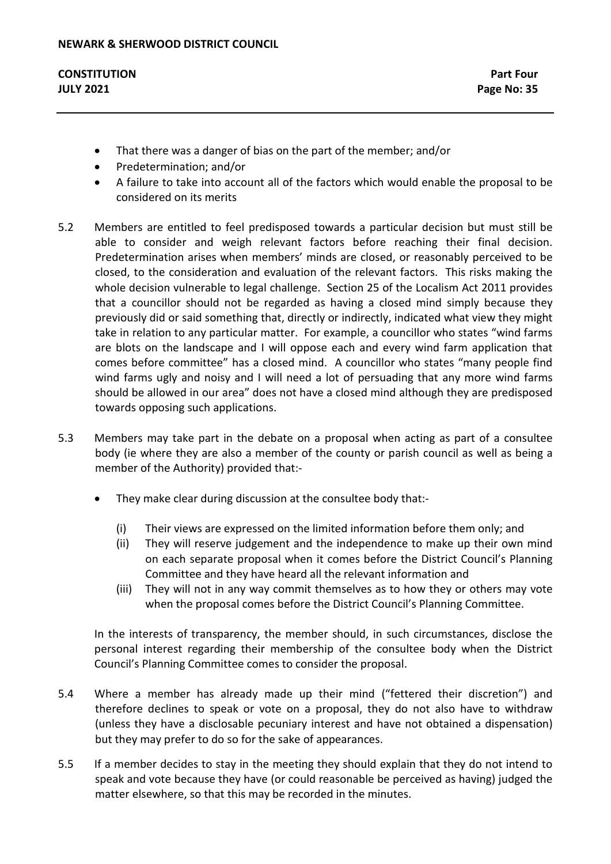- That there was a danger of bias on the part of the member; and/or
- Predetermination; and/or
- A failure to take into account all of the factors which would enable the proposal to be considered on its merits
- 5.2 Members are entitled to feel predisposed towards a particular decision but must still be able to consider and weigh relevant factors before reaching their final decision. Predetermination arises when members' minds are closed, or reasonably perceived to be closed, to the consideration and evaluation of the relevant factors. This risks making the whole decision vulnerable to legal challenge. Section 25 of the Localism Act 2011 provides that a councillor should not be regarded as having a closed mind simply because they previously did or said something that, directly or indirectly, indicated what view they might take in relation to any particular matter. For example, a councillor who states "wind farms are blots on the landscape and I will oppose each and every wind farm application that comes before committee" has a closed mind. A councillor who states "many people find wind farms ugly and noisy and I will need a lot of persuading that any more wind farms should be allowed in our area" does not have a closed mind although they are predisposed towards opposing such applications.
- 5.3 Members may take part in the debate on a proposal when acting as part of a consultee body (ie where they are also a member of the county or parish council as well as being a member of the Authority) provided that:-
	- They make clear during discussion at the consultee body that:-
		- (i) Their views are expressed on the limited information before them only; and
		- (ii) They will reserve judgement and the independence to make up their own mind on each separate proposal when it comes before the District Council's Planning Committee and they have heard all the relevant information and
		- (iii) They will not in any way commit themselves as to how they or others may vote when the proposal comes before the District Council's Planning Committee.

In the interests of transparency, the member should, in such circumstances, disclose the personal interest regarding their membership of the consultee body when the District Council's Planning Committee comes to consider the proposal.

- 5.4 Where a member has already made up their mind ("fettered their discretion") and therefore declines to speak or vote on a proposal, they do not also have to withdraw (unless they have a disclosable pecuniary interest and have not obtained a dispensation) but they may prefer to do so for the sake of appearances.
- 5.5 If a member decides to stay in the meeting they should explain that they do not intend to speak and vote because they have (or could reasonable be perceived as having) judged the matter elsewhere, so that this may be recorded in the minutes.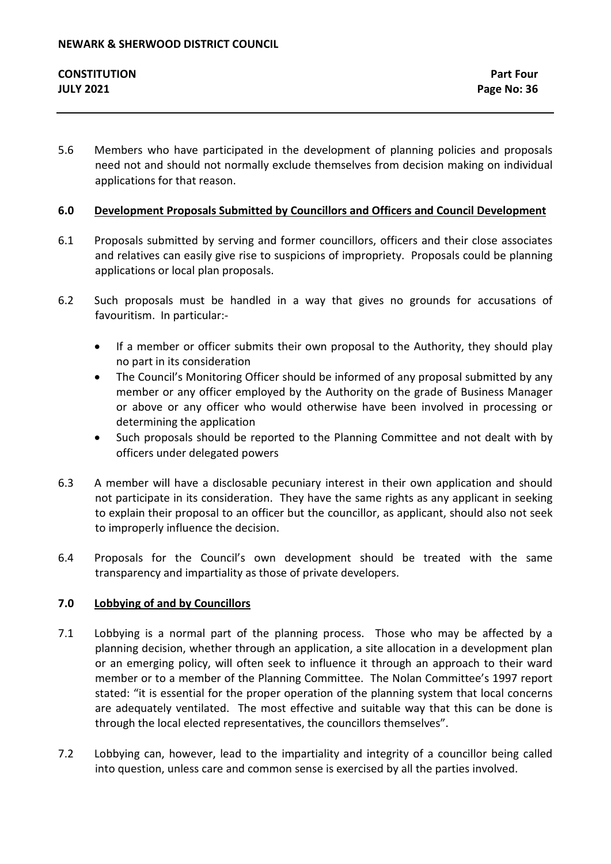5.6 Members who have participated in the development of planning policies and proposals need not and should not normally exclude themselves from decision making on individual applications for that reason.

# **6.0 Development Proposals Submitted by Councillors and Officers and Council Development**

- 6.1 Proposals submitted by serving and former councillors, officers and their close associates and relatives can easily give rise to suspicions of impropriety. Proposals could be planning applications or local plan proposals.
- 6.2 Such proposals must be handled in a way that gives no grounds for accusations of favouritism. In particular:-
	- If a member or officer submits their own proposal to the Authority, they should play no part in its consideration
	- The Council's Monitoring Officer should be informed of any proposal submitted by any member or any officer employed by the Authority on the grade of Business Manager or above or any officer who would otherwise have been involved in processing or determining the application
	- Such proposals should be reported to the Planning Committee and not dealt with by officers under delegated powers
- 6.3 A member will have a disclosable pecuniary interest in their own application and should not participate in its consideration. They have the same rights as any applicant in seeking to explain their proposal to an officer but the councillor, as applicant, should also not seek to improperly influence the decision.
- 6.4 Proposals for the Council's own development should be treated with the same transparency and impartiality as those of private developers.

# **7.0 Lobbying of and by Councillors**

- 7.1 Lobbying is a normal part of the planning process. Those who may be affected by a planning decision, whether through an application, a site allocation in a development plan or an emerging policy, will often seek to influence it through an approach to their ward member or to a member of the Planning Committee. The Nolan Committee's 1997 report stated: "it is essential for the proper operation of the planning system that local concerns are adequately ventilated. The most effective and suitable way that this can be done is through the local elected representatives, the councillors themselves".
- 7.2 Lobbying can, however, lead to the impartiality and integrity of a councillor being called into question, unless care and common sense is exercised by all the parties involved.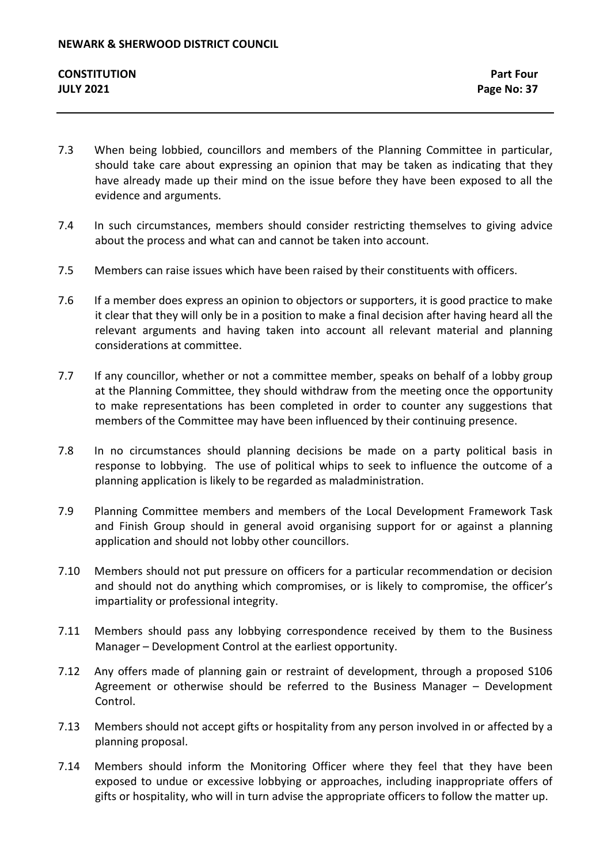- 7.3 When being lobbied, councillors and members of the Planning Committee in particular, should take care about expressing an opinion that may be taken as indicating that they have already made up their mind on the issue before they have been exposed to all the evidence and arguments.
- 7.4 In such circumstances, members should consider restricting themselves to giving advice about the process and what can and cannot be taken into account.
- 7.5 Members can raise issues which have been raised by their constituents with officers.
- 7.6 If a member does express an opinion to objectors or supporters, it is good practice to make it clear that they will only be in a position to make a final decision after having heard all the relevant arguments and having taken into account all relevant material and planning considerations at committee.
- 7.7 If any councillor, whether or not a committee member, speaks on behalf of a lobby group at the Planning Committee, they should withdraw from the meeting once the opportunity to make representations has been completed in order to counter any suggestions that members of the Committee may have been influenced by their continuing presence.
- 7.8 In no circumstances should planning decisions be made on a party political basis in response to lobbying. The use of political whips to seek to influence the outcome of a planning application is likely to be regarded as maladministration.
- 7.9 Planning Committee members and members of the Local Development Framework Task and Finish Group should in general avoid organising support for or against a planning application and should not lobby other councillors.
- 7.10 Members should not put pressure on officers for a particular recommendation or decision and should not do anything which compromises, or is likely to compromise, the officer's impartiality or professional integrity.
- 7.11 Members should pass any lobbying correspondence received by them to the Business Manager – Development Control at the earliest opportunity.
- 7.12 Any offers made of planning gain or restraint of development, through a proposed S106 Agreement or otherwise should be referred to the Business Manager – Development Control.
- 7.13 Members should not accept gifts or hospitality from any person involved in or affected by a planning proposal.
- 7.14 Members should inform the Monitoring Officer where they feel that they have been exposed to undue or excessive lobbying or approaches, including inappropriate offers of gifts or hospitality, who will in turn advise the appropriate officers to follow the matter up.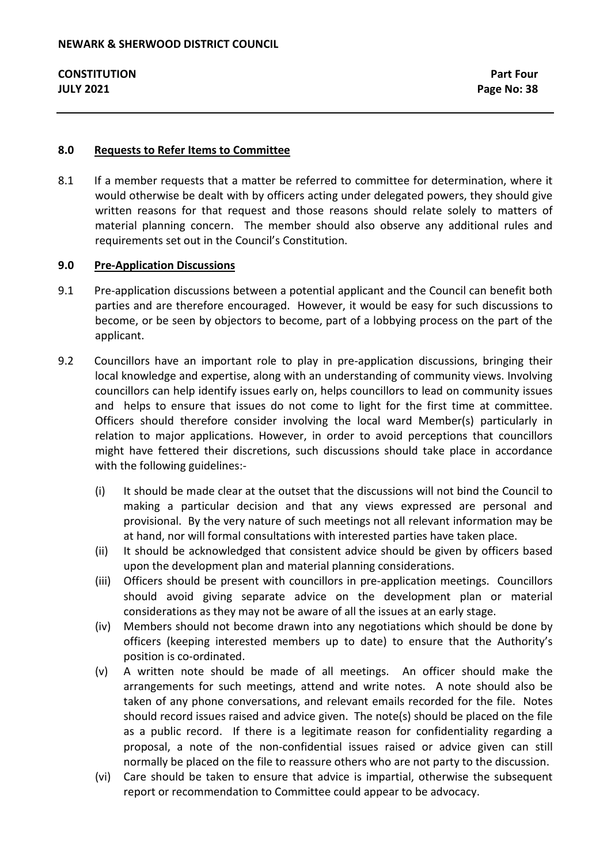#### **8.0 Requests to Refer Items to Committee**

8.1 If a member requests that a matter be referred to committee for determination, where it would otherwise be dealt with by officers acting under delegated powers, they should give written reasons for that request and those reasons should relate solely to matters of material planning concern. The member should also observe any additional rules and requirements set out in the Council's Constitution.

## **9.0 Pre-Application Discussions**

- 9.1 Pre-application discussions between a potential applicant and the Council can benefit both parties and are therefore encouraged. However, it would be easy for such discussions to become, or be seen by objectors to become, part of a lobbying process on the part of the applicant.
- 9.2 Councillors have an important role to play in pre-application discussions, bringing their local knowledge and expertise, along with an understanding of community views. Involving councillors can help identify issues early on, helps councillors to lead on community issues and helps to ensure that issues do not come to light for the first time at committee. Officers should therefore consider involving the local ward Member(s) particularly in relation to major applications. However, in order to avoid perceptions that councillors might have fettered their discretions, such discussions should take place in accordance with the following guidelines:-
	- (i) It should be made clear at the outset that the discussions will not bind the Council to making a particular decision and that any views expressed are personal and provisional. By the very nature of such meetings not all relevant information may be at hand, nor will formal consultations with interested parties have taken place.
	- (ii) It should be acknowledged that consistent advice should be given by officers based upon the development plan and material planning considerations.
	- (iii) Officers should be present with councillors in pre-application meetings. Councillors should avoid giving separate advice on the development plan or material considerations as they may not be aware of all the issues at an early stage.
	- (iv) Members should not become drawn into any negotiations which should be done by officers (keeping interested members up to date) to ensure that the Authority's position is co-ordinated.
	- (v) A written note should be made of all meetings. An officer should make the arrangements for such meetings, attend and write notes. A note should also be taken of any phone conversations, and relevant emails recorded for the file. Notes should record issues raised and advice given. The note(s) should be placed on the file as a public record. If there is a legitimate reason for confidentiality regarding a proposal, a note of the non-confidential issues raised or advice given can still normally be placed on the file to reassure others who are not party to the discussion.
	- (vi) Care should be taken to ensure that advice is impartial, otherwise the subsequent report or recommendation to Committee could appear to be advocacy.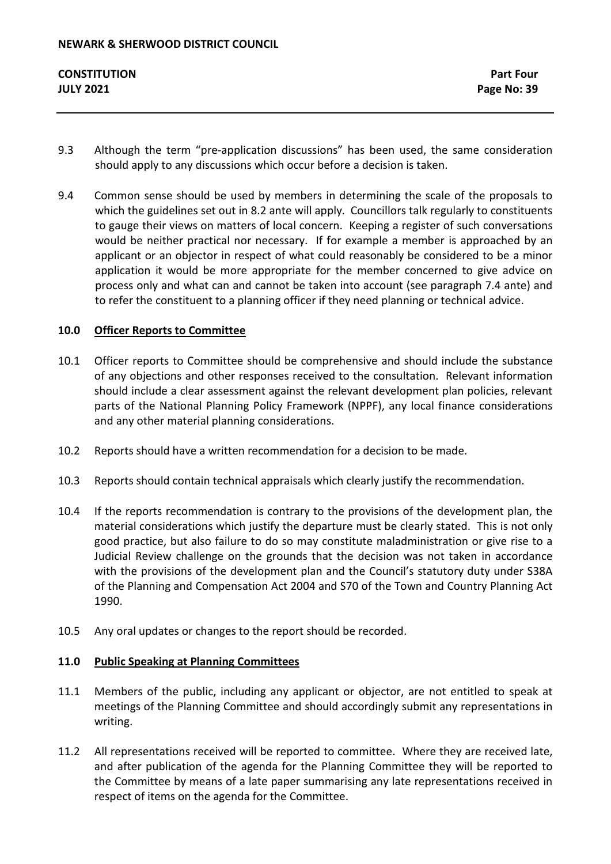- 9.3 Although the term "pre-application discussions" has been used, the same consideration should apply to any discussions which occur before a decision is taken.
- 9.4 Common sense should be used by members in determining the scale of the proposals to which the guidelines set out in 8.2 ante will apply. Councillors talk regularly to constituents to gauge their views on matters of local concern. Keeping a register of such conversations would be neither practical nor necessary. If for example a member is approached by an applicant or an objector in respect of what could reasonably be considered to be a minor application it would be more appropriate for the member concerned to give advice on process only and what can and cannot be taken into account (see paragraph 7.4 ante) and to refer the constituent to a planning officer if they need planning or technical advice.

# **10.0 Officer Reports to Committee**

- 10.1 Officer reports to Committee should be comprehensive and should include the substance of any objections and other responses received to the consultation. Relevant information should include a clear assessment against the relevant development plan policies, relevant parts of the National Planning Policy Framework (NPPF), any local finance considerations and any other material planning considerations.
- 10.2 Reports should have a written recommendation for a decision to be made.
- 10.3 Reports should contain technical appraisals which clearly justify the recommendation.
- 10.4 If the reports recommendation is contrary to the provisions of the development plan, the material considerations which justify the departure must be clearly stated. This is not only good practice, but also failure to do so may constitute maladministration or give rise to a Judicial Review challenge on the grounds that the decision was not taken in accordance with the provisions of the development plan and the Council's statutory duty under S38A of the Planning and Compensation Act 2004 and S70 of the Town and Country Planning Act 1990.
- 10.5 Any oral updates or changes to the report should be recorded.

## **11.0 Public Speaking at Planning Committees**

- 11.1 Members of the public, including any applicant or objector, are not entitled to speak at meetings of the Planning Committee and should accordingly submit any representations in writing.
- 11.2 All representations received will be reported to committee. Where they are received late, and after publication of the agenda for the Planning Committee they will be reported to the Committee by means of a late paper summarising any late representations received in respect of items on the agenda for the Committee.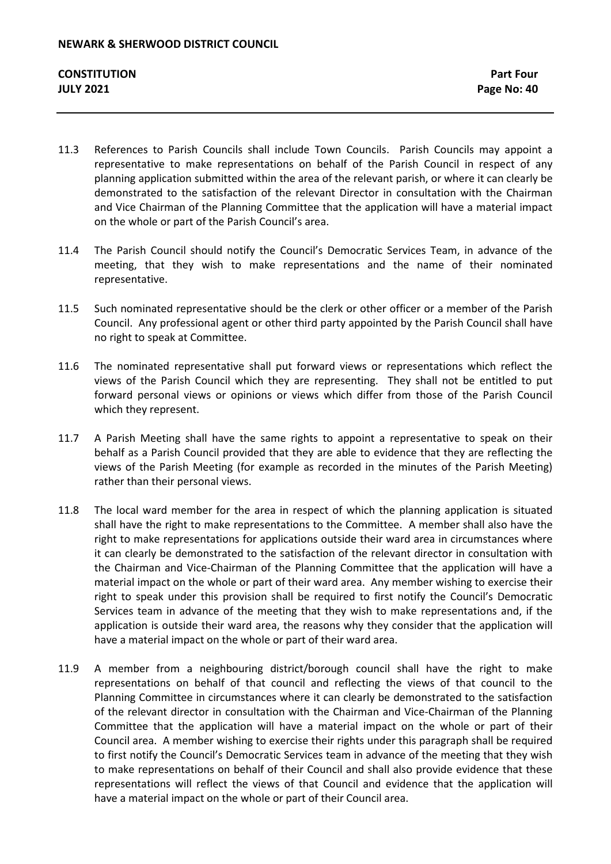- 11.3 References to Parish Councils shall include Town Councils. Parish Councils may appoint a representative to make representations on behalf of the Parish Council in respect of any planning application submitted within the area of the relevant parish, or where it can clearly be demonstrated to the satisfaction of the relevant Director in consultation with the Chairman and Vice Chairman of the Planning Committee that the application will have a material impact on the whole or part of the Parish Council's area.
- 11.4 The Parish Council should notify the Council's Democratic Services Team, in advance of the meeting, that they wish to make representations and the name of their nominated representative.
- 11.5 Such nominated representative should be the clerk or other officer or a member of the Parish Council. Any professional agent or other third party appointed by the Parish Council shall have no right to speak at Committee.
- 11.6 The nominated representative shall put forward views or representations which reflect the views of the Parish Council which they are representing. They shall not be entitled to put forward personal views or opinions or views which differ from those of the Parish Council which they represent.
- 11.7 A Parish Meeting shall have the same rights to appoint a representative to speak on their behalf as a Parish Council provided that they are able to evidence that they are reflecting the views of the Parish Meeting (for example as recorded in the minutes of the Parish Meeting) rather than their personal views.
- 11.8 The local ward member for the area in respect of which the planning application is situated shall have the right to make representations to the Committee. A member shall also have the right to make representations for applications outside their ward area in circumstances where it can clearly be demonstrated to the satisfaction of the relevant director in consultation with the Chairman and Vice-Chairman of the Planning Committee that the application will have a material impact on the whole or part of their ward area. Any member wishing to exercise their right to speak under this provision shall be required to first notify the Council's Democratic Services team in advance of the meeting that they wish to make representations and, if the application is outside their ward area, the reasons why they consider that the application will have a material impact on the whole or part of their ward area.
- 11.9 A member from a neighbouring district/borough council shall have the right to make representations on behalf of that council and reflecting the views of that council to the Planning Committee in circumstances where it can clearly be demonstrated to the satisfaction of the relevant director in consultation with the Chairman and Vice-Chairman of the Planning Committee that the application will have a material impact on the whole or part of their Council area. A member wishing to exercise their rights under this paragraph shall be required to first notify the Council's Democratic Services team in advance of the meeting that they wish to make representations on behalf of their Council and shall also provide evidence that these representations will reflect the views of that Council and evidence that the application will have a material impact on the whole or part of their Council area.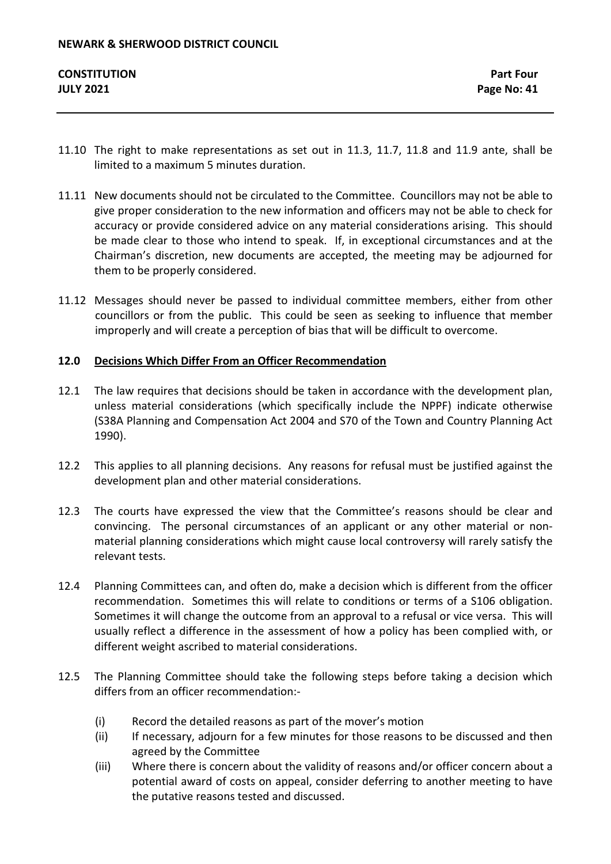- 11.10 The right to make representations as set out in 11.3, 11.7, 11.8 and 11.9 ante, shall be limited to a maximum 5 minutes duration.
- 11.11 New documents should not be circulated to the Committee. Councillors may not be able to give proper consideration to the new information and officers may not be able to check for accuracy or provide considered advice on any material considerations arising. This should be made clear to those who intend to speak. If, in exceptional circumstances and at the Chairman's discretion, new documents are accepted, the meeting may be adjourned for them to be properly considered.
- 11.12 Messages should never be passed to individual committee members, either from other councillors or from the public. This could be seen as seeking to influence that member improperly and will create a perception of bias that will be difficult to overcome.

# **12.0 Decisions Which Differ From an Officer Recommendation**

- 12.1 The law requires that decisions should be taken in accordance with the development plan, unless material considerations (which specifically include the NPPF) indicate otherwise (S38A Planning and Compensation Act 2004 and S70 of the Town and Country Planning Act 1990).
- 12.2 This applies to all planning decisions. Any reasons for refusal must be justified against the development plan and other material considerations.
- 12.3 The courts have expressed the view that the Committee's reasons should be clear and convincing. The personal circumstances of an applicant or any other material or nonmaterial planning considerations which might cause local controversy will rarely satisfy the relevant tests.
- 12.4 Planning Committees can, and often do, make a decision which is different from the officer recommendation. Sometimes this will relate to conditions or terms of a S106 obligation. Sometimes it will change the outcome from an approval to a refusal or vice versa. This will usually reflect a difference in the assessment of how a policy has been complied with, or different weight ascribed to material considerations.
- 12.5 The Planning Committee should take the following steps before taking a decision which differs from an officer recommendation:-
	- (i) Record the detailed reasons as part of the mover's motion
	- (ii) If necessary, adjourn for a few minutes for those reasons to be discussed and then agreed by the Committee
	- (iii) Where there is concern about the validity of reasons and/or officer concern about a potential award of costs on appeal, consider deferring to another meeting to have the putative reasons tested and discussed.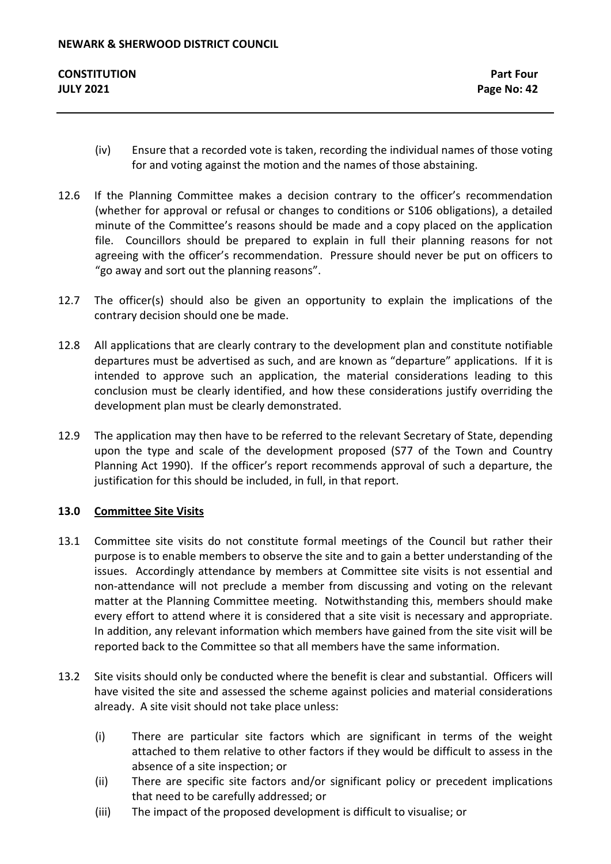- (iv) Ensure that a recorded vote is taken, recording the individual names of those voting for and voting against the motion and the names of those abstaining.
- 12.6 If the Planning Committee makes a decision contrary to the officer's recommendation (whether for approval or refusal or changes to conditions or S106 obligations), a detailed minute of the Committee's reasons should be made and a copy placed on the application file. Councillors should be prepared to explain in full their planning reasons for not agreeing with the officer's recommendation. Pressure should never be put on officers to "go away and sort out the planning reasons".
- 12.7 The officer(s) should also be given an opportunity to explain the implications of the contrary decision should one be made.
- 12.8 All applications that are clearly contrary to the development plan and constitute notifiable departures must be advertised as such, and are known as "departure" applications. If it is intended to approve such an application, the material considerations leading to this conclusion must be clearly identified, and how these considerations justify overriding the development plan must be clearly demonstrated.
- 12.9 The application may then have to be referred to the relevant Secretary of State, depending upon the type and scale of the development proposed (S77 of the Town and Country Planning Act 1990). If the officer's report recommends approval of such a departure, the justification for this should be included, in full, in that report.

# **13.0 Committee Site Visits**

- 13.1 Committee site visits do not constitute formal meetings of the Council but rather their purpose is to enable members to observe the site and to gain a better understanding of the issues. Accordingly attendance by members at Committee site visits is not essential and non-attendance will not preclude a member from discussing and voting on the relevant matter at the Planning Committee meeting. Notwithstanding this, members should make every effort to attend where it is considered that a site visit is necessary and appropriate. In addition, any relevant information which members have gained from the site visit will be reported back to the Committee so that all members have the same information.
- 13.2 Site visits should only be conducted where the benefit is clear and substantial. Officers will have visited the site and assessed the scheme against policies and material considerations already. A site visit should not take place unless:
	- (i) There are particular site factors which are significant in terms of the weight attached to them relative to other factors if they would be difficult to assess in the absence of a site inspection; or
	- (ii) There are specific site factors and/or significant policy or precedent implications that need to be carefully addressed; or
	- (iii) The impact of the proposed development is difficult to visualise; or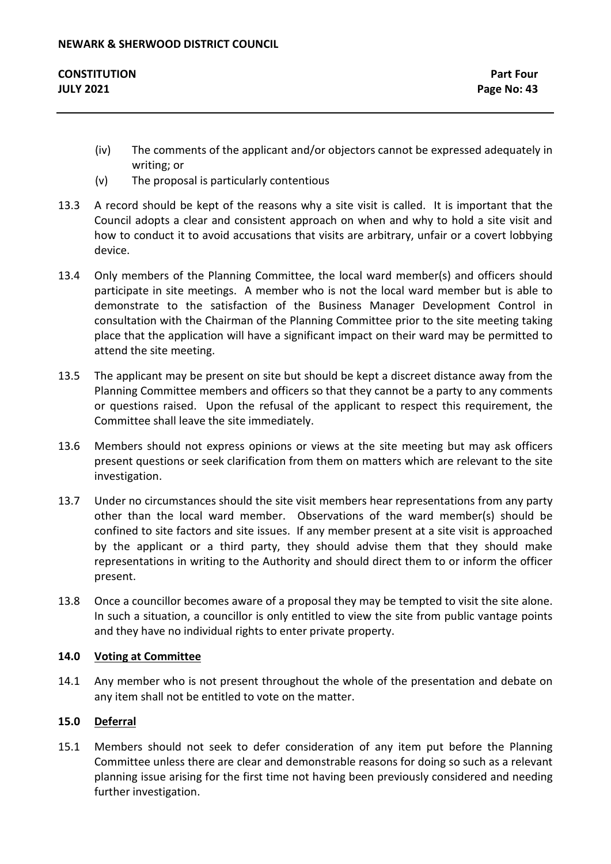| <b>CONSTITUTION</b> | <b>Part Four</b> |
|---------------------|------------------|
| <b>JULY 2021</b>    | Page No: 43      |

- (iv) The comments of the applicant and/or objectors cannot be expressed adequately in writing; or
- (v) The proposal is particularly contentious
- 13.3 A record should be kept of the reasons why a site visit is called. It is important that the Council adopts a clear and consistent approach on when and why to hold a site visit and how to conduct it to avoid accusations that visits are arbitrary, unfair or a covert lobbying device.
- 13.4 Only members of the Planning Committee, the local ward member(s) and officers should participate in site meetings. A member who is not the local ward member but is able to demonstrate to the satisfaction of the Business Manager Development Control in consultation with the Chairman of the Planning Committee prior to the site meeting taking place that the application will have a significant impact on their ward may be permitted to attend the site meeting.
- 13.5 The applicant may be present on site but should be kept a discreet distance away from the Planning Committee members and officers so that they cannot be a party to any comments or questions raised. Upon the refusal of the applicant to respect this requirement, the Committee shall leave the site immediately.
- 13.6 Members should not express opinions or views at the site meeting but may ask officers present questions or seek clarification from them on matters which are relevant to the site investigation.
- 13.7 Under no circumstances should the site visit members hear representations from any party other than the local ward member. Observations of the ward member(s) should be confined to site factors and site issues. If any member present at a site visit is approached by the applicant or a third party, they should advise them that they should make representations in writing to the Authority and should direct them to or inform the officer present.
- 13.8 Once a councillor becomes aware of a proposal they may be tempted to visit the site alone. In such a situation, a councillor is only entitled to view the site from public vantage points and they have no individual rights to enter private property.

# **14.0 Voting at Committee**

14.1 Any member who is not present throughout the whole of the presentation and debate on any item shall not be entitled to vote on the matter.

## **15.0 Deferral**

15.1 Members should not seek to defer consideration of any item put before the Planning Committee unless there are clear and demonstrable reasons for doing so such as a relevant planning issue arising for the first time not having been previously considered and needing further investigation.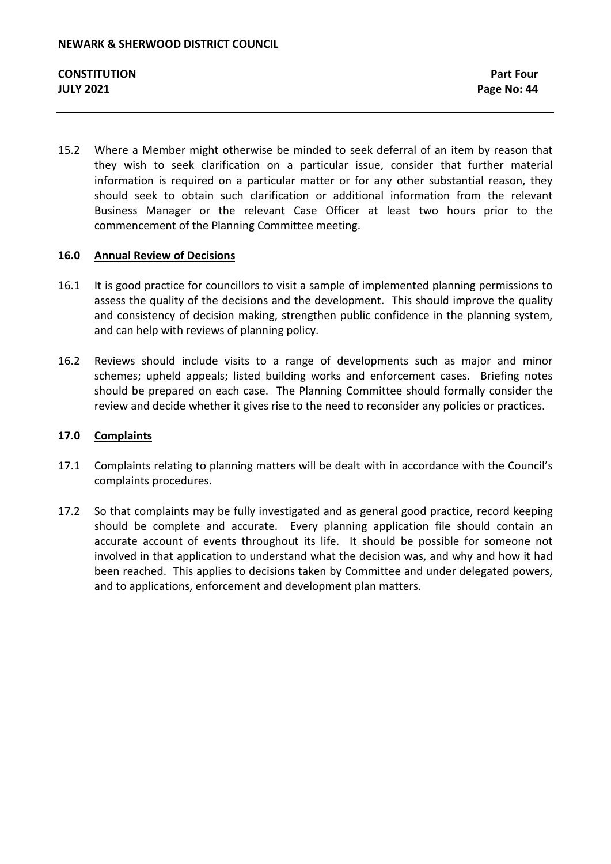15.2 Where a Member might otherwise be minded to seek deferral of an item by reason that they wish to seek clarification on a particular issue, consider that further material information is required on a particular matter or for any other substantial reason, they should seek to obtain such clarification or additional information from the relevant Business Manager or the relevant Case Officer at least two hours prior to the commencement of the Planning Committee meeting.

## **16.0 Annual Review of Decisions**

- 16.1 It is good practice for councillors to visit a sample of implemented planning permissions to assess the quality of the decisions and the development. This should improve the quality and consistency of decision making, strengthen public confidence in the planning system, and can help with reviews of planning policy.
- 16.2 Reviews should include visits to a range of developments such as major and minor schemes; upheld appeals; listed building works and enforcement cases. Briefing notes should be prepared on each case. The Planning Committee should formally consider the review and decide whether it gives rise to the need to reconsider any policies or practices.

#### **17.0 Complaints**

- 17.1 Complaints relating to planning matters will be dealt with in accordance with the Council's complaints procedures.
- 17.2 So that complaints may be fully investigated and as general good practice, record keeping should be complete and accurate. Every planning application file should contain an accurate account of events throughout its life. It should be possible for someone not involved in that application to understand what the decision was, and why and how it had been reached. This applies to decisions taken by Committee and under delegated powers, and to applications, enforcement and development plan matters.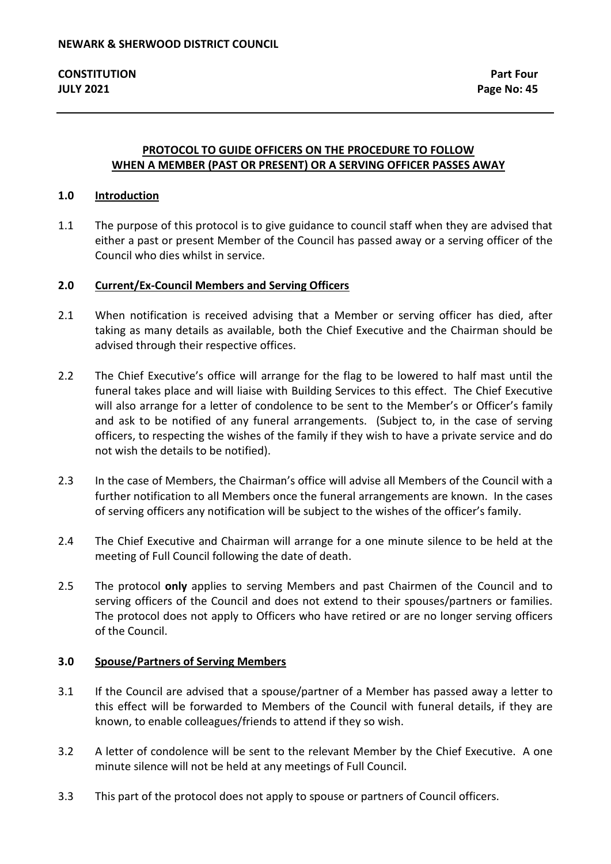# **PROTOCOL TO GUIDE OFFICERS ON THE PROCEDURE TO FOLLOW WHEN A MEMBER (PAST OR PRESENT) OR A SERVING OFFICER PASSES AWAY**

## **1.0 Introduction**

1.1 The purpose of this protocol is to give guidance to council staff when they are advised that either a past or present Member of the Council has passed away or a serving officer of the Council who dies whilst in service.

#### **2.0 Current/Ex-Council Members and Serving Officers**

- 2.1 When notification is received advising that a Member or serving officer has died, after taking as many details as available, both the Chief Executive and the Chairman should be advised through their respective offices.
- 2.2 The Chief Executive's office will arrange for the flag to be lowered to half mast until the funeral takes place and will liaise with Building Services to this effect. The Chief Executive will also arrange for a letter of condolence to be sent to the Member's or Officer's family and ask to be notified of any funeral arrangements. (Subject to, in the case of serving officers, to respecting the wishes of the family if they wish to have a private service and do not wish the details to be notified).
- 2.3 In the case of Members, the Chairman's office will advise all Members of the Council with a further notification to all Members once the funeral arrangements are known. In the cases of serving officers any notification will be subject to the wishes of the officer's family.
- 2.4 The Chief Executive and Chairman will arrange for a one minute silence to be held at the meeting of Full Council following the date of death.
- 2.5 The protocol **only** applies to serving Members and past Chairmen of the Council and to serving officers of the Council and does not extend to their spouses/partners or families. The protocol does not apply to Officers who have retired or are no longer serving officers of the Council.

#### **3.0 Spouse/Partners of Serving Members**

- 3.1 If the Council are advised that a spouse/partner of a Member has passed away a letter to this effect will be forwarded to Members of the Council with funeral details, if they are known, to enable colleagues/friends to attend if they so wish.
- 3.2 A letter of condolence will be sent to the relevant Member by the Chief Executive. A one minute silence will not be held at any meetings of Full Council.
- 3.3 This part of the protocol does not apply to spouse or partners of Council officers.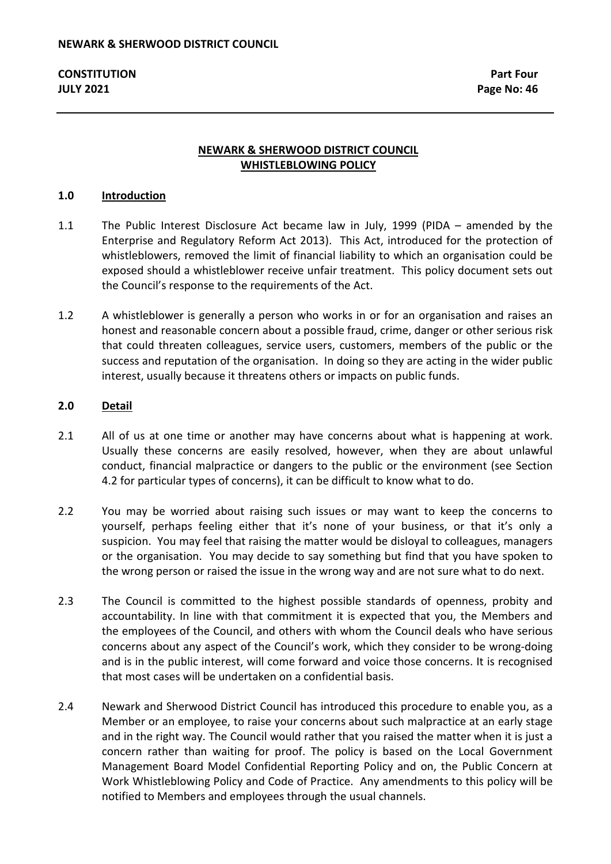# **NEWARK & SHERWOOD DISTRICT COUNCIL WHISTLEBLOWING POLICY**

### **1.0 Introduction**

- 1.1 The Public Interest Disclosure Act became law in July, 1999 (PIDA amended by the Enterprise and Regulatory Reform Act 2013). This Act, introduced for the protection of whistleblowers, removed the limit of financial liability to which an organisation could be exposed should a whistleblower receive unfair treatment. This policy document sets out the Council's response to the requirements of the Act.
- 1.2 A whistleblower is generally a person who works in or for an organisation and raises an honest and reasonable concern about a possible fraud, crime, danger or other serious risk that could threaten colleagues, service users, customers, members of the public or the success and reputation of the organisation. In doing so they are acting in the wider public interest, usually because it threatens others or impacts on public funds.

#### **2.0 Detail**

- 2.1 All of us at one time or another may have concerns about what is happening at work. Usually these concerns are easily resolved, however, when they are about unlawful conduct, financial malpractice or dangers to the public or the environment (see Section 4.2 for particular types of concerns), it can be difficult to know what to do.
- 2.2 You may be worried about raising such issues or may want to keep the concerns to yourself, perhaps feeling either that it's none of your business, or that it's only a suspicion. You may feel that raising the matter would be disloyal to colleagues, managers or the organisation. You may decide to say something but find that you have spoken to the wrong person or raised the issue in the wrong way and are not sure what to do next.
- 2.3 The Council is committed to the highest possible standards of openness, probity and accountability. In line with that commitment it is expected that you, the Members and the employees of the Council, and others with whom the Council deals who have serious concerns about any aspect of the Council's work, which they consider to be wrong-doing and is in the public interest, will come forward and voice those concerns. It is recognised that most cases will be undertaken on a confidential basis.
- 2.4 Newark and Sherwood District Council has introduced this procedure to enable you, as a Member or an employee, to raise your concerns about such malpractice at an early stage and in the right way. The Council would rather that you raised the matter when it is just a concern rather than waiting for proof. The policy is based on the Local Government Management Board Model Confidential Reporting Policy and on, the Public Concern at Work Whistleblowing Policy and Code of Practice. Any amendments to this policy will be notified to Members and employees through the usual channels.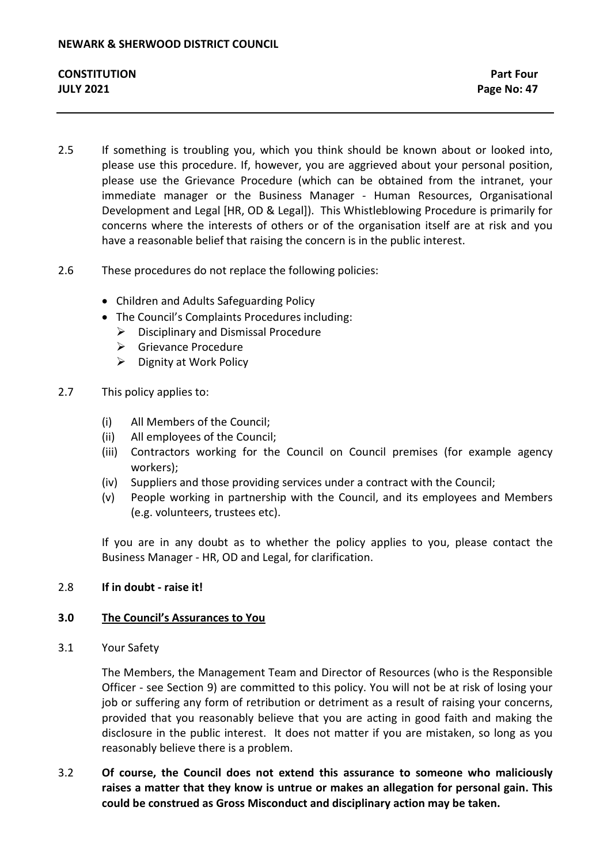- 2.5 If something is troubling you, which you think should be known about or looked into, please use this procedure. If, however, you are aggrieved about your personal position, please use the Grievance Procedure (which can be obtained from the intranet, your immediate manager or the Business Manager - Human Resources, Organisational Development and Legal [HR, OD & Legal]). This Whistleblowing Procedure is primarily for concerns where the interests of others or of the organisation itself are at risk and you have a reasonable belief that raising the concern is in the public interest.
- 2.6 These procedures do not replace the following policies:
	- Children and Adults Safeguarding Policy
	- The Council's Complaints Procedures including:
		- $\triangleright$  Disciplinary and Dismissal Procedure
		- **►** Grievance Procedure
		- $\triangleright$  Dignity at Work Policy
- 2.7 This policy applies to:
	- (i) All Members of the Council;
	- (ii) All employees of the Council;
	- (iii) Contractors working for the Council on Council premises (for example agency workers);
	- (iv) Suppliers and those providing services under a contract with the Council;
	- (v) People working in partnership with the Council, and its employees and Members (e.g. volunteers, trustees etc).

If you are in any doubt as to whether the policy applies to you, please contact the Business Manager - HR, OD and Legal, for clarification.

## 2.8 **If in doubt - raise it!**

## **3.0 The Council's Assurances to You**

3.1 Your Safety

The Members, the Management Team and Director of Resources (who is the Responsible Officer - see Section 9) are committed to this policy. You will not be at risk of losing your job or suffering any form of retribution or detriment as a result of raising your concerns, provided that you reasonably believe that you are acting in good faith and making the disclosure in the public interest. It does not matter if you are mistaken, so long as you reasonably believe there is a problem.

3.2 **Of course, the Council does not extend this assurance to someone who maliciously raises a matter that they know is untrue or makes an allegation for personal gain. This could be construed as Gross Misconduct and disciplinary action may be taken.**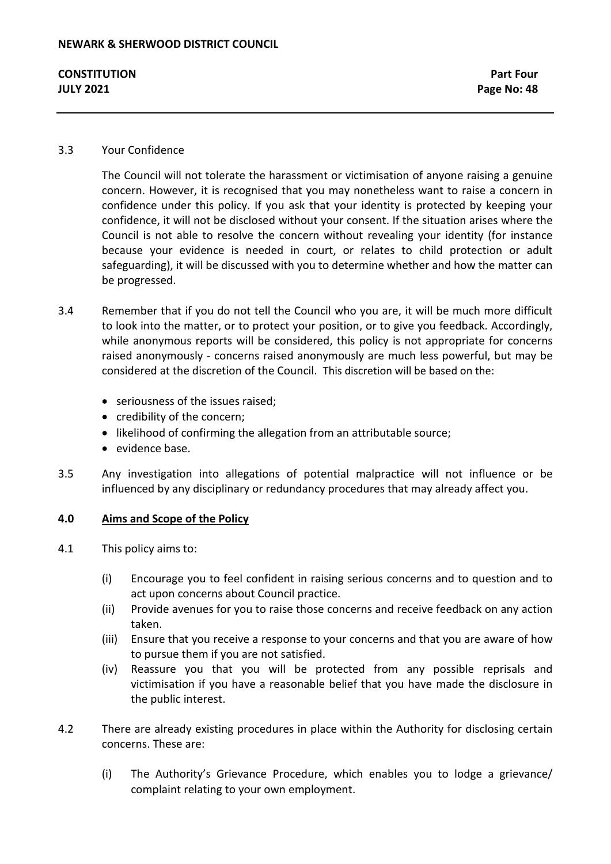### 3.3 Your Confidence

The Council will not tolerate the harassment or victimisation of anyone raising a genuine concern. However, it is recognised that you may nonetheless want to raise a concern in confidence under this policy. If you ask that your identity is protected by keeping your confidence, it will not be disclosed without your consent. If the situation arises where the Council is not able to resolve the concern without revealing your identity (for instance because your evidence is needed in court, or relates to child protection or adult safeguarding), it will be discussed with you to determine whether and how the matter can be progressed.

- 3.4 Remember that if you do not tell the Council who you are, it will be much more difficult to look into the matter, or to protect your position, or to give you feedback. Accordingly, while anonymous reports will be considered, this policy is not appropriate for concerns raised anonymously - concerns raised anonymously are much less powerful, but may be considered at the discretion of the Council. This discretion will be based on the:
	- seriousness of the issues raised;
	- credibility of the concern;
	- likelihood of confirming the allegation from an attributable source;
	- evidence base.
- 3.5 Any investigation into allegations of potential malpractice will not influence or be influenced by any disciplinary or redundancy procedures that may already affect you.

## **4.0 Aims and Scope of the Policy**

- 4.1 This policy aims to:
	- (i) Encourage you to feel confident in raising serious concerns and to question and to act upon concerns about Council practice.
	- (ii) Provide avenues for you to raise those concerns and receive feedback on any action taken.
	- (iii) Ensure that you receive a response to your concerns and that you are aware of how to pursue them if you are not satisfied.
	- (iv) Reassure you that you will be protected from any possible reprisals and victimisation if you have a reasonable belief that you have made the disclosure in the public interest.
- 4.2 There are already existing procedures in place within the Authority for disclosing certain concerns. These are:
	- (i) The Authority's Grievance Procedure, which enables you to lodge a grievance/ complaint relating to your own employment.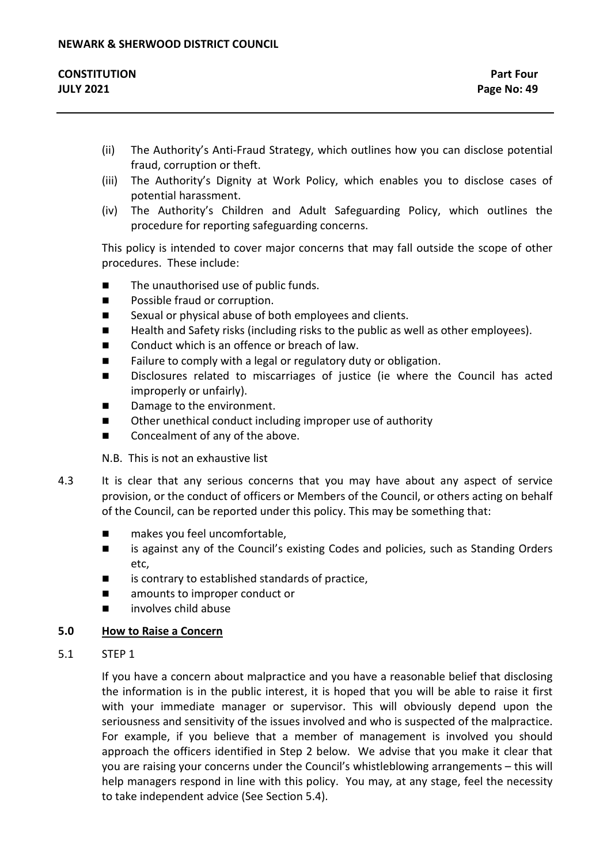| <b>CONSTITUTION</b> | <b>Part Four</b> |
|---------------------|------------------|
| <b>JULY 2021</b>    | Page No: 49      |

- (ii) The Authority's Anti-Fraud Strategy, which outlines how you can disclose potential fraud, corruption or theft.
- (iii) The Authority's Dignity at Work Policy, which enables you to disclose cases of potential harassment.
- (iv) The Authority's Children and Adult Safeguarding Policy, which outlines the procedure for reporting safeguarding concerns.

This policy is intended to cover major concerns that may fall outside the scope of other procedures. These include:

- The unauthorised use of public funds.
- Possible fraud or corruption.
- Sexual or physical abuse of both employees and clients.
- Health and Safety risks (including risks to the public as well as other employees).
- Conduct which is an offence or breach of law.
- Failure to comply with a legal or regulatory duty or obligation.
- **Disclosures related to miscarriages of justice (ie where the Council has acted** improperly or unfairly).
- Damage to the environment.
- Other unethical conduct including improper use of authority
- Concealment of any of the above.

N.B. This is not an exhaustive list

- 4.3 It is clear that any serious concerns that you may have about any aspect of service provision, or the conduct of officers or Members of the Council, or others acting on behalf of the Council, can be reported under this policy. This may be something that:
	- makes you feel uncomfortable,
	- is against any of the Council's existing Codes and policies, such as Standing Orders etc,
	- is contrary to established standards of practice,
	- amounts to improper conduct or
	- involves child abuse

# **5.0 How to Raise a Concern**

5.1 STEP 1

If you have a concern about malpractice and you have a reasonable belief that disclosing the information is in the public interest, it is hoped that you will be able to raise it first with your immediate manager or supervisor. This will obviously depend upon the seriousness and sensitivity of the issues involved and who is suspected of the malpractice. For example, if you believe that a member of management is involved you should approach the officers identified in Step 2 below. We advise that you make it clear that you are raising your concerns under the Council's whistleblowing arrangements – this will help managers respond in line with this policy. You may, at any stage, feel the necessity to take independent advice (See Section 5.4).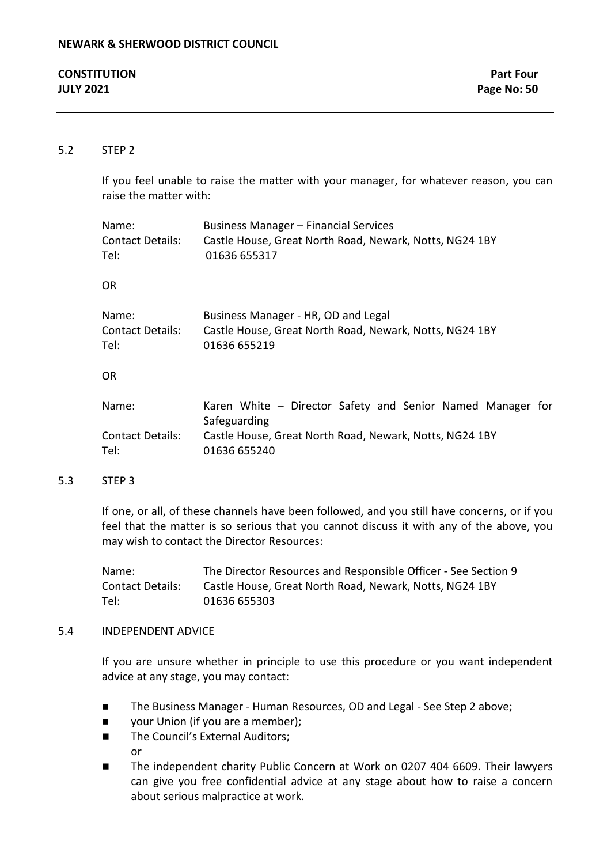| <b>CONSTITUTION</b> | <b>Part Four</b> |
|---------------------|------------------|
| <b>JULY 2021</b>    | Page No: 50      |

## 5.2 STEP 2

If you feel unable to raise the matter with your manager, for whatever reason, you can raise the matter with:

| Name:<br><b>Contact Details:</b><br>Tel: | <b>Business Manager - Financial Services</b><br>Castle House, Great North Road, Newark, Notts, NG24 1BY<br>01636 655317 |
|------------------------------------------|-------------------------------------------------------------------------------------------------------------------------|
| <b>OR</b>                                |                                                                                                                         |
| Name:<br><b>Contact Details:</b><br>Tel: | Business Manager - HR, OD and Legal<br>Castle House, Great North Road, Newark, Notts, NG24 1BY<br>01636 655219          |
| <b>OR</b>                                |                                                                                                                         |
| Name:                                    | Karen White - Director Safety and Senior Named Manager for<br>Safeguarding                                              |
| <b>Contact Details:</b>                  | Castle House, Great North Road, Newark, Notts, NG24 1BY                                                                 |

Tel: 01636 655240

#### 5.3 STEP 3

If one, or all, of these channels have been followed, and you still have concerns, or if you feel that the matter is so serious that you cannot discuss it with any of the above, you may wish to contact the Director Resources:

Name: The Director Resources and Responsible Officer - See Section 9 Contact Details: Castle House, Great North Road, Newark, Notts, NG24 1BY Tel: 01636 655303

#### 5.4 INDEPENDENT ADVICE

If you are unsure whether in principle to use this procedure or you want independent advice at any stage, you may contact:

- The Business Manager Human Resources, OD and Legal See Step 2 above;
- **v** your Union (if you are a member);
- The Council's External Auditors: or
- The independent charity Public Concern at Work on 0207 404 6609. Their lawyers can give you free confidential advice at any stage about how to raise a concern about serious malpractice at work.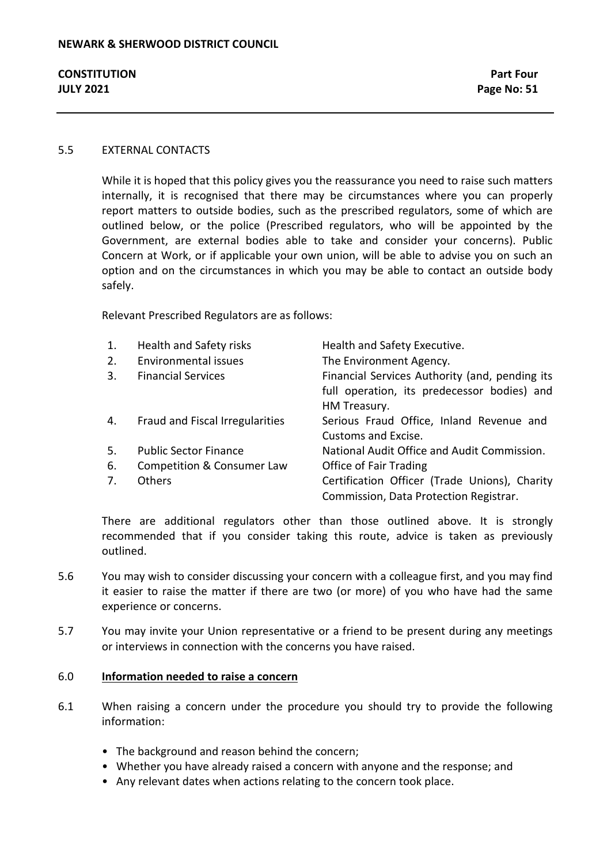### 5.5 EXTERNAL CONTACTS

While it is hoped that this policy gives you the reassurance you need to raise such matters internally, it is recognised that there may be circumstances where you can properly report matters to outside bodies, such as the prescribed regulators, some of which are outlined below, or the police (Prescribed regulators, who will be appointed by the Government, are external bodies able to take and consider your concerns). Public Concern at Work, or if applicable your own union, will be able to advise you on such an option and on the circumstances in which you may be able to contact an outside body safely.

Relevant Prescribed Regulators are as follows:

| 1.<br>2. | Health and Safety risks<br>Environmental issues | Health and Safety Executive.<br>The Environment Agency.                                                       |
|----------|-------------------------------------------------|---------------------------------------------------------------------------------------------------------------|
| 3.       | <b>Financial Services</b>                       | Financial Services Authority (and, pending its<br>full operation, its predecessor bodies) and<br>HM Treasury. |
| 4.       | Fraud and Fiscal Irregularities                 | Serious Fraud Office, Inland Revenue and<br>Customs and Excise.                                               |
| 5.       | <b>Public Sector Finance</b>                    | National Audit Office and Audit Commission.                                                                   |
| 6.       | Competition & Consumer Law                      | Office of Fair Trading                                                                                        |
| 7.       | <b>Others</b>                                   | Certification Officer (Trade Unions), Charity<br>Commission, Data Protection Registrar.                       |

There are additional regulators other than those outlined above. It is strongly recommended that if you consider taking this route, advice is taken as previously outlined.

- 5.6 You may wish to consider discussing your concern with a colleague first, and you may find it easier to raise the matter if there are two (or more) of you who have had the same experience or concerns.
- 5.7 You may invite your Union representative or a friend to be present during any meetings or interviews in connection with the concerns you have raised.

#### 6.0 **Information needed to raise a concern**

- 6.1 When raising a concern under the procedure you should try to provide the following information:
	- The background and reason behind the concern;
	- Whether you have already raised a concern with anyone and the response; and
	- Any relevant dates when actions relating to the concern took place.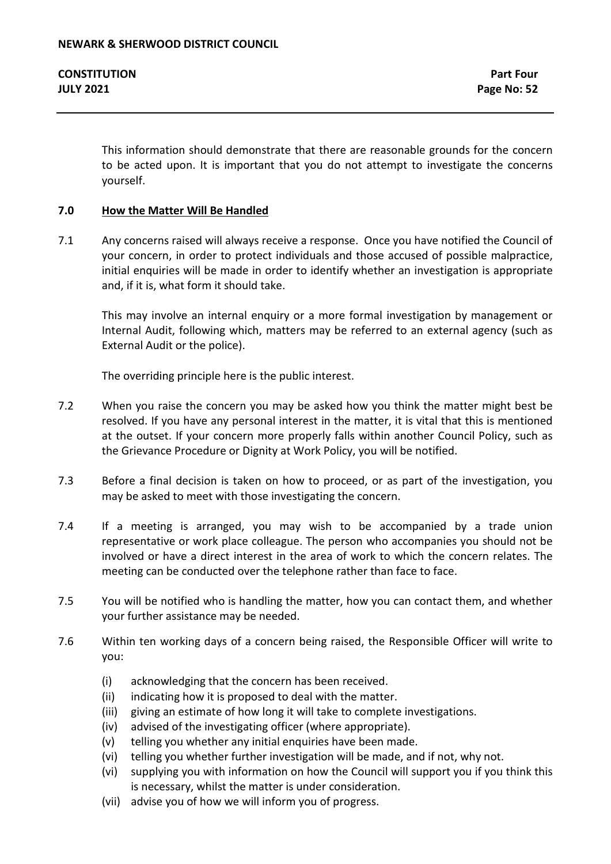This information should demonstrate that there are reasonable grounds for the concern to be acted upon. It is important that you do not attempt to investigate the concerns yourself.

## **7.0 How the Matter Will Be Handled**

7.1 Any concerns raised will always receive a response. Once you have notified the Council of your concern, in order to protect individuals and those accused of possible malpractice, initial enquiries will be made in order to identify whether an investigation is appropriate and, if it is, what form it should take.

This may involve an internal enquiry or a more formal investigation by management or Internal Audit, following which, matters may be referred to an external agency (such as External Audit or the police).

The overriding principle here is the public interest.

- 7.2 When you raise the concern you may be asked how you think the matter might best be resolved. If you have any personal interest in the matter, it is vital that this is mentioned at the outset. If your concern more properly falls within another Council Policy, such as the Grievance Procedure or Dignity at Work Policy, you will be notified.
- 7.3 Before a final decision is taken on how to proceed, or as part of the investigation, you may be asked to meet with those investigating the concern.
- 7.4 If a meeting is arranged, you may wish to be accompanied by a trade union representative or work place colleague. The person who accompanies you should not be involved or have a direct interest in the area of work to which the concern relates. The meeting can be conducted over the telephone rather than face to face.
- 7.5 You will be notified who is handling the matter, how you can contact them, and whether your further assistance may be needed.
- 7.6 Within ten working days of a concern being raised, the Responsible Officer will write to you:
	- (i) acknowledging that the concern has been received.
	- (ii) indicating how it is proposed to deal with the matter.
	- (iii) giving an estimate of how long it will take to complete investigations.
	- (iv) advised of the investigating officer (where appropriate).
	- (v) telling you whether any initial enquiries have been made.
	- (vi) telling you whether further investigation will be made, and if not, why not.
	- (vi) supplying you with information on how the Council will support you if you think this is necessary, whilst the matter is under consideration.
	- (vii) advise you of how we will inform you of progress.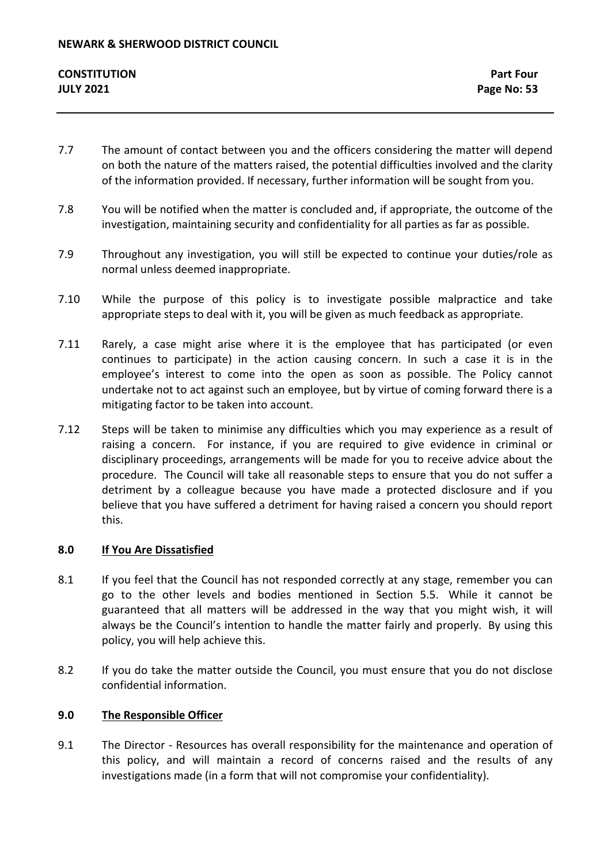- 7.7 The amount of contact between you and the officers considering the matter will depend on both the nature of the matters raised, the potential difficulties involved and the clarity of the information provided. If necessary, further information will be sought from you.
- 7.8 You will be notified when the matter is concluded and, if appropriate, the outcome of the investigation, maintaining security and confidentiality for all parties as far as possible.
- 7.9 Throughout any investigation, you will still be expected to continue your duties/role as normal unless deemed inappropriate.
- 7.10 While the purpose of this policy is to investigate possible malpractice and take appropriate steps to deal with it, you will be given as much feedback as appropriate.
- 7.11 Rarely, a case might arise where it is the employee that has participated (or even continues to participate) in the action causing concern. In such a case it is in the employee's interest to come into the open as soon as possible. The Policy cannot undertake not to act against such an employee, but by virtue of coming forward there is a mitigating factor to be taken into account.
- 7.12 Steps will be taken to minimise any difficulties which you may experience as a result of raising a concern. For instance, if you are required to give evidence in criminal or disciplinary proceedings, arrangements will be made for you to receive advice about the procedure. The Council will take all reasonable steps to ensure that you do not suffer a detriment by a colleague because you have made a protected disclosure and if you believe that you have suffered a detriment for having raised a concern you should report this.

## **8.0 If You Are Dissatisfied**

- 8.1 If you feel that the Council has not responded correctly at any stage, remember you can go to the other levels and bodies mentioned in Section 5.5. While it cannot be guaranteed that all matters will be addressed in the way that you might wish, it will always be the Council's intention to handle the matter fairly and properly. By using this policy, you will help achieve this.
- 8.2 If you do take the matter outside the Council, you must ensure that you do not disclose confidential information.

## **9.0 The Responsible Officer**

9.1 The Director - Resources has overall responsibility for the maintenance and operation of this policy, and will maintain a record of concerns raised and the results of any investigations made (in a form that will not compromise your confidentiality).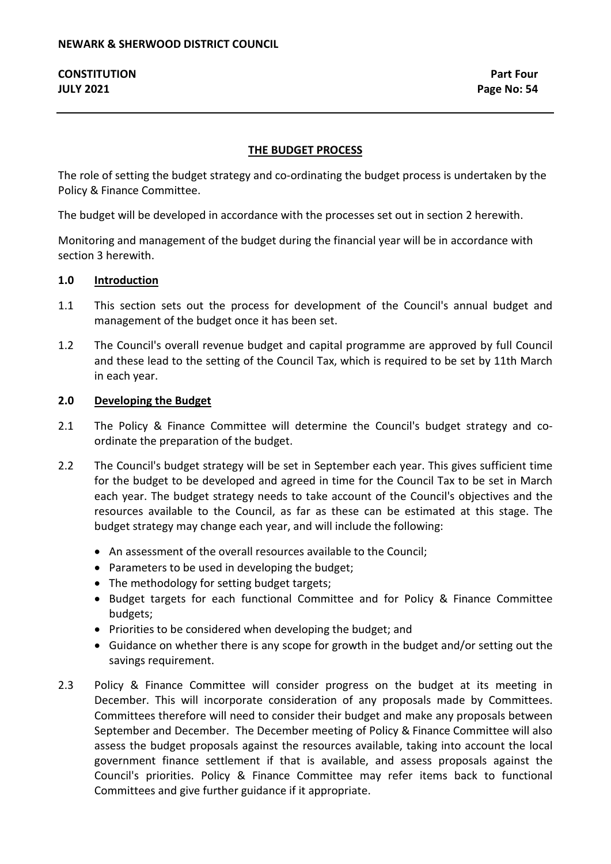### **THE BUDGET PROCESS**

The role of setting the budget strategy and co-ordinating the budget process is undertaken by the Policy & Finance Committee.

The budget will be developed in accordance with the processes set out in section 2 herewith.

Monitoring and management of the budget during the financial year will be in accordance with section 3 herewith.

#### **1.0 Introduction**

- 1.1 This section sets out the process for development of the Council's annual budget and management of the budget once it has been set.
- 1.2 The Council's overall revenue budget and capital programme are approved by full Council and these lead to the setting of the Council Tax, which is required to be set by 11th March in each year.

#### **2.0 Developing the Budget**

- 2.1 The Policy & Finance Committee will determine the Council's budget strategy and coordinate the preparation of the budget.
- 2.2 The Council's budget strategy will be set in September each year. This gives sufficient time for the budget to be developed and agreed in time for the Council Tax to be set in March each year. The budget strategy needs to take account of the Council's objectives and the resources available to the Council, as far as these can be estimated at this stage. The budget strategy may change each year, and will include the following:
	- An assessment of the overall resources available to the Council;
	- Parameters to be used in developing the budget;
	- The methodology for setting budget targets;
	- Budget targets for each functional Committee and for Policy & Finance Committee budgets;
	- Priorities to be considered when developing the budget; and
	- Guidance on whether there is any scope for growth in the budget and/or setting out the savings requirement.
- 2.3 Policy & Finance Committee will consider progress on the budget at its meeting in December. This will incorporate consideration of any proposals made by Committees. Committees therefore will need to consider their budget and make any proposals between September and December. The December meeting of Policy & Finance Committee will also assess the budget proposals against the resources available, taking into account the local government finance settlement if that is available, and assess proposals against the Council's priorities. Policy & Finance Committee may refer items back to functional Committees and give further guidance if it appropriate.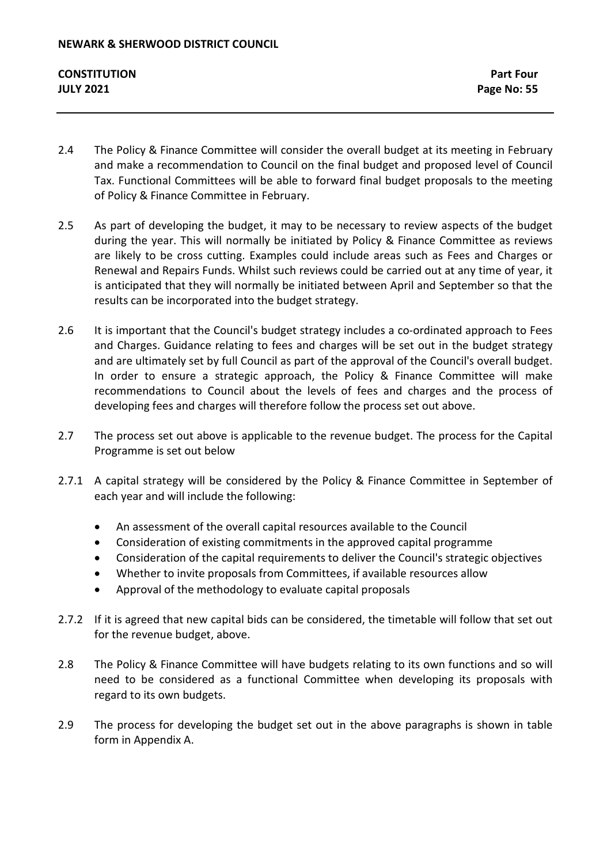- 2.4 The Policy & Finance Committee will consider the overall budget at its meeting in February and make a recommendation to Council on the final budget and proposed level of Council Tax. Functional Committees will be able to forward final budget proposals to the meeting of Policy & Finance Committee in February.
- 2.5 As part of developing the budget, it may to be necessary to review aspects of the budget during the year. This will normally be initiated by Policy & Finance Committee as reviews are likely to be cross cutting. Examples could include areas such as Fees and Charges or Renewal and Repairs Funds. Whilst such reviews could be carried out at any time of year, it is anticipated that they will normally be initiated between April and September so that the results can be incorporated into the budget strategy.
- 2.6 It is important that the Council's budget strategy includes a co-ordinated approach to Fees and Charges. Guidance relating to fees and charges will be set out in the budget strategy and are ultimately set by full Council as part of the approval of the Council's overall budget. In order to ensure a strategic approach, the Policy & Finance Committee will make recommendations to Council about the levels of fees and charges and the process of developing fees and charges will therefore follow the process set out above.
- 2.7 The process set out above is applicable to the revenue budget. The process for the Capital Programme is set out below
- 2.7.1 A capital strategy will be considered by the Policy & Finance Committee in September of each year and will include the following:
	- An assessment of the overall capital resources available to the Council
	- Consideration of existing commitments in the approved capital programme
	- Consideration of the capital requirements to deliver the Council's strategic objectives
	- Whether to invite proposals from Committees, if available resources allow
	- Approval of the methodology to evaluate capital proposals
- 2.7.2 If it is agreed that new capital bids can be considered, the timetable will follow that set out for the revenue budget, above.
- 2.8 The Policy & Finance Committee will have budgets relating to its own functions and so will need to be considered as a functional Committee when developing its proposals with regard to its own budgets.
- 2.9 The process for developing the budget set out in the above paragraphs is shown in table form in Appendix A.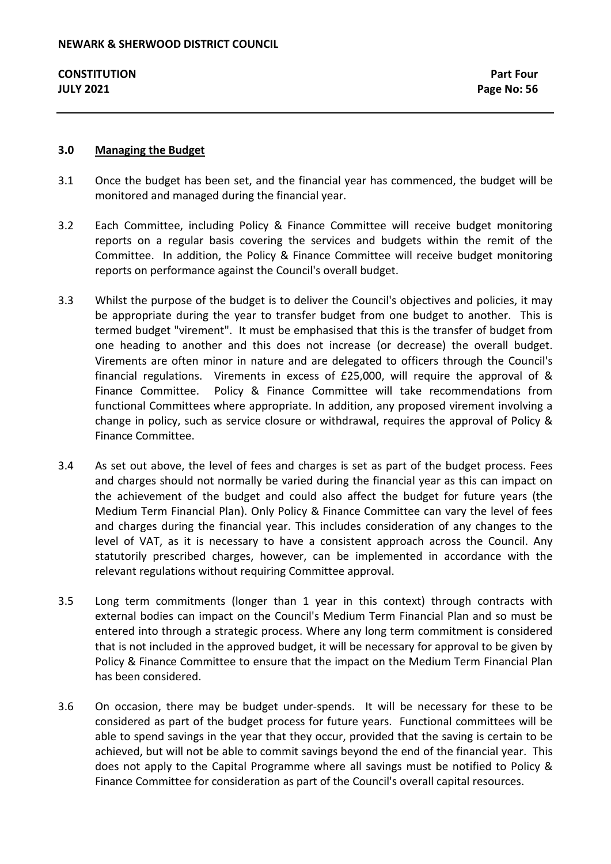#### **3.0 Managing the Budget**

- 3.1 Once the budget has been set, and the financial year has commenced, the budget will be monitored and managed during the financial year.
- 3.2 Each Committee, including Policy & Finance Committee will receive budget monitoring reports on a regular basis covering the services and budgets within the remit of the Committee. In addition, the Policy & Finance Committee will receive budget monitoring reports on performance against the Council's overall budget.
- 3.3 Whilst the purpose of the budget is to deliver the Council's objectives and policies, it may be appropriate during the year to transfer budget from one budget to another. This is termed budget "virement". It must be emphasised that this is the transfer of budget from one heading to another and this does not increase (or decrease) the overall budget. Virements are often minor in nature and are delegated to officers through the Council's financial regulations. Virements in excess of £25,000, will require the approval of & Finance Committee. Policy & Finance Committee will take recommendations from functional Committees where appropriate. In addition, any proposed virement involving a change in policy, such as service closure or withdrawal, requires the approval of Policy & Finance Committee.
- 3.4 As set out above, the level of fees and charges is set as part of the budget process. Fees and charges should not normally be varied during the financial year as this can impact on the achievement of the budget and could also affect the budget for future years (the Medium Term Financial Plan). Only Policy & Finance Committee can vary the level of fees and charges during the financial year. This includes consideration of any changes to the level of VAT, as it is necessary to have a consistent approach across the Council. Any statutorily prescribed charges, however, can be implemented in accordance with the relevant regulations without requiring Committee approval.
- 3.5 Long term commitments (longer than 1 year in this context) through contracts with external bodies can impact on the Council's Medium Term Financial Plan and so must be entered into through a strategic process. Where any long term commitment is considered that is not included in the approved budget, it will be necessary for approval to be given by Policy & Finance Committee to ensure that the impact on the Medium Term Financial Plan has been considered.
- 3.6 On occasion, there may be budget under-spends. It will be necessary for these to be considered as part of the budget process for future years. Functional committees will be able to spend savings in the year that they occur, provided that the saving is certain to be achieved, but will not be able to commit savings beyond the end of the financial year. This does not apply to the Capital Programme where all savings must be notified to Policy & Finance Committee for consideration as part of the Council's overall capital resources.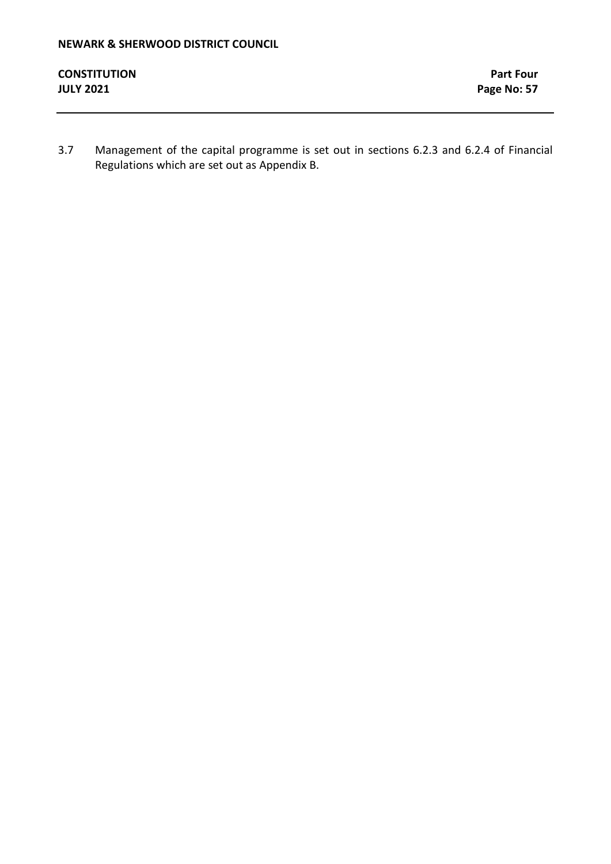3.7 Management of the capital programme is set out in sections 6.2.3 and 6.2.4 of Financial Regulations which are set out as Appendix B.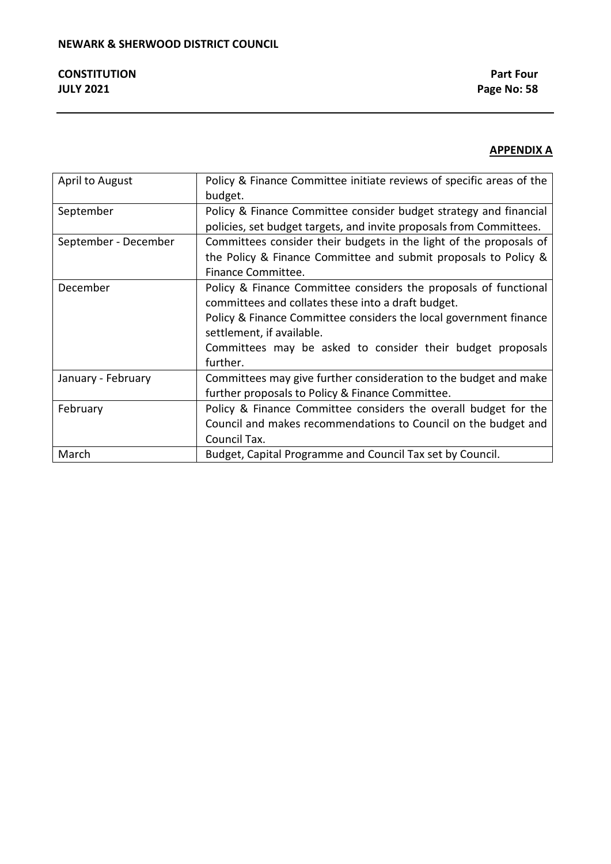# **APPENDIX A**

| April to August      | Policy & Finance Committee initiate reviews of specific areas of the |
|----------------------|----------------------------------------------------------------------|
|                      | budget.                                                              |
| September            | Policy & Finance Committee consider budget strategy and financial    |
|                      | policies, set budget targets, and invite proposals from Committees.  |
| September - December | Committees consider their budgets in the light of the proposals of   |
|                      | the Policy & Finance Committee and submit proposals to Policy &      |
|                      | Finance Committee.                                                   |
| December             | Policy & Finance Committee considers the proposals of functional     |
|                      | committees and collates these into a draft budget.                   |
|                      | Policy & Finance Committee considers the local government finance    |
|                      | settlement, if available.                                            |
|                      | Committees may be asked to consider their budget proposals           |
|                      | further.                                                             |
| January - February   | Committees may give further consideration to the budget and make     |
|                      | further proposals to Policy & Finance Committee.                     |
| February             | Policy & Finance Committee considers the overall budget for the      |
|                      | Council and makes recommendations to Council on the budget and       |
|                      | Council Tax.                                                         |
| March                | Budget, Capital Programme and Council Tax set by Council.            |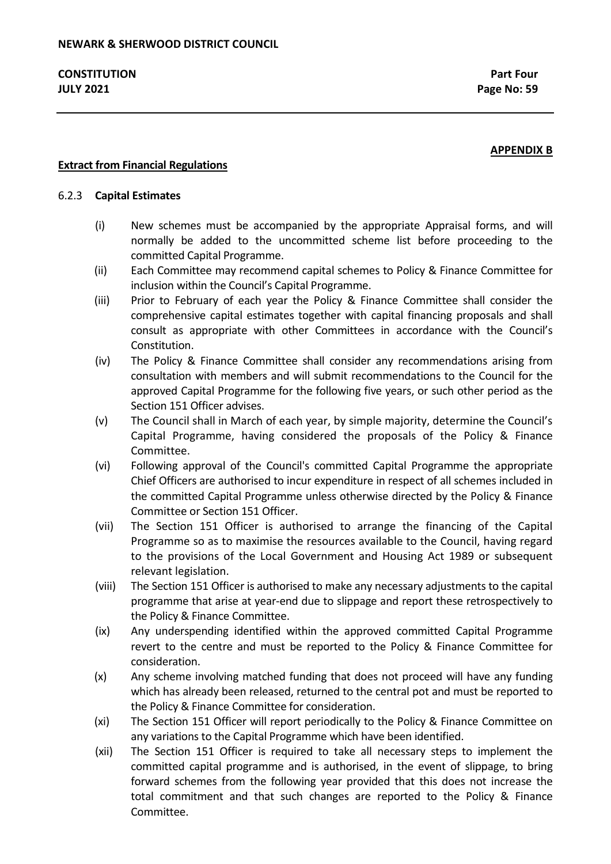## **APPENDIX B**

## **Extract from Financial Regulations**

#### 6.2.3 **Capital Estimates**

- (i) New schemes must be accompanied by the appropriate Appraisal forms, and will normally be added to the uncommitted scheme list before proceeding to the committed Capital Programme.
- (ii) Each Committee may recommend capital schemes to Policy & Finance Committee for inclusion within the Council's Capital Programme.
- (iii) Prior to February of each year the Policy & Finance Committee shall consider the comprehensive capital estimates together with capital financing proposals and shall consult as appropriate with other Committees in accordance with the Council's Constitution.
- (iv) The Policy & Finance Committee shall consider any recommendations arising from consultation with members and will submit recommendations to the Council for the approved Capital Programme for the following five years, or such other period as the Section 151 Officer advises.
- (v) The Council shall in March of each year, by simple majority, determine the Council's Capital Programme, having considered the proposals of the Policy & Finance Committee.
- (vi) Following approval of the Council's committed Capital Programme the appropriate Chief Officers are authorised to incur expenditure in respect of all schemes included in the committed Capital Programme unless otherwise directed by the Policy & Finance Committee or Section 151 Officer.
- (vii) The Section 151 Officer is authorised to arrange the financing of the Capital Programme so as to maximise the resources available to the Council, having regard to the provisions of the Local Government and Housing Act 1989 or subsequent relevant legislation.
- (viii) The Section 151 Officer is authorised to make any necessary adjustments to the capital programme that arise at year-end due to slippage and report these retrospectively to the Policy & Finance Committee.
- (ix) Any underspending identified within the approved committed Capital Programme revert to the centre and must be reported to the Policy & Finance Committee for consideration.
- (x) Any scheme involving matched funding that does not proceed will have any funding which has already been released, returned to the central pot and must be reported to the Policy & Finance Committee for consideration.
- (xi) The Section 151 Officer will report periodically to the Policy & Finance Committee on any variations to the Capital Programme which have been identified.
- (xii) The Section 151 Officer is required to take all necessary steps to implement the committed capital programme and is authorised, in the event of slippage, to bring forward schemes from the following year provided that this does not increase the total commitment and that such changes are reported to the Policy & Finance Committee.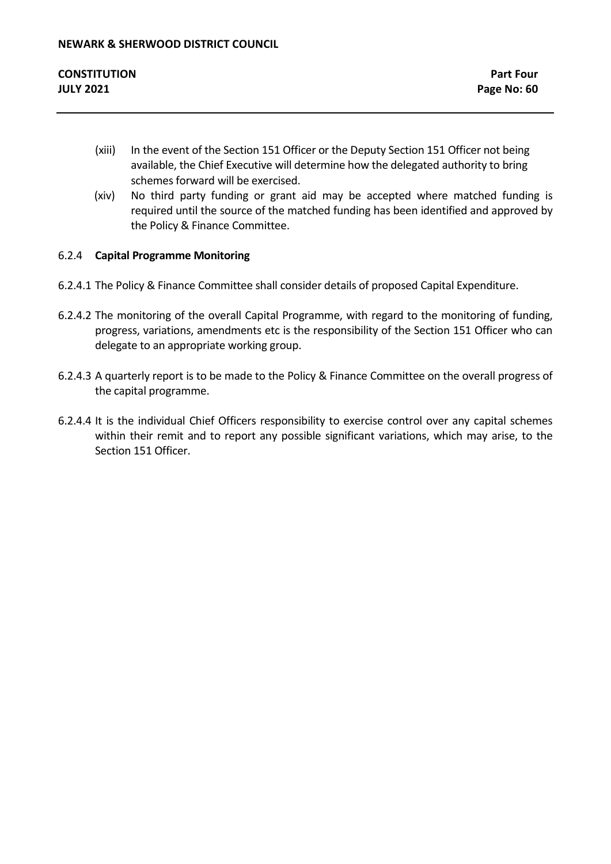- (xiii) In the event of the Section 151 Officer or the Deputy Section 151 Officer not being available, the Chief Executive will determine how the delegated authority to bring schemes forward will be exercised.
- (xiv) No third party funding or grant aid may be accepted where matched funding is required until the source of the matched funding has been identified and approved by the Policy & Finance Committee.

# 6.2.4 **Capital Programme Monitoring**

- 6.2.4.1 The Policy & Finance Committee shall consider details of proposed Capital Expenditure.
- 6.2.4.2 The monitoring of the overall Capital Programme, with regard to the monitoring of funding, progress, variations, amendments etc is the responsibility of the Section 151 Officer who can delegate to an appropriate working group.
- 6.2.4.3 A quarterly report is to be made to the Policy & Finance Committee on the overall progress of the capital programme.
- 6.2.4.4 It is the individual Chief Officers responsibility to exercise control over any capital schemes within their remit and to report any possible significant variations, which may arise, to the Section 151 Officer.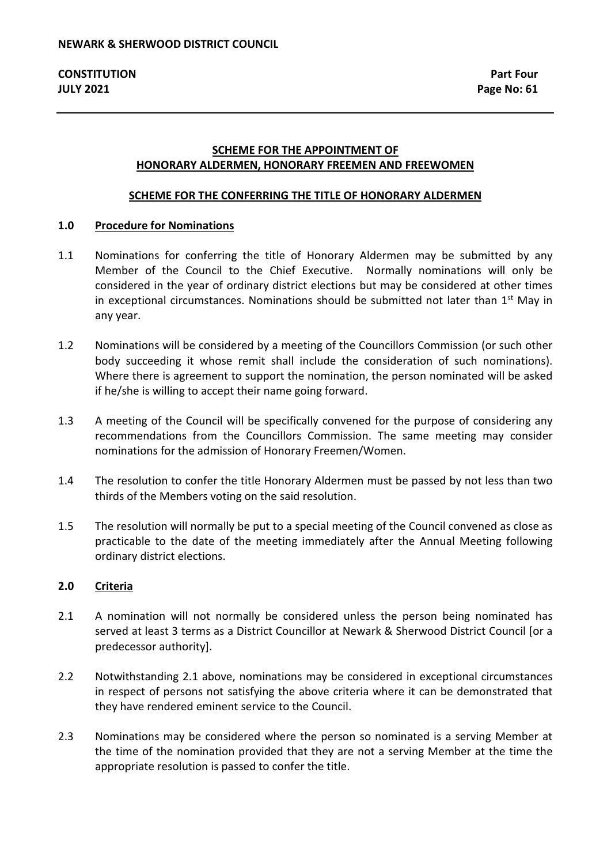## **SCHEME FOR THE APPOINTMENT OF HONORARY ALDERMEN, HONORARY FREEMEN AND FREEWOMEN**

#### **SCHEME FOR THE CONFERRING THE TITLE OF HONORARY ALDERMEN**

#### **1.0 Procedure for Nominations**

- 1.1 Nominations for conferring the title of Honorary Aldermen may be submitted by any Member of the Council to the Chief Executive. Normally nominations will only be considered in the year of ordinary district elections but may be considered at other times in exceptional circumstances. Nominations should be submitted not later than  $1<sup>st</sup>$  May in any year.
- 1.2 Nominations will be considered by a meeting of the Councillors Commission (or such other body succeeding it whose remit shall include the consideration of such nominations). Where there is agreement to support the nomination, the person nominated will be asked if he/she is willing to accept their name going forward.
- 1.3 A meeting of the Council will be specifically convened for the purpose of considering any recommendations from the Councillors Commission. The same meeting may consider nominations for the admission of Honorary Freemen/Women.
- 1.4 The resolution to confer the title Honorary Aldermen must be passed by not less than two thirds of the Members voting on the said resolution.
- 1.5 The resolution will normally be put to a special meeting of the Council convened as close as practicable to the date of the meeting immediately after the Annual Meeting following ordinary district elections.

#### **2.0 Criteria**

- 2.1 A nomination will not normally be considered unless the person being nominated has served at least 3 terms as a District Councillor at Newark & Sherwood District Council [or a predecessor authority].
- 2.2 Notwithstanding 2.1 above, nominations may be considered in exceptional circumstances in respect of persons not satisfying the above criteria where it can be demonstrated that they have rendered eminent service to the Council.
- 2.3 Nominations may be considered where the person so nominated is a serving Member at the time of the nomination provided that they are not a serving Member at the time the appropriate resolution is passed to confer the title.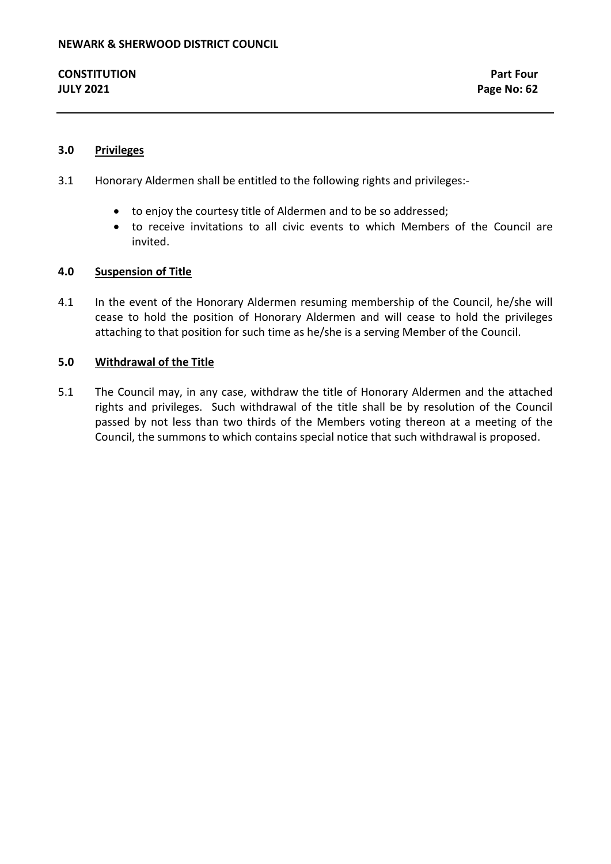### **3.0 Privileges**

- 3.1 Honorary Aldermen shall be entitled to the following rights and privileges:-
	- to enjoy the courtesy title of Aldermen and to be so addressed;
	- to receive invitations to all civic events to which Members of the Council are invited.

#### **4.0 Suspension of Title**

4.1 In the event of the Honorary Aldermen resuming membership of the Council, he/she will cease to hold the position of Honorary Aldermen and will cease to hold the privileges attaching to that position for such time as he/she is a serving Member of the Council.

#### **5.0 Withdrawal of the Title**

5.1 The Council may, in any case, withdraw the title of Honorary Aldermen and the attached rights and privileges. Such withdrawal of the title shall be by resolution of the Council passed by not less than two thirds of the Members voting thereon at a meeting of the Council, the summons to which contains special notice that such withdrawal is proposed.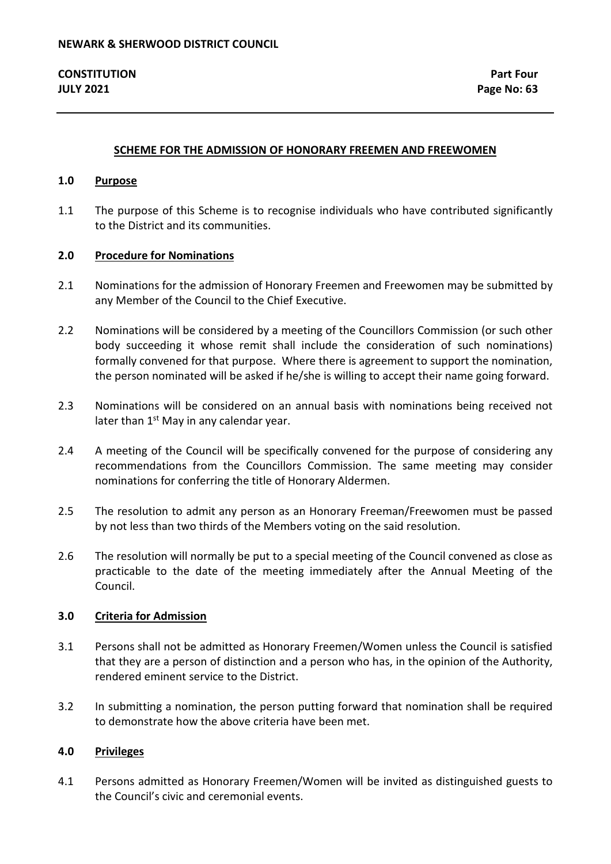#### **SCHEME FOR THE ADMISSION OF HONORARY FREEMEN AND FREEWOMEN**

#### **1.0 Purpose**

1.1 The purpose of this Scheme is to recognise individuals who have contributed significantly to the District and its communities.

#### **2.0 Procedure for Nominations**

- 2.1 Nominations for the admission of Honorary Freemen and Freewomen may be submitted by any Member of the Council to the Chief Executive.
- 2.2 Nominations will be considered by a meeting of the Councillors Commission (or such other body succeeding it whose remit shall include the consideration of such nominations) formally convened for that purpose. Where there is agreement to support the nomination, the person nominated will be asked if he/she is willing to accept their name going forward.
- 2.3 Nominations will be considered on an annual basis with nominations being received not later than  $1<sup>st</sup>$  May in any calendar year.
- 2.4 A meeting of the Council will be specifically convened for the purpose of considering any recommendations from the Councillors Commission. The same meeting may consider nominations for conferring the title of Honorary Aldermen.
- 2.5 The resolution to admit any person as an Honorary Freeman/Freewomen must be passed by not less than two thirds of the Members voting on the said resolution.
- 2.6 The resolution will normally be put to a special meeting of the Council convened as close as practicable to the date of the meeting immediately after the Annual Meeting of the Council.

#### **3.0 Criteria for Admission**

- 3.1 Persons shall not be admitted as Honorary Freemen/Women unless the Council is satisfied that they are a person of distinction and a person who has, in the opinion of the Authority, rendered eminent service to the District.
- 3.2 In submitting a nomination, the person putting forward that nomination shall be required to demonstrate how the above criteria have been met.

#### **4.0 Privileges**

4.1 Persons admitted as Honorary Freemen/Women will be invited as distinguished guests to the Council's civic and ceremonial events.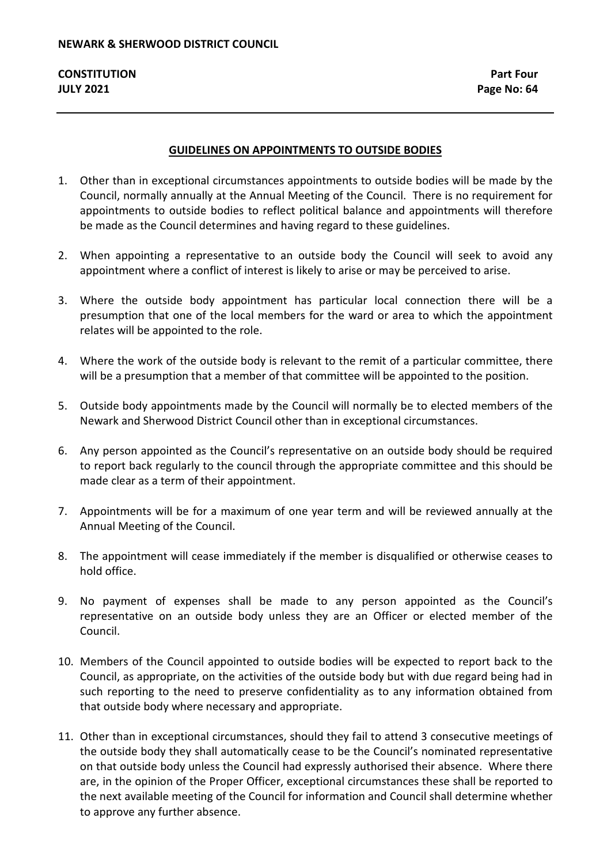## **GUIDELINES ON APPOINTMENTS TO OUTSIDE BODIES**

- 1. Other than in exceptional circumstances appointments to outside bodies will be made by the Council, normally annually at the Annual Meeting of the Council. There is no requirement for appointments to outside bodies to reflect political balance and appointments will therefore be made as the Council determines and having regard to these guidelines.
- 2. When appointing a representative to an outside body the Council will seek to avoid any appointment where a conflict of interest is likely to arise or may be perceived to arise.
- 3. Where the outside body appointment has particular local connection there will be a presumption that one of the local members for the ward or area to which the appointment relates will be appointed to the role.
- 4. Where the work of the outside body is relevant to the remit of a particular committee, there will be a presumption that a member of that committee will be appointed to the position.
- 5. Outside body appointments made by the Council will normally be to elected members of the Newark and Sherwood District Council other than in exceptional circumstances.
- 6. Any person appointed as the Council's representative on an outside body should be required to report back regularly to the council through the appropriate committee and this should be made clear as a term of their appointment.
- 7. Appointments will be for a maximum of one year term and will be reviewed annually at the Annual Meeting of the Council.
- 8. The appointment will cease immediately if the member is disqualified or otherwise ceases to hold office.
- 9. No payment of expenses shall be made to any person appointed as the Council's representative on an outside body unless they are an Officer or elected member of the Council.
- 10. Members of the Council appointed to outside bodies will be expected to report back to the Council, as appropriate, on the activities of the outside body but with due regard being had in such reporting to the need to preserve confidentiality as to any information obtained from that outside body where necessary and appropriate.
- 11. Other than in exceptional circumstances, should they fail to attend 3 consecutive meetings of the outside body they shall automatically cease to be the Council's nominated representative on that outside body unless the Council had expressly authorised their absence. Where there are, in the opinion of the Proper Officer, exceptional circumstances these shall be reported to the next available meeting of the Council for information and Council shall determine whether to approve any further absence.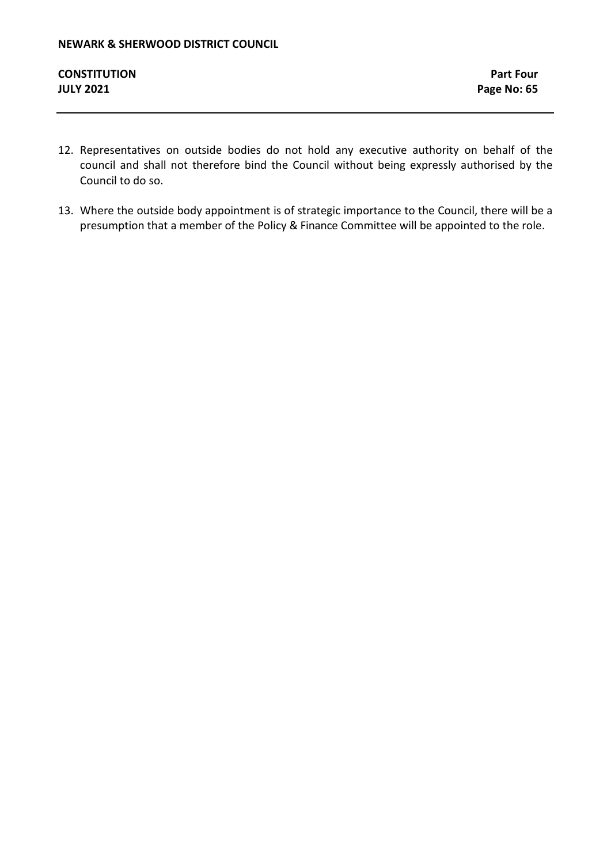- 12. Representatives on outside bodies do not hold any executive authority on behalf of the council and shall not therefore bind the Council without being expressly authorised by the Council to do so.
- 13. Where the outside body appointment is of strategic importance to the Council, there will be a presumption that a member of the Policy & Finance Committee will be appointed to the role.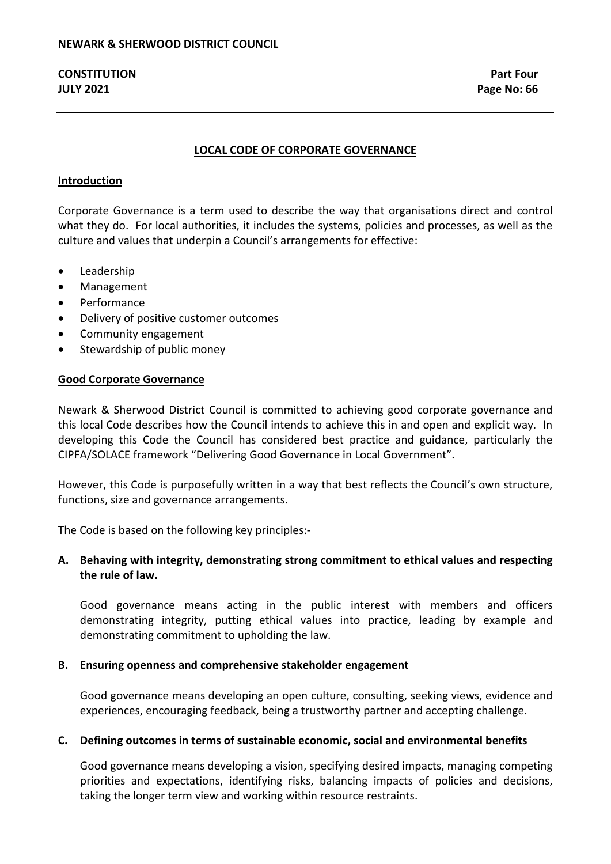## **LOCAL CODE OF CORPORATE GOVERNANCE**

### **Introduction**

Corporate Governance is a term used to describe the way that organisations direct and control what they do. For local authorities, it includes the systems, policies and processes, as well as the culture and values that underpin a Council's arrangements for effective:

- Leadership
- Management
- Performance
- Delivery of positive customer outcomes
- Community engagement
- Stewardship of public money

#### **Good Corporate Governance**

Newark & Sherwood District Council is committed to achieving good corporate governance and this local Code describes how the Council intends to achieve this in and open and explicit way. In developing this Code the Council has considered best practice and guidance, particularly the CIPFA/SOLACE framework "Delivering Good Governance in Local Government".

However, this Code is purposefully written in a way that best reflects the Council's own structure, functions, size and governance arrangements.

The Code is based on the following key principles:-

# **A. Behaving with integrity, demonstrating strong commitment to ethical values and respecting the rule of law.**

Good governance means acting in the public interest with members and officers demonstrating integrity, putting ethical values into practice, leading by example and demonstrating commitment to upholding the law.

## **B. Ensuring openness and comprehensive stakeholder engagement**

Good governance means developing an open culture, consulting, seeking views, evidence and experiences, encouraging feedback, being a trustworthy partner and accepting challenge.

## **C. Defining outcomes in terms of sustainable economic, social and environmental benefits**

Good governance means developing a vision, specifying desired impacts, managing competing priorities and expectations, identifying risks, balancing impacts of policies and decisions, taking the longer term view and working within resource restraints.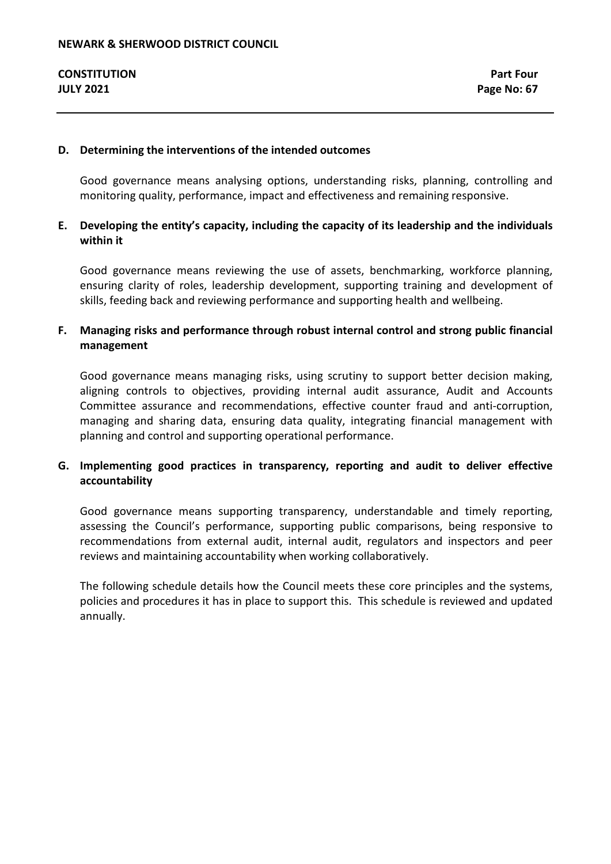#### **D. Determining the interventions of the intended outcomes**

Good governance means analysing options, understanding risks, planning, controlling and monitoring quality, performance, impact and effectiveness and remaining responsive.

# **E. Developing the entity's capacity, including the capacity of its leadership and the individuals within it**

Good governance means reviewing the use of assets, benchmarking, workforce planning, ensuring clarity of roles, leadership development, supporting training and development of skills, feeding back and reviewing performance and supporting health and wellbeing.

# **F. Managing risks and performance through robust internal control and strong public financial management**

Good governance means managing risks, using scrutiny to support better decision making, aligning controls to objectives, providing internal audit assurance, Audit and Accounts Committee assurance and recommendations, effective counter fraud and anti-corruption, managing and sharing data, ensuring data quality, integrating financial management with planning and control and supporting operational performance.

# **G. Implementing good practices in transparency, reporting and audit to deliver effective accountability**

Good governance means supporting transparency, understandable and timely reporting, assessing the Council's performance, supporting public comparisons, being responsive to recommendations from external audit, internal audit, regulators and inspectors and peer reviews and maintaining accountability when working collaboratively.

The following schedule details how the Council meets these core principles and the systems, policies and procedures it has in place to support this. This schedule is reviewed and updated annually.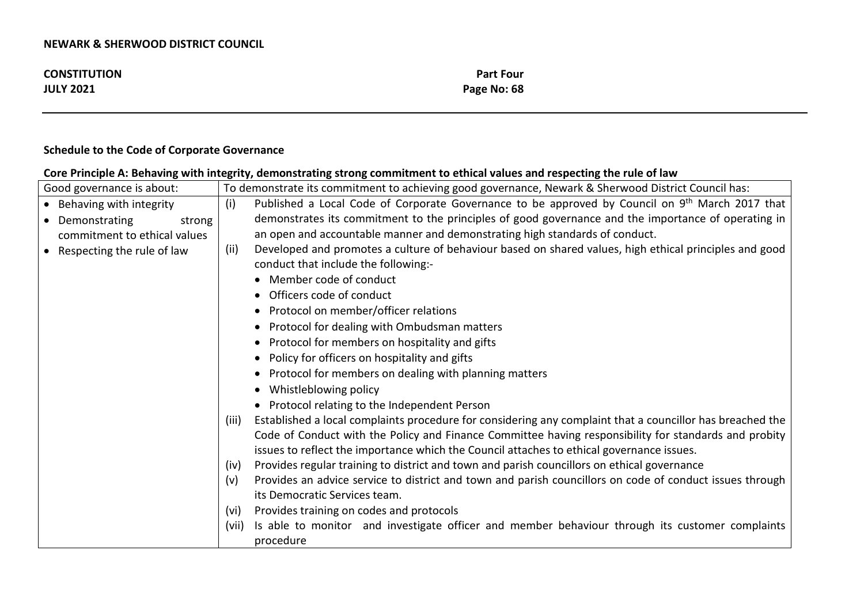| <b>CONSTITUTION</b> | <b>Part Four</b> |
|---------------------|------------------|
| <b>JULY 2021</b>    | Page No: 68      |

# **Schedule to the Code of Corporate Governance**

# **Core Principle A: Behaving with integrity, demonstrating strong commitment to ethical values and respecting the rule of law**

| To demonstrate its commitment to achieving good governance, Newark & Sherwood District Council has:<br>Good governance is about: |       |                                                                                                           |
|----------------------------------------------------------------------------------------------------------------------------------|-------|-----------------------------------------------------------------------------------------------------------|
| (i)<br>Behaving with integrity                                                                                                   |       | Published a Local Code of Corporate Governance to be approved by Council on 9th March 2017 that           |
| Demonstrating<br>strong                                                                                                          |       | demonstrates its commitment to the principles of good governance and the importance of operating in       |
| commitment to ethical values                                                                                                     |       | an open and accountable manner and demonstrating high standards of conduct.                               |
| Respecting the rule of law                                                                                                       | (ii)  | Developed and promotes a culture of behaviour based on shared values, high ethical principles and good    |
|                                                                                                                                  |       | conduct that include the following:-                                                                      |
|                                                                                                                                  |       | Member code of conduct                                                                                    |
|                                                                                                                                  |       | Officers code of conduct                                                                                  |
|                                                                                                                                  |       | Protocol on member/officer relations<br>$\bullet$                                                         |
|                                                                                                                                  |       | Protocol for dealing with Ombudsman matters                                                               |
|                                                                                                                                  |       | Protocol for members on hospitality and gifts                                                             |
|                                                                                                                                  |       | Policy for officers on hospitality and gifts                                                              |
|                                                                                                                                  |       | Protocol for members on dealing with planning matters                                                     |
|                                                                                                                                  |       | Whistleblowing policy<br>٠                                                                                |
|                                                                                                                                  |       | Protocol relating to the Independent Person                                                               |
|                                                                                                                                  | (iii) | Established a local complaints procedure for considering any complaint that a councillor has breached the |
|                                                                                                                                  |       | Code of Conduct with the Policy and Finance Committee having responsibility for standards and probity     |
|                                                                                                                                  |       | issues to reflect the importance which the Council attaches to ethical governance issues.                 |
|                                                                                                                                  | (iv)  | Provides regular training to district and town and parish councillors on ethical governance               |
|                                                                                                                                  | (v)   | Provides an advice service to district and town and parish councillors on code of conduct issues through  |
|                                                                                                                                  |       | its Democratic Services team.                                                                             |
|                                                                                                                                  | (vi)  | Provides training on codes and protocols                                                                  |
|                                                                                                                                  | (vii) | Is able to monitor and investigate officer and member behaviour through its customer complaints           |
|                                                                                                                                  |       | procedure                                                                                                 |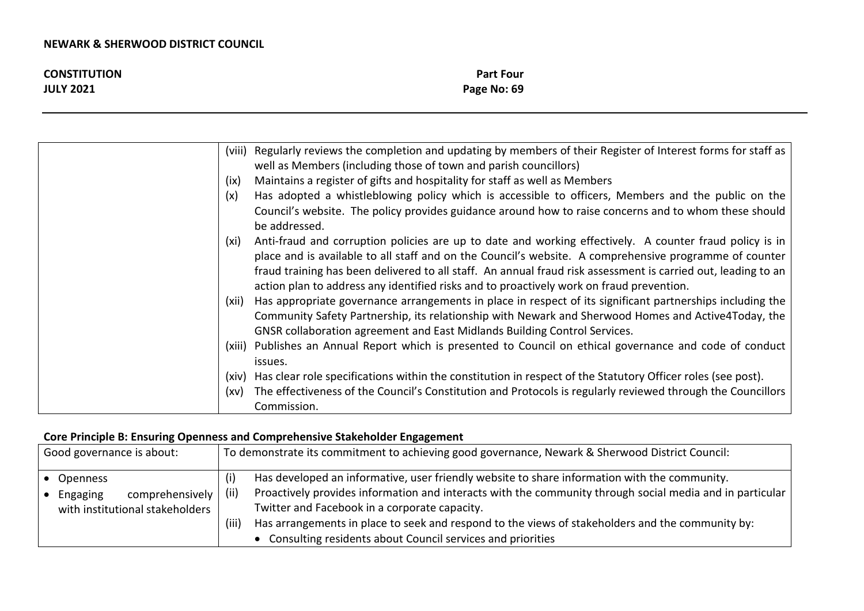| <b>CONSTITUTION</b> | <b>Part Four</b> |
|---------------------|------------------|
| <b>JULY 2021</b>    | Page No: 69      |

| (viii) Regularly reviews the completion and updating by members of their Register of Interest forms for staff as       |
|------------------------------------------------------------------------------------------------------------------------|
| well as Members (including those of town and parish councillors)                                                       |
| Maintains a register of gifts and hospitality for staff as well as Members<br>(ix)                                     |
| Has adopted a whistleblowing policy which is accessible to officers, Members and the public on the<br>(x)              |
| Council's website. The policy provides guidance around how to raise concerns and to whom these should<br>be addressed. |
| Anti-fraud and corruption policies are up to date and working effectively. A counter fraud policy is in<br>(xi)        |
| place and is available to all staff and on the Council's website. A comprehensive programme of counter                 |
| fraud training has been delivered to all staff. An annual fraud risk assessment is carried out, leading to an          |
| action plan to address any identified risks and to proactively work on fraud prevention.                               |
| Has appropriate governance arrangements in place in respect of its significant partnerships including the<br>(xii)     |
| Community Safety Partnership, its relationship with Newark and Sherwood Homes and Active4Today, the                    |
| GNSR collaboration agreement and East Midlands Building Control Services.                                              |
| (xiii) Publishes an Annual Report which is presented to Council on ethical governance and code of conduct              |
| issues.                                                                                                                |
| Has clear role specifications within the constitution in respect of the Statutory Officer roles (see post).<br>(xiv)   |
| The effectiveness of the Council's Constitution and Protocols is regularly reviewed through the Councillors<br>(xv)    |
| Commission.                                                                                                            |

# **Core Principle B: Ensuring Openness and Comprehensive Stakeholder Engagement**

| Good governance is about: |                                         | To demonstrate its commitment to achieving good governance, Newark & Sherwood District Council: |                                                                                                          |
|---------------------------|-----------------------------------------|-------------------------------------------------------------------------------------------------|----------------------------------------------------------------------------------------------------------|
|                           | ● Openness                              |                                                                                                 | Has developed an informative, user friendly website to share information with the community.             |
|                           | comprehensively  <br>$\bullet$ Engaging | (ii)                                                                                            | Proactively provides information and interacts with the community through social media and in particular |
|                           | with institutional stakeholders         |                                                                                                 | Twitter and Facebook in a corporate capacity.                                                            |
|                           |                                         | (iii)                                                                                           | Has arrangements in place to seek and respond to the views of stakeholders and the community by:         |
|                           |                                         |                                                                                                 | • Consulting residents about Council services and priorities                                             |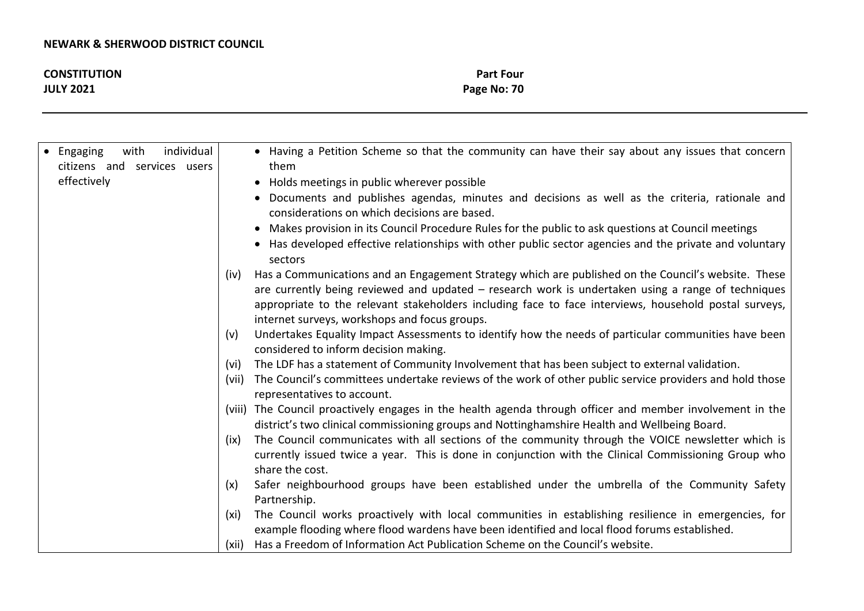| <b>CONSTITUTION</b> | <b>Part Four</b> |
|---------------------|------------------|
| <b>JULY 2021</b>    | Page No: 70      |
|                     |                  |

| Has a Communications and an Engagement Strategy which are published on the Council's website. These<br>(iv)<br>appropriate to the relevant stakeholders including face to face interviews, household postal surveys,<br>internet surveys, workshops and focus groups.<br>Undertakes Equality Impact Assessments to identify how the needs of particular communities have been<br>(v)<br>considered to inform decision making.<br>The LDF has a statement of Community Involvement that has been subject to external validation.<br>(vi)<br>The Council's committees undertake reviews of the work of other public service providers and hold those<br>(vii)<br>representatives to account.<br>(viii) The Council proactively engages in the health agenda through officer and member involvement in the<br>district's two clinical commissioning groups and Nottinghamshire Health and Wellbeing Board.<br>(ix)<br>share the cost.<br>Safer neighbourhood groups have been established under the umbrella of the Community Safety<br>(x)<br>Partnership.<br>(xi)<br>example flooding where flood wardens have been identified and local flood forums established. | individual<br>Engaging<br>with<br>citizens and services users<br>effectively | • Having a Petition Scheme so that the community can have their say about any issues that concern<br>them<br>Holds meetings in public wherever possible<br>$\bullet$<br>Documents and publishes agendas, minutes and decisions as well as the criteria, rationale and<br>considerations on which decisions are based.<br>Makes provision in its Council Procedure Rules for the public to ask questions at Council meetings<br>$\bullet$<br>• Has developed effective relationships with other public sector agencies and the private and voluntary<br>sectors |
|-------------------------------------------------------------------------------------------------------------------------------------------------------------------------------------------------------------------------------------------------------------------------------------------------------------------------------------------------------------------------------------------------------------------------------------------------------------------------------------------------------------------------------------------------------------------------------------------------------------------------------------------------------------------------------------------------------------------------------------------------------------------------------------------------------------------------------------------------------------------------------------------------------------------------------------------------------------------------------------------------------------------------------------------------------------------------------------------------------------------------------------------------------------------|------------------------------------------------------------------------------|----------------------------------------------------------------------------------------------------------------------------------------------------------------------------------------------------------------------------------------------------------------------------------------------------------------------------------------------------------------------------------------------------------------------------------------------------------------------------------------------------------------------------------------------------------------|
|                                                                                                                                                                                                                                                                                                                                                                                                                                                                                                                                                                                                                                                                                                                                                                                                                                                                                                                                                                                                                                                                                                                                                                   |                                                                              | are currently being reviewed and updated – research work is undertaken using a range of techniques<br>The Council communicates with all sections of the community through the VOICE newsletter which is<br>currently issued twice a year. This is done in conjunction with the Clinical Commissioning Group who<br>The Council works proactively with local communities in establishing resilience in emergencies, for<br>Has a Freedom of Information Act Publication Scheme on the Council's website.<br>(xii)                                               |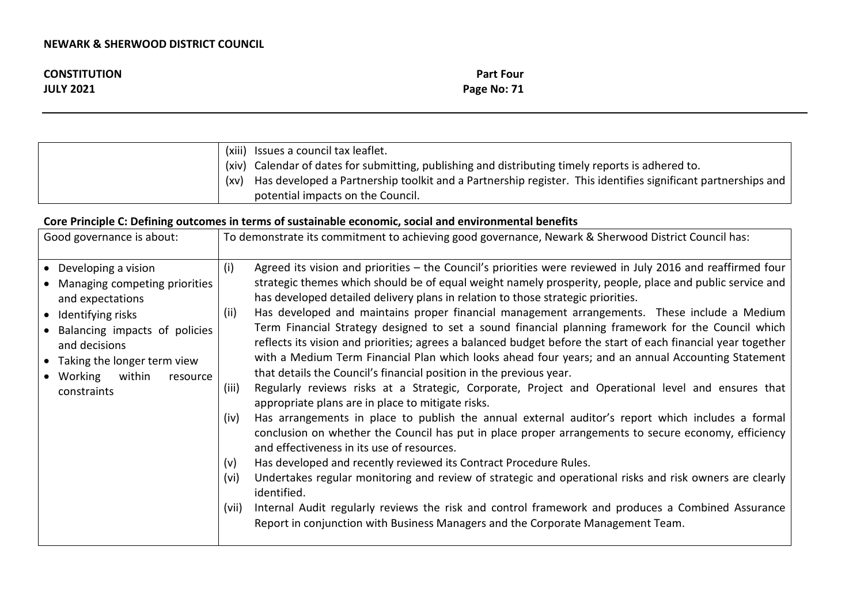| <b>CONSTITUTION</b> | <b>Part Four</b> |
|---------------------|------------------|
| <b>JULY 2021</b>    | Page No: 71      |

|      | (xiii) Issues a council tax leaflet.                                                                         |
|------|--------------------------------------------------------------------------------------------------------------|
|      | (xiv) Calendar of dates for submitting, publishing and distributing timely reports is adhered to.            |
| (xv) | Has developed a Partnership toolkit and a Partnership register. This identifies significant partnerships and |
|      | potential impacts on the Council.                                                                            |

# **Core Principle C: Defining outcomes in terms of sustainable economic, social and environmental benefits**

| Good governance is about:                                                                                                                                                                                                              | To demonstrate its commitment to achieving good governance, Newark & Sherwood District Council has:                                                                                                                                                                                                                                                                                                                                                                                                                                                                                                                                                                                                                                                                                                                                                                                                                                                                                                                                                                                                                                                                                                                                                                                                                                                                                                                                                                                                                                                                                                                                                                             |
|----------------------------------------------------------------------------------------------------------------------------------------------------------------------------------------------------------------------------------------|---------------------------------------------------------------------------------------------------------------------------------------------------------------------------------------------------------------------------------------------------------------------------------------------------------------------------------------------------------------------------------------------------------------------------------------------------------------------------------------------------------------------------------------------------------------------------------------------------------------------------------------------------------------------------------------------------------------------------------------------------------------------------------------------------------------------------------------------------------------------------------------------------------------------------------------------------------------------------------------------------------------------------------------------------------------------------------------------------------------------------------------------------------------------------------------------------------------------------------------------------------------------------------------------------------------------------------------------------------------------------------------------------------------------------------------------------------------------------------------------------------------------------------------------------------------------------------------------------------------------------------------------------------------------------------|
| • Developing a vision<br>Managing competing priorities<br>and expectations<br>• Identifying risks<br>Balancing impacts of policies<br>and decisions<br>• Taking the longer term view<br>• Working<br>within<br>resource<br>constraints | Agreed its vision and priorities – the Council's priorities were reviewed in July 2016 and reaffirmed four<br>(i)<br>strategic themes which should be of equal weight namely prosperity, people, place and public service and<br>has developed detailed delivery plans in relation to those strategic priorities.<br>Has developed and maintains proper financial management arrangements. These include a Medium<br>(ii)<br>Term Financial Strategy designed to set a sound financial planning framework for the Council which<br>reflects its vision and priorities; agrees a balanced budget before the start of each financial year together<br>with a Medium Term Financial Plan which looks ahead four years; and an annual Accounting Statement<br>that details the Council's financial position in the previous year.<br>Regularly reviews risks at a Strategic, Corporate, Project and Operational level and ensures that<br>(iii)<br>appropriate plans are in place to mitigate risks.<br>Has arrangements in place to publish the annual external auditor's report which includes a formal<br>(iv)<br>conclusion on whether the Council has put in place proper arrangements to secure economy, efficiency<br>and effectiveness in its use of resources.<br>Has developed and recently reviewed its Contract Procedure Rules.<br>(v)<br>Undertakes regular monitoring and review of strategic and operational risks and risk owners are clearly<br>(vi)<br>identified.<br>(vii) Internal Audit regularly reviews the risk and control framework and produces a Combined Assurance<br>Report in conjunction with Business Managers and the Corporate Management Team. |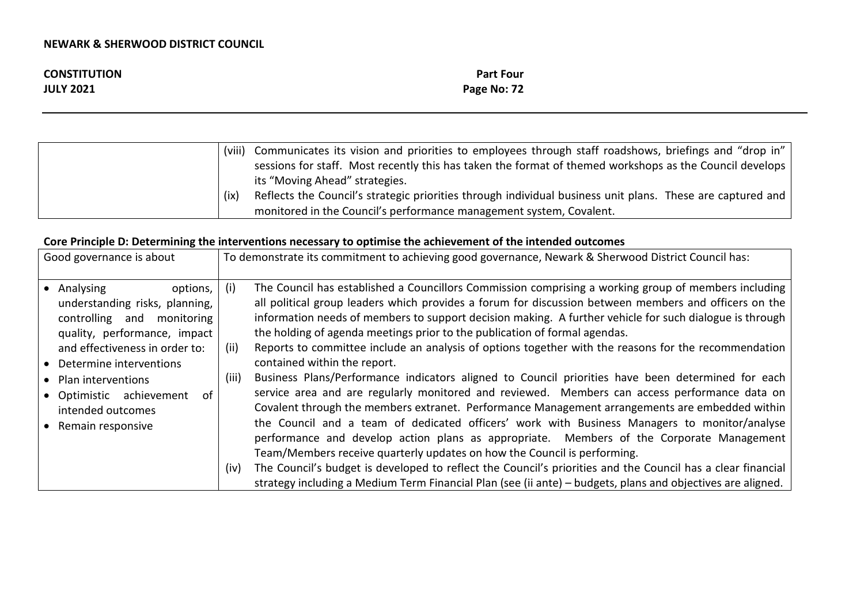| <b>CONSTITUTION</b> | <b>Part Four</b> |
|---------------------|------------------|
| <b>JULY 2021</b>    | Page No: 72      |

| (viii) | Communicates its vision and priorities to employees through staff roadshows, briefings and "drop in"       |
|--------|------------------------------------------------------------------------------------------------------------|
|        | sessions for staff. Most recently this has taken the format of themed workshops as the Council develops    |
|        | its "Moving Ahead" strategies.                                                                             |
| (ix)   | Reflects the Council's strategic priorities through individual business unit plans. These are captured and |
|        | monitored in the Council's performance management system, Covalent.                                        |

# **Core Principle D: Determining the interventions necessary to optimise the achievement of the intended outcomes**

| Good governance is about                                                                                                                                                                                                                                                                       | To demonstrate its commitment to achieving good governance, Newark & Sherwood District Council has:                                                                                                                                                                                                                                                                                                                                                                                                                                                                                                                                                                                                                                                                                                                                                                                                                                                                                                                                                                                                                                                                                                                                                                           |
|------------------------------------------------------------------------------------------------------------------------------------------------------------------------------------------------------------------------------------------------------------------------------------------------|-------------------------------------------------------------------------------------------------------------------------------------------------------------------------------------------------------------------------------------------------------------------------------------------------------------------------------------------------------------------------------------------------------------------------------------------------------------------------------------------------------------------------------------------------------------------------------------------------------------------------------------------------------------------------------------------------------------------------------------------------------------------------------------------------------------------------------------------------------------------------------------------------------------------------------------------------------------------------------------------------------------------------------------------------------------------------------------------------------------------------------------------------------------------------------------------------------------------------------------------------------------------------------|
| options,<br>Analysing<br>understanding risks, planning,<br>controlling and<br>monitoring<br>quality, performance, impact<br>and effectiveness in order to:<br>• Determine interventions<br>• Plan interventions<br>• Optimistic achievement<br>.of<br>intended outcomes<br>• Remain responsive | The Council has established a Councillors Commission comprising a working group of members including<br>(i)<br>all political group leaders which provides a forum for discussion between members and officers on the<br>information needs of members to support decision making. A further vehicle for such dialogue is through<br>the holding of agenda meetings prior to the publication of formal agendas.<br>Reports to committee include an analysis of options together with the reasons for the recommendation<br>(ii)<br>contained within the report.<br>Business Plans/Performance indicators aligned to Council priorities have been determined for each<br>(iii)<br>service area and are regularly monitored and reviewed. Members can access performance data on<br>Covalent through the members extranet. Performance Management arrangements are embedded within<br>the Council and a team of dedicated officers' work with Business Managers to monitor/analyse<br>performance and develop action plans as appropriate. Members of the Corporate Management<br>Team/Members receive quarterly updates on how the Council is performing.<br>The Council's budget is developed to reflect the Council's priorities and the Council has a clear financial<br>(iv) |
|                                                                                                                                                                                                                                                                                                | strategy including a Medium Term Financial Plan (see (ii ante) - budgets, plans and objectives are aligned.                                                                                                                                                                                                                                                                                                                                                                                                                                                                                                                                                                                                                                                                                                                                                                                                                                                                                                                                                                                                                                                                                                                                                                   |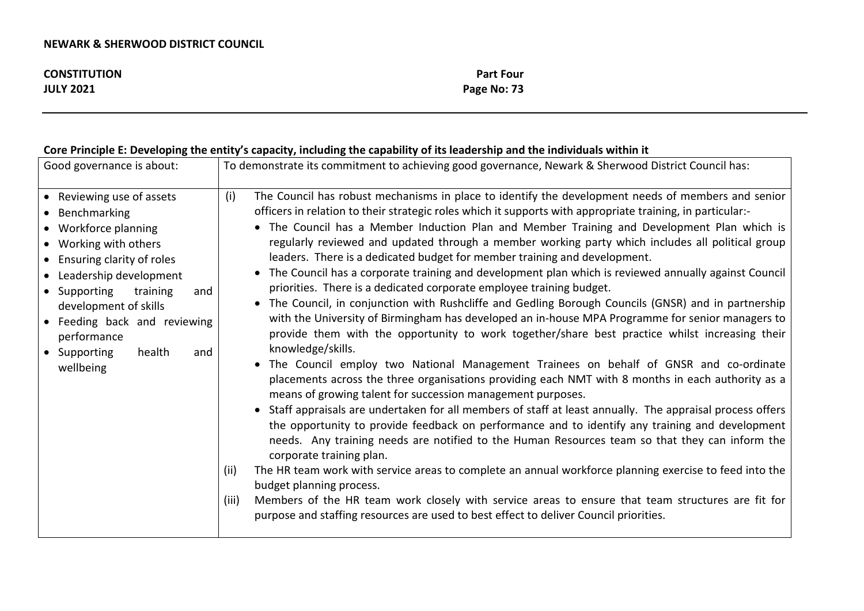| <b>CONSTITUTION</b> | <b>Part Four</b> |
|---------------------|------------------|
| <b>JULY 2021</b>    | Page No: 73      |

# **Core Principle E: Developing the entity's capacity, including the capability of its leadership and the individuals within it**

| Good governance is about:                                                                                                                                                                                                                                                                                        | To demonstrate its commitment to achieving good governance, Newark & Sherwood District Council has:                                                                                                                                                                                                                                                                                                                                                                                                                                                                                                                                                                                                                                                                                                                                                                                                                                                                                                                                                                                                                                                                                                                                                                                                                                                                                                                                                                                                                                                                                                                                                                                                                                                                                                                                                                                                                                                                                                        |
|------------------------------------------------------------------------------------------------------------------------------------------------------------------------------------------------------------------------------------------------------------------------------------------------------------------|------------------------------------------------------------------------------------------------------------------------------------------------------------------------------------------------------------------------------------------------------------------------------------------------------------------------------------------------------------------------------------------------------------------------------------------------------------------------------------------------------------------------------------------------------------------------------------------------------------------------------------------------------------------------------------------------------------------------------------------------------------------------------------------------------------------------------------------------------------------------------------------------------------------------------------------------------------------------------------------------------------------------------------------------------------------------------------------------------------------------------------------------------------------------------------------------------------------------------------------------------------------------------------------------------------------------------------------------------------------------------------------------------------------------------------------------------------------------------------------------------------------------------------------------------------------------------------------------------------------------------------------------------------------------------------------------------------------------------------------------------------------------------------------------------------------------------------------------------------------------------------------------------------------------------------------------------------------------------------------------------------|
| • Reviewing use of assets<br>• Benchmarking<br>• Workforce planning<br>• Working with others<br>• Ensuring clarity of roles<br>• Leadership development<br>• Supporting<br>training<br>and<br>development of skills<br>• Feeding back and reviewing<br>performance<br>• Supporting<br>health<br>and<br>wellbeing | (i)<br>The Council has robust mechanisms in place to identify the development needs of members and senior<br>officers in relation to their strategic roles which it supports with appropriate training, in particular:-<br>• The Council has a Member Induction Plan and Member Training and Development Plan which is<br>regularly reviewed and updated through a member working party which includes all political group<br>leaders. There is a dedicated budget for member training and development.<br>The Council has a corporate training and development plan which is reviewed annually against Council<br>$\bullet$<br>priorities. There is a dedicated corporate employee training budget.<br>• The Council, in conjunction with Rushcliffe and Gedling Borough Councils (GNSR) and in partnership<br>with the University of Birmingham has developed an in-house MPA Programme for senior managers to<br>provide them with the opportunity to work together/share best practice whilst increasing their<br>knowledge/skills.<br>• The Council employ two National Management Trainees on behalf of GNSR and co-ordinate<br>placements across the three organisations providing each NMT with 8 months in each authority as a<br>means of growing talent for succession management purposes.<br>• Staff appraisals are undertaken for all members of staff at least annually. The appraisal process offers<br>the opportunity to provide feedback on performance and to identify any training and development<br>needs. Any training needs are notified to the Human Resources team so that they can inform the<br>corporate training plan.<br>The HR team work with service areas to complete an annual workforce planning exercise to feed into the<br>(ii)<br>budget planning process.<br>Members of the HR team work closely with service areas to ensure that team structures are fit for<br>(iii)<br>purpose and staffing resources are used to best effect to deliver Council priorities. |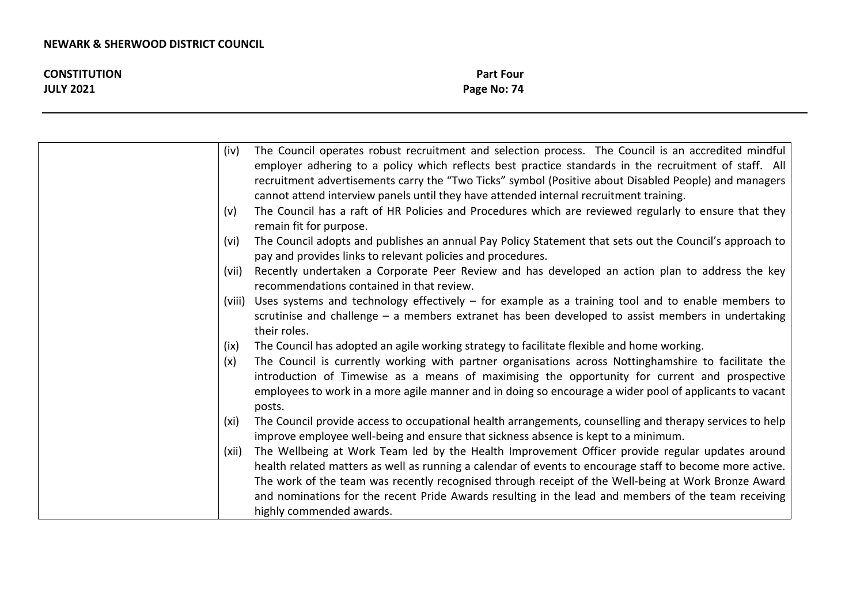| <b>CONSTITUTION</b> | <b>Part Four</b> |
|---------------------|------------------|
| <b>JULY 2021</b>    | Page No: 74      |

| (iv)  | The Council operates robust recruitment and selection process. The Council is an accredited mindful                                                                                                                                                                                                                                                                                                                                                   |
|-------|-------------------------------------------------------------------------------------------------------------------------------------------------------------------------------------------------------------------------------------------------------------------------------------------------------------------------------------------------------------------------------------------------------------------------------------------------------|
|       | employer adhering to a policy which reflects best practice standards in the recruitment of staff. All                                                                                                                                                                                                                                                                                                                                                 |
|       | recruitment advertisements carry the "Two Ticks" symbol (Positive about Disabled People) and managers                                                                                                                                                                                                                                                                                                                                                 |
|       | cannot attend interview panels until they have attended internal recruitment training.                                                                                                                                                                                                                                                                                                                                                                |
| (v)   | The Council has a raft of HR Policies and Procedures which are reviewed regularly to ensure that they<br>remain fit for purpose.                                                                                                                                                                                                                                                                                                                      |
| (vi)  | The Council adopts and publishes an annual Pay Policy Statement that sets out the Council's approach to<br>pay and provides links to relevant policies and procedures.                                                                                                                                                                                                                                                                                |
| (vii) | Recently undertaken a Corporate Peer Review and has developed an action plan to address the key<br>recommendations contained in that review.                                                                                                                                                                                                                                                                                                          |
|       | (viii) Uses systems and technology effectively - for example as a training tool and to enable members to<br>scrutinise and challenge $-$ a members extranet has been developed to assist members in undertaking<br>their roles.                                                                                                                                                                                                                       |
| (ix)  | The Council has adopted an agile working strategy to facilitate flexible and home working.                                                                                                                                                                                                                                                                                                                                                            |
| (x)   | The Council is currently working with partner organisations across Nottinghamshire to facilitate the<br>introduction of Timewise as a means of maximising the opportunity for current and prospective<br>employees to work in a more agile manner and in doing so encourage a wider pool of applicants to vacant<br>posts.                                                                                                                            |
| (xi)  | The Council provide access to occupational health arrangements, counselling and therapy services to help<br>improve employee well-being and ensure that sickness absence is kept to a minimum.                                                                                                                                                                                                                                                        |
| (xii) | The Wellbeing at Work Team led by the Health Improvement Officer provide regular updates around<br>health related matters as well as running a calendar of events to encourage staff to become more active.<br>The work of the team was recently recognised through receipt of the Well-being at Work Bronze Award<br>and nominations for the recent Pride Awards resulting in the lead and members of the team receiving<br>highly commended awards. |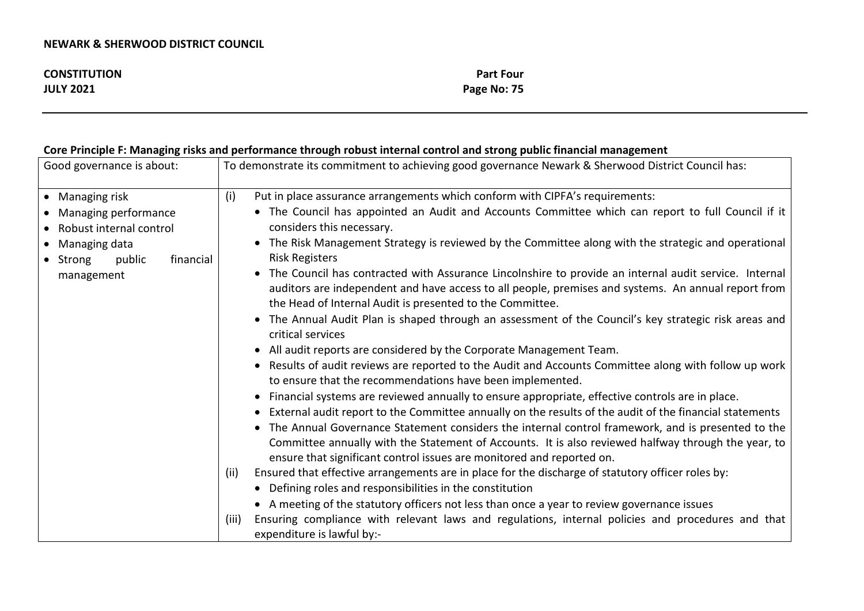| <b>CONSTITUTION</b> | <b>Part Four</b> |
|---------------------|------------------|
| <b>JULY 2021</b>    | Page No: 75      |

# **Core Principle F: Managing risks and performance through robust internal control and strong public financial management**

| Good governance is about:                                                                                                                  | To demonstrate its commitment to achieving good governance Newark & Sherwood District Council has:                                                                                                                                                                                                                                                                                                                                                                                                                                                                                                                                                                                                                                                                                                                                                                                                                                                                                                                                                                                                                                                                                                                                                                                                                                                                                                                                                                                                                                                                                                                                                                                                                                                                                                                                                        |
|--------------------------------------------------------------------------------------------------------------------------------------------|-----------------------------------------------------------------------------------------------------------------------------------------------------------------------------------------------------------------------------------------------------------------------------------------------------------------------------------------------------------------------------------------------------------------------------------------------------------------------------------------------------------------------------------------------------------------------------------------------------------------------------------------------------------------------------------------------------------------------------------------------------------------------------------------------------------------------------------------------------------------------------------------------------------------------------------------------------------------------------------------------------------------------------------------------------------------------------------------------------------------------------------------------------------------------------------------------------------------------------------------------------------------------------------------------------------------------------------------------------------------------------------------------------------------------------------------------------------------------------------------------------------------------------------------------------------------------------------------------------------------------------------------------------------------------------------------------------------------------------------------------------------------------------------------------------------------------------------------------------------|
| • Managing risk<br>• Managing performance<br>• Robust internal control<br>• Managing data<br>public<br>financial<br>• Strong<br>management | (i)<br>Put in place assurance arrangements which conform with CIPFA's requirements:<br>• The Council has appointed an Audit and Accounts Committee which can report to full Council if it<br>considers this necessary.<br>The Risk Management Strategy is reviewed by the Committee along with the strategic and operational<br>$\bullet$<br><b>Risk Registers</b><br>The Council has contracted with Assurance Lincolnshire to provide an internal audit service. Internal<br>$\bullet$<br>auditors are independent and have access to all people, premises and systems. An annual report from<br>the Head of Internal Audit is presented to the Committee.<br>• The Annual Audit Plan is shaped through an assessment of the Council's key strategic risk areas and<br>critical services<br>• All audit reports are considered by the Corporate Management Team.<br>Results of audit reviews are reported to the Audit and Accounts Committee along with follow up work<br>$\bullet$<br>to ensure that the recommendations have been implemented.<br>Financial systems are reviewed annually to ensure appropriate, effective controls are in place.<br>$\bullet$<br>External audit report to the Committee annually on the results of the audit of the financial statements<br>• The Annual Governance Statement considers the internal control framework, and is presented to the<br>Committee annually with the Statement of Accounts. It is also reviewed halfway through the year, to<br>ensure that significant control issues are monitored and reported on.<br>Ensured that effective arrangements are in place for the discharge of statutory officer roles by:<br>(ii)<br>Defining roles and responsibilities in the constitution<br>$\bullet$<br>• A meeting of the statutory officers not less than once a year to review governance issues |
|                                                                                                                                            | Ensuring compliance with relevant laws and regulations, internal policies and procedures and that<br>(iii)<br>expenditure is lawful by:-                                                                                                                                                                                                                                                                                                                                                                                                                                                                                                                                                                                                                                                                                                                                                                                                                                                                                                                                                                                                                                                                                                                                                                                                                                                                                                                                                                                                                                                                                                                                                                                                                                                                                                                  |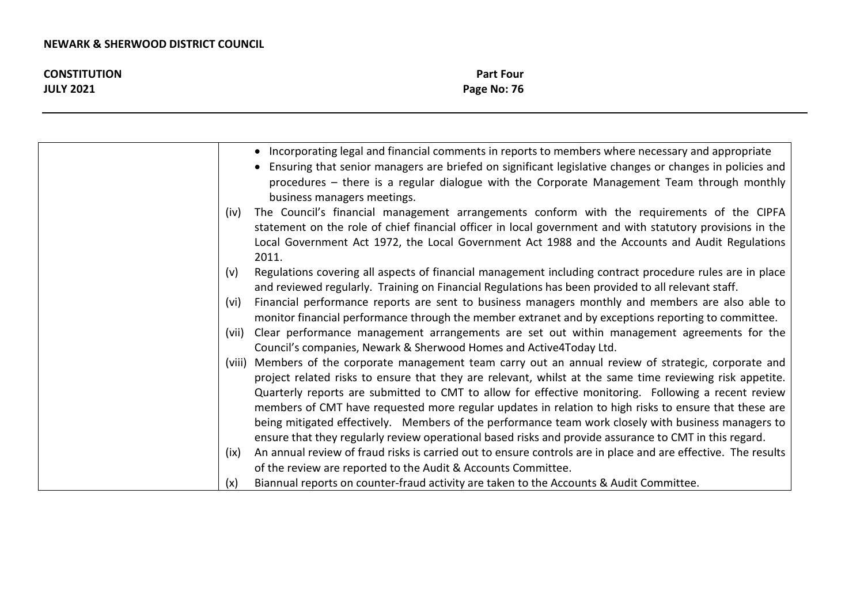| <b>CONSTITUTION</b> | <b>Part Four</b> |
|---------------------|------------------|
| <b>JULY 2021</b>    | Page No: 76      |

|       | • Incorporating legal and financial comments in reports to members where necessary and appropriate                                                                                                                                    |
|-------|---------------------------------------------------------------------------------------------------------------------------------------------------------------------------------------------------------------------------------------|
|       | Ensuring that senior managers are briefed on significant legislative changes or changes in policies and<br>procedures – there is a regular dialogue with the Corporate Management Team through monthly<br>business managers meetings. |
| (iv)  | The Council's financial management arrangements conform with the requirements of the CIPFA                                                                                                                                            |
|       | statement on the role of chief financial officer in local government and with statutory provisions in the                                                                                                                             |
|       | Local Government Act 1972, the Local Government Act 1988 and the Accounts and Audit Regulations<br>2011.                                                                                                                              |
| (v)   | Regulations covering all aspects of financial management including contract procedure rules are in place                                                                                                                              |
|       | and reviewed regularly. Training on Financial Regulations has been provided to all relevant staff.                                                                                                                                    |
| (vi)  | Financial performance reports are sent to business managers monthly and members are also able to                                                                                                                                      |
|       | monitor financial performance through the member extranet and by exceptions reporting to committee.                                                                                                                                   |
| (vii) | Clear performance management arrangements are set out within management agreements for the                                                                                                                                            |
|       | Council's companies, Newark & Sherwood Homes and Active4Today Ltd.                                                                                                                                                                    |
|       | (viii) Members of the corporate management team carry out an annual review of strategic, corporate and                                                                                                                                |
|       | project related risks to ensure that they are relevant, whilst at the same time reviewing risk appetite.                                                                                                                              |
|       | Quarterly reports are submitted to CMT to allow for effective monitoring. Following a recent review                                                                                                                                   |
|       | members of CMT have requested more regular updates in relation to high risks to ensure that these are                                                                                                                                 |
|       | being mitigated effectively. Members of the performance team work closely with business managers to                                                                                                                                   |
|       | ensure that they regularly review operational based risks and provide assurance to CMT in this regard.                                                                                                                                |
| (ix)  | An annual review of fraud risks is carried out to ensure controls are in place and are effective. The results                                                                                                                         |
|       | of the review are reported to the Audit & Accounts Committee.                                                                                                                                                                         |
| (x)   | Biannual reports on counter-fraud activity are taken to the Accounts & Audit Committee.                                                                                                                                               |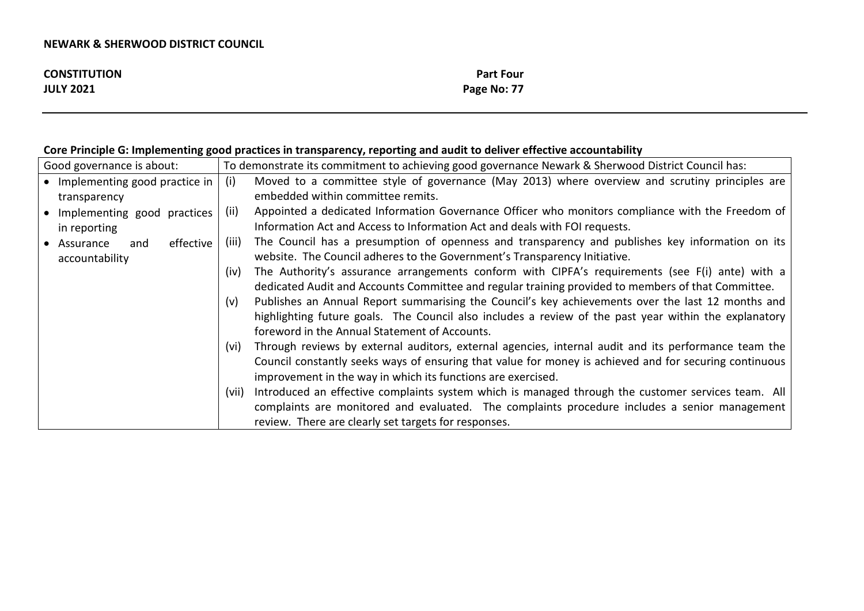| <b>CONSTITUTION</b> | <b>Part Four</b> |
|---------------------|------------------|
| <b>JULY 2021</b>    | Page No: 77      |

# **Core Principle G: Implementing good practices in transparency, reporting and audit to deliver effective accountability**

| Good governance is about:                           | To demonstrate its commitment to achieving good governance Newark & Sherwood District Council has:           |
|-----------------------------------------------------|--------------------------------------------------------------------------------------------------------------|
| $\bullet$ Implementing good practice in $\parallel$ | Moved to a committee style of governance (May 2013) where overview and scrutiny principles are<br>(i)        |
| transparency                                        | embedded within committee remits.                                                                            |
| • Implementing good practices                       | Appointed a dedicated Information Governance Officer who monitors compliance with the Freedom of<br>(ii)     |
| in reporting                                        | Information Act and Access to Information Act and deals with FOI requests.                                   |
| effective<br>• Assurance<br>and                     | The Council has a presumption of openness and transparency and publishes key information on its<br>(iii)     |
| accountability                                      | website. The Council adheres to the Government's Transparency Initiative.                                    |
|                                                     | The Authority's assurance arrangements conform with CIPFA's requirements (see F(i) ante) with a<br>(iv)      |
|                                                     | dedicated Audit and Accounts Committee and regular training provided to members of that Committee.           |
|                                                     | Publishes an Annual Report summarising the Council's key achievements over the last 12 months and<br>(v)     |
|                                                     | highlighting future goals. The Council also includes a review of the past year within the explanatory        |
|                                                     | foreword in the Annual Statement of Accounts.                                                                |
|                                                     | Through reviews by external auditors, external agencies, internal audit and its performance team the<br>(vi) |
|                                                     | Council constantly seeks ways of ensuring that value for money is achieved and for securing continuous       |
|                                                     | improvement in the way in which its functions are exercised.                                                 |
|                                                     | (vii) Introduced an effective complaints system which is managed through the customer services team. All     |
|                                                     | complaints are monitored and evaluated. The complaints procedure includes a senior management                |
|                                                     | review. There are clearly set targets for responses.                                                         |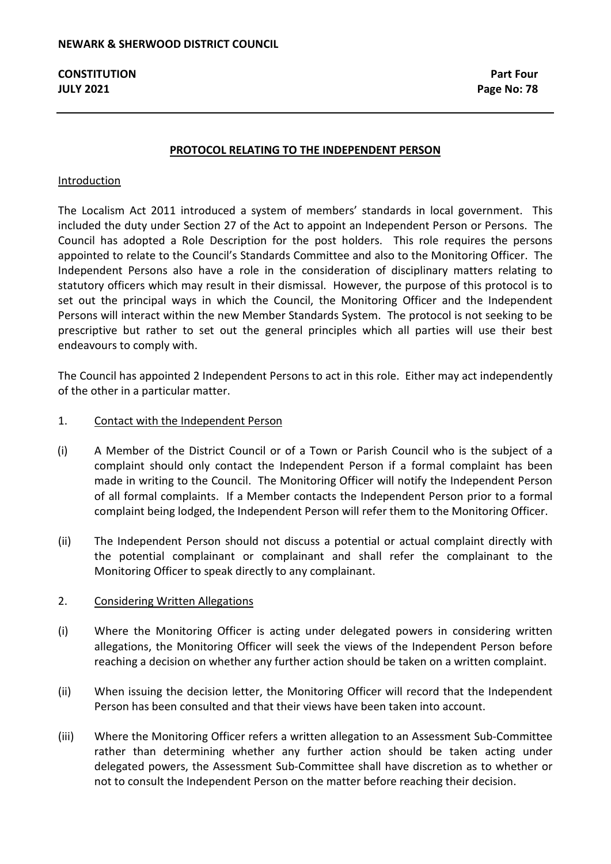#### **PROTOCOL RELATING TO THE INDEPENDENT PERSON**

#### Introduction

The Localism Act 2011 introduced a system of members' standards in local government. This included the duty under Section 27 of the Act to appoint an Independent Person or Persons. The Council has adopted a Role Description for the post holders. This role requires the persons appointed to relate to the Council's Standards Committee and also to the Monitoring Officer. The Independent Persons also have a role in the consideration of disciplinary matters relating to statutory officers which may result in their dismissal. However, the purpose of this protocol is to set out the principal ways in which the Council, the Monitoring Officer and the Independent Persons will interact within the new Member Standards System. The protocol is not seeking to be prescriptive but rather to set out the general principles which all parties will use their best endeavours to comply with.

The Council has appointed 2 Independent Persons to act in this role. Either may act independently of the other in a particular matter.

#### 1. Contact with the Independent Person

- (i) A Member of the District Council or of a Town or Parish Council who is the subject of a complaint should only contact the Independent Person if a formal complaint has been made in writing to the Council. The Monitoring Officer will notify the Independent Person of all formal complaints. If a Member contacts the Independent Person prior to a formal complaint being lodged, the Independent Person will refer them to the Monitoring Officer.
- (ii) The Independent Person should not discuss a potential or actual complaint directly with the potential complainant or complainant and shall refer the complainant to the Monitoring Officer to speak directly to any complainant.

#### 2. Considering Written Allegations

- (i) Where the Monitoring Officer is acting under delegated powers in considering written allegations, the Monitoring Officer will seek the views of the Independent Person before reaching a decision on whether any further action should be taken on a written complaint.
- (ii) When issuing the decision letter, the Monitoring Officer will record that the Independent Person has been consulted and that their views have been taken into account.
- (iii) Where the Monitoring Officer refers a written allegation to an Assessment Sub-Committee rather than determining whether any further action should be taken acting under delegated powers, the Assessment Sub-Committee shall have discretion as to whether or not to consult the Independent Person on the matter before reaching their decision.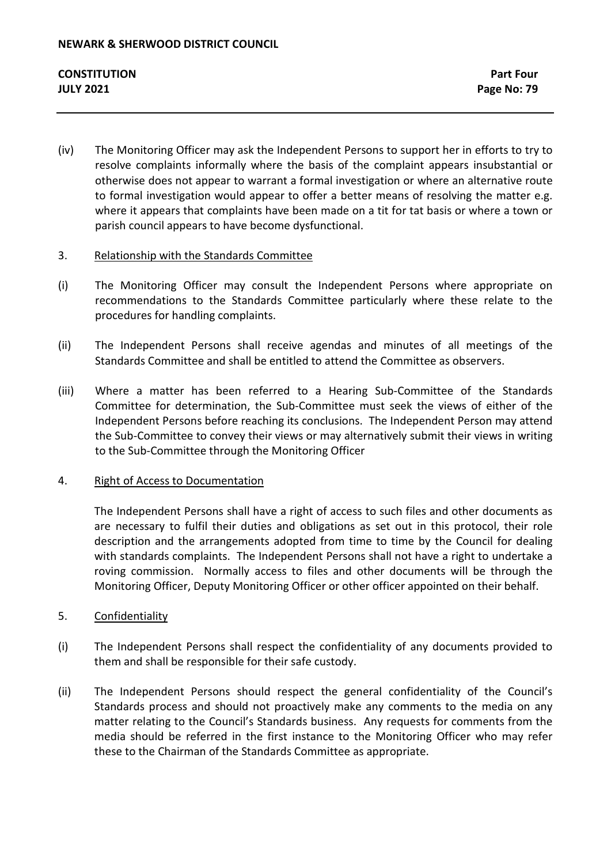(iv) The Monitoring Officer may ask the Independent Persons to support her in efforts to try to resolve complaints informally where the basis of the complaint appears insubstantial or otherwise does not appear to warrant a formal investigation or where an alternative route to formal investigation would appear to offer a better means of resolving the matter e.g. where it appears that complaints have been made on a tit for tat basis or where a town or parish council appears to have become dysfunctional.

## 3. Relationship with the Standards Committee

- (i) The Monitoring Officer may consult the Independent Persons where appropriate on recommendations to the Standards Committee particularly where these relate to the procedures for handling complaints.
- (ii) The Independent Persons shall receive agendas and minutes of all meetings of the Standards Committee and shall be entitled to attend the Committee as observers.
- (iii) Where a matter has been referred to a Hearing Sub-Committee of the Standards Committee for determination, the Sub-Committee must seek the views of either of the Independent Persons before reaching its conclusions. The Independent Person may attend the Sub-Committee to convey their views or may alternatively submit their views in writing to the Sub-Committee through the Monitoring Officer

## 4. Right of Access to Documentation

The Independent Persons shall have a right of access to such files and other documents as are necessary to fulfil their duties and obligations as set out in this protocol, their role description and the arrangements adopted from time to time by the Council for dealing with standards complaints. The Independent Persons shall not have a right to undertake a roving commission. Normally access to files and other documents will be through the Monitoring Officer, Deputy Monitoring Officer or other officer appointed on their behalf.

## 5. Confidentiality

- (i) The Independent Persons shall respect the confidentiality of any documents provided to them and shall be responsible for their safe custody.
- (ii) The Independent Persons should respect the general confidentiality of the Council's Standards process and should not proactively make any comments to the media on any matter relating to the Council's Standards business. Any requests for comments from the media should be referred in the first instance to the Monitoring Officer who may refer these to the Chairman of the Standards Committee as appropriate.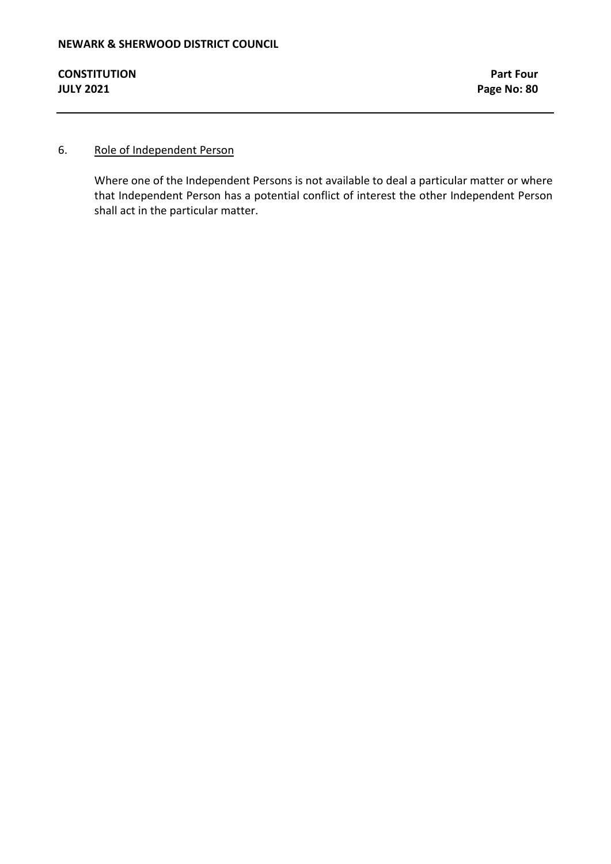## 6. Role of Independent Person

Where one of the Independent Persons is not available to deal a particular matter or where that Independent Person has a potential conflict of interest the other Independent Person shall act in the particular matter.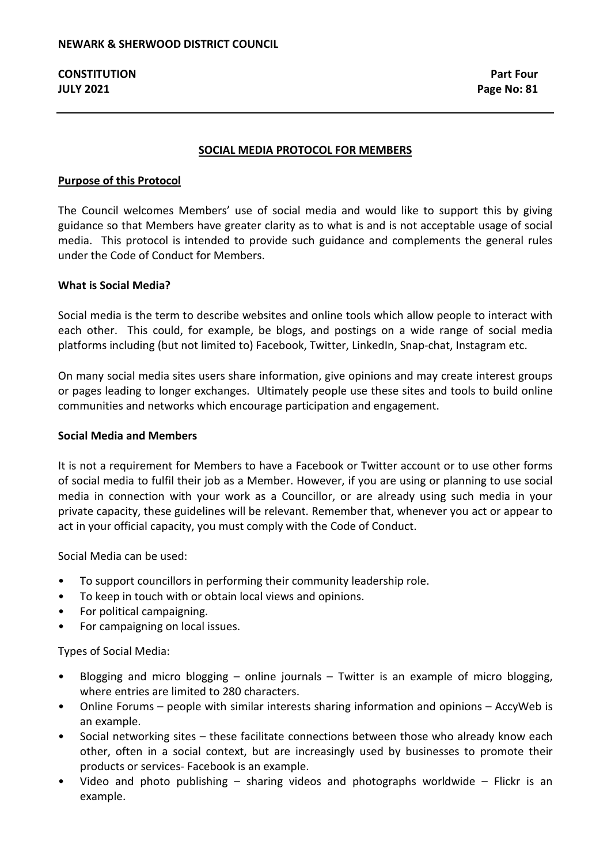#### **SOCIAL MEDIA PROTOCOL FOR MEMBERS**

#### **Purpose of this Protocol**

The Council welcomes Members' use of social media and would like to support this by giving guidance so that Members have greater clarity as to what is and is not acceptable usage of social media. This protocol is intended to provide such guidance and complements the general rules under the Code of Conduct for Members.

#### **What is Social Media?**

Social media is the term to describe websites and online tools which allow people to interact with each other. This could, for example, be blogs, and postings on a wide range of social media platforms including (but not limited to) Facebook, Twitter, LinkedIn, Snap-chat, Instagram etc.

On many social media sites users share information, give opinions and may create interest groups or pages leading to longer exchanges. Ultimately people use these sites and tools to build online communities and networks which encourage participation and engagement.

#### **Social Media and Members**

It is not a requirement for Members to have a Facebook or Twitter account or to use other forms of social media to fulfil their job as a Member. However, if you are using or planning to use social media in connection with your work as a Councillor, or are already using such media in your private capacity, these guidelines will be relevant. Remember that, whenever you act or appear to act in your official capacity, you must comply with the Code of Conduct.

Social Media can be used:

- To support councillors in performing their community leadership role.
- To keep in touch with or obtain local views and opinions.
- For political campaigning.
- For campaigning on local issues.

Types of Social Media:

- Blogging and micro blogging online journals Twitter is an example of micro blogging, where entries are limited to 280 characters.
- Online Forums people with similar interests sharing information and opinions AccyWeb is an example.
- Social networking sites these facilitate connections between those who already know each other, often in a social context, but are increasingly used by businesses to promote their products or services- Facebook is an example.
- Video and photo publishing sharing videos and photographs worldwide Flickr is an example.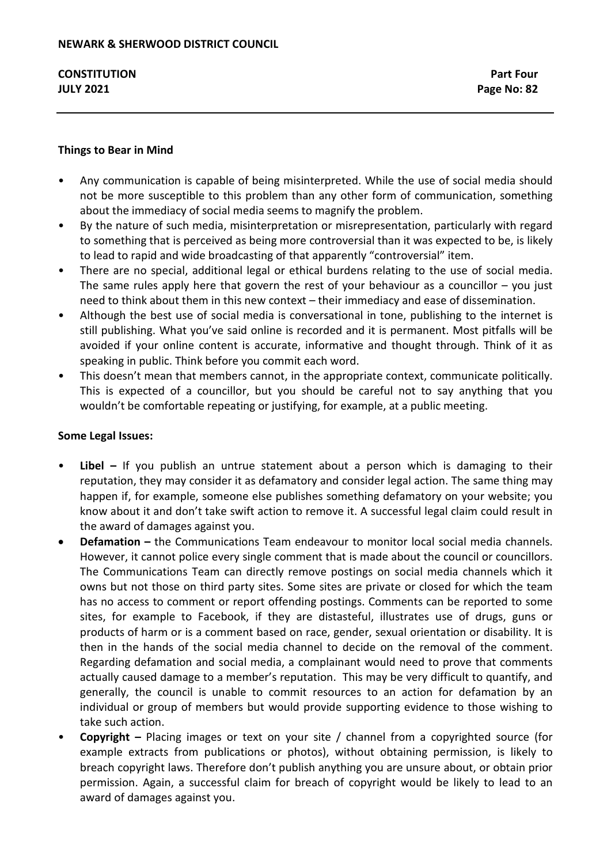## **Things to Bear in Mind**

- Any communication is capable of being misinterpreted. While the use of social media should not be more susceptible to this problem than any other form of communication, something about the immediacy of social media seems to magnify the problem.
- By the nature of such media, misinterpretation or misrepresentation, particularly with regard to something that is perceived as being more controversial than it was expected to be, is likely to lead to rapid and wide broadcasting of that apparently "controversial" item.
- There are no special, additional legal or ethical burdens relating to the use of social media. The same rules apply here that govern the rest of your behaviour as a councillor  $-$  you just need to think about them in this new context – their immediacy and ease of dissemination.
- Although the best use of social media is conversational in tone, publishing to the internet is still publishing. What you've said online is recorded and it is permanent. Most pitfalls will be avoided if your online content is accurate, informative and thought through. Think of it as speaking in public. Think before you commit each word.
- This doesn't mean that members cannot, in the appropriate context, communicate politically. This is expected of a councillor, but you should be careful not to say anything that you wouldn't be comfortable repeating or justifying, for example, at a public meeting.

## **Some Legal Issues:**

- **Libel –** If you publish an untrue statement about a person which is damaging to their reputation, they may consider it as defamatory and consider legal action. The same thing may happen if, for example, someone else publishes something defamatory on your website; you know about it and don't take swift action to remove it. A successful legal claim could result in the award of damages against you.
- **Defamation –** the Communications Team endeavour to monitor local social media channels. However, it cannot police every single comment that is made about the council or councillors. The Communications Team can directly remove postings on social media channels which it owns but not those on third party sites. Some sites are private or closed for which the team has no access to comment or report offending postings. Comments can be reported to some sites, for example to Facebook, if they are distasteful, illustrates use of drugs, guns or products of harm or is a comment based on race, gender, sexual orientation or disability. It is then in the hands of the social media channel to decide on the removal of the comment. Regarding defamation and social media, a complainant would need to prove that comments actually caused damage to a member's reputation. This may be very difficult to quantify, and generally, the council is unable to commit resources to an action for defamation by an individual or group of members but would provide supporting evidence to those wishing to take such action.
- **Copyright –** Placing images or text on your site / channel from a copyrighted source (for example extracts from publications or photos), without obtaining permission, is likely to breach copyright laws. Therefore don't publish anything you are unsure about, or obtain prior permission. Again, a successful claim for breach of copyright would be likely to lead to an award of damages against you.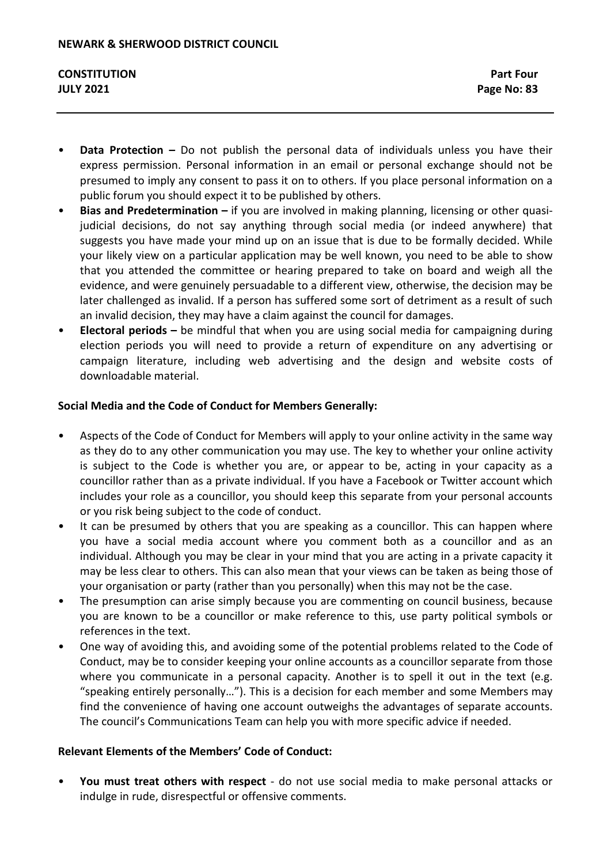- **Data Protection –** Do not publish the personal data of individuals unless you have their express permission. Personal information in an email or personal exchange should not be presumed to imply any consent to pass it on to others. If you place personal information on a public forum you should expect it to be published by others.
- **Bias and Predetermination –** if you are involved in making planning, licensing or other quasijudicial decisions, do not say anything through social media (or indeed anywhere) that suggests you have made your mind up on an issue that is due to be formally decided. While your likely view on a particular application may be well known, you need to be able to show that you attended the committee or hearing prepared to take on board and weigh all the evidence, and were genuinely persuadable to a different view, otherwise, the decision may be later challenged as invalid. If a person has suffered some sort of detriment as a result of such an invalid decision, they may have a claim against the council for damages.
- **Electoral periods –** be mindful that when you are using social media for campaigning during election periods you will need to provide a return of expenditure on any advertising or campaign literature, including web advertising and the design and website costs of downloadable material.

## **Social Media and the Code of Conduct for Members Generally:**

- Aspects of the Code of Conduct for Members will apply to your online activity in the same way as they do to any other communication you may use. The key to whether your online activity is subject to the Code is whether you are, or appear to be, acting in your capacity as a councillor rather than as a private individual. If you have a Facebook or Twitter account which includes your role as a councillor, you should keep this separate from your personal accounts or you risk being subject to the code of conduct.
- It can be presumed by others that you are speaking as a councillor. This can happen where you have a social media account where you comment both as a councillor and as an individual. Although you may be clear in your mind that you are acting in a private capacity it may be less clear to others. This can also mean that your views can be taken as being those of your organisation or party (rather than you personally) when this may not be the case.
- The presumption can arise simply because you are commenting on council business, because you are known to be a councillor or make reference to this, use party political symbols or references in the text.
- One way of avoiding this, and avoiding some of the potential problems related to the Code of Conduct, may be to consider keeping your online accounts as a councillor separate from those where you communicate in a personal capacity. Another is to spell it out in the text (e.g. "speaking entirely personally…"). This is a decision for each member and some Members may find the convenience of having one account outweighs the advantages of separate accounts. The council's Communications Team can help you with more specific advice if needed.

## **Relevant Elements of the Members' Code of Conduct:**

• **You must treat others with respect** - do not use social media to make personal attacks or indulge in rude, disrespectful or offensive comments.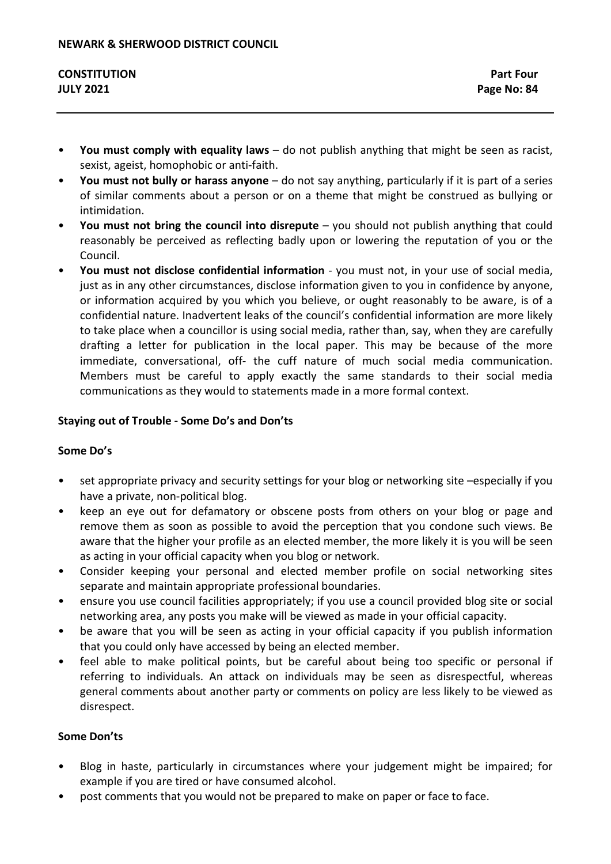- **You must comply with equality laws**  do not publish anything that might be seen as racist, sexist, ageist, homophobic or anti-faith.
- **You must not bully or harass anyone**  do not say anything, particularly if it is part of a series of similar comments about a person or on a theme that might be construed as bullying or intimidation.
- **You must not bring the council into disrepute**  you should not publish anything that could reasonably be perceived as reflecting badly upon or lowering the reputation of you or the Council.
- **You must not disclose confidential information**  you must not, in your use of social media, just as in any other circumstances, disclose information given to you in confidence by anyone, or information acquired by you which you believe, or ought reasonably to be aware, is of a confidential nature. Inadvertent leaks of the council's confidential information are more likely to take place when a councillor is using social media, rather than, say, when they are carefully drafting a letter for publication in the local paper. This may be because of the more immediate, conversational, off- the cuff nature of much social media communication. Members must be careful to apply exactly the same standards to their social media communications as they would to statements made in a more formal context.

## **Staying out of Trouble - Some Do's and Don'ts**

## **Some Do's**

- set appropriate privacy and security settings for your blog or networking site –especially if you have a private, non-political blog.
- keep an eye out for defamatory or obscene posts from others on your blog or page and remove them as soon as possible to avoid the perception that you condone such views. Be aware that the higher your profile as an elected member, the more likely it is you will be seen as acting in your official capacity when you blog or network.
- Consider keeping your personal and elected member profile on social networking sites separate and maintain appropriate professional boundaries.
- ensure you use council facilities appropriately; if you use a council provided blog site or social networking area, any posts you make will be viewed as made in your official capacity.
- be aware that you will be seen as acting in your official capacity if you publish information that you could only have accessed by being an elected member.
- feel able to make political points, but be careful about being too specific or personal if referring to individuals. An attack on individuals may be seen as disrespectful, whereas general comments about another party or comments on policy are less likely to be viewed as disrespect.

## **Some Don'ts**

- Blog in haste, particularly in circumstances where your judgement might be impaired; for example if you are tired or have consumed alcohol.
- post comments that you would not be prepared to make on paper or face to face.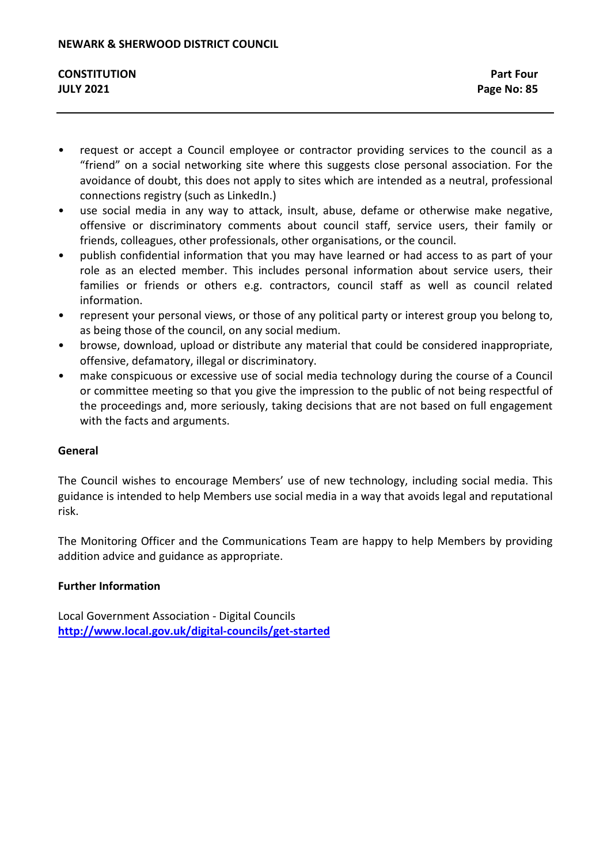- request or accept a Council employee or contractor providing services to the council as a "friend" on a social networking site where this suggests close personal association. For the avoidance of doubt, this does not apply to sites which are intended as a neutral, professional connections registry (such as LinkedIn.)
- use social media in any way to attack, insult, abuse, defame or otherwise make negative, offensive or discriminatory comments about council staff, service users, their family or friends, colleagues, other professionals, other organisations, or the council.
- publish confidential information that you may have learned or had access to as part of your role as an elected member. This includes personal information about service users, their families or friends or others e.g. contractors, council staff as well as council related information.
- represent your personal views, or those of any political party or interest group you belong to, as being those of the council, on any social medium.
- browse, download, upload or distribute any material that could be considered inappropriate, offensive, defamatory, illegal or discriminatory.
- make conspicuous or excessive use of social media technology during the course of a Council or committee meeting so that you give the impression to the public of not being respectful of the proceedings and, more seriously, taking decisions that are not based on full engagement with the facts and arguments.

## **General**

The Council wishes to encourage Members' use of new technology, including social media. This guidance is intended to help Members use social media in a way that avoids legal and reputational risk.

The Monitoring Officer and the Communications Team are happy to help Members by providing addition advice and guidance as appropriate.

## **Further Information**

Local Government Association - Digital Councils **<http://www.local.gov.uk/digital-councils/get-started>**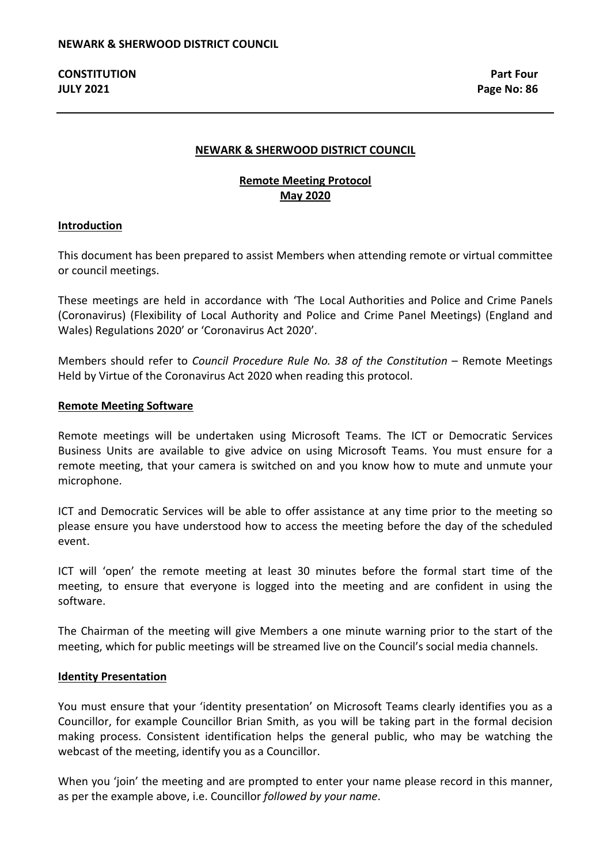#### **NEWARK & SHERWOOD DISTRICT COUNCIL**

## **Remote Meeting Protocol May 2020**

#### **Introduction**

This document has been prepared to assist Members when attending remote or virtual committee or council meetings.

These meetings are held in accordance with 'The Local Authorities and Police and Crime Panels (Coronavirus) (Flexibility of Local Authority and Police and Crime Panel Meetings) (England and Wales) Regulations 2020' or 'Coronavirus Act 2020'.

Members should refer to *Council Procedure Rule No. 38 of the Constitution* – Remote Meetings Held by Virtue of the Coronavirus Act 2020 when reading this protocol.

#### **Remote Meeting Software**

Remote meetings will be undertaken using Microsoft Teams. The ICT or Democratic Services Business Units are available to give advice on using Microsoft Teams. You must ensure for a remote meeting, that your camera is switched on and you know how to mute and unmute your microphone.

ICT and Democratic Services will be able to offer assistance at any time prior to the meeting so please ensure you have understood how to access the meeting before the day of the scheduled event.

ICT will 'open' the remote meeting at least 30 minutes before the formal start time of the meeting, to ensure that everyone is logged into the meeting and are confident in using the software.

The Chairman of the meeting will give Members a one minute warning prior to the start of the meeting, which for public meetings will be streamed live on the Council's social media channels.

#### **Identity Presentation**

You must ensure that your 'identity presentation' on Microsoft Teams clearly identifies you as a Councillor, for example Councillor Brian Smith, as you will be taking part in the formal decision making process. Consistent identification helps the general public, who may be watching the webcast of the meeting, identify you as a Councillor.

When you 'join' the meeting and are prompted to enter your name please record in this manner, as per the example above, i.e. Councillor *followed by your name*.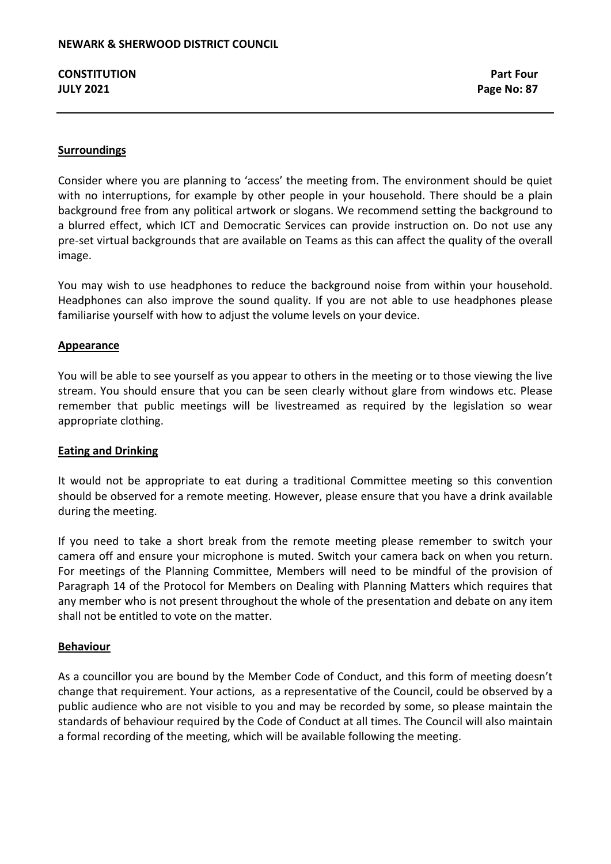## **Surroundings**

Consider where you are planning to 'access' the meeting from. The environment should be quiet with no interruptions, for example by other people in your household. There should be a plain background free from any political artwork or slogans. We recommend setting the background to a blurred effect, which ICT and Democratic Services can provide instruction on. Do not use any pre-set virtual backgrounds that are available on Teams as this can affect the quality of the overall image.

You may wish to use headphones to reduce the background noise from within your household. Headphones can also improve the sound quality. If you are not able to use headphones please familiarise yourself with how to adjust the volume levels on your device.

## **Appearance**

You will be able to see yourself as you appear to others in the meeting or to those viewing the live stream. You should ensure that you can be seen clearly without glare from windows etc. Please remember that public meetings will be livestreamed as required by the legislation so wear appropriate clothing.

## **Eating and Drinking**

It would not be appropriate to eat during a traditional Committee meeting so this convention should be observed for a remote meeting. However, please ensure that you have a drink available during the meeting.

If you need to take a short break from the remote meeting please remember to switch your camera off and ensure your microphone is muted. Switch your camera back on when you return. For meetings of the Planning Committee, Members will need to be mindful of the provision of Paragraph 14 of the Protocol for Members on Dealing with Planning Matters which requires that any member who is not present throughout the whole of the presentation and debate on any item shall not be entitled to vote on the matter.

## **Behaviour**

As a councillor you are bound by the Member Code of Conduct, and this form of meeting doesn't change that requirement. Your actions, as a representative of the Council, could be observed by a public audience who are not visible to you and may be recorded by some, so please maintain the standards of behaviour required by the Code of Conduct at all times. The Council will also maintain a formal recording of the meeting, which will be available following the meeting.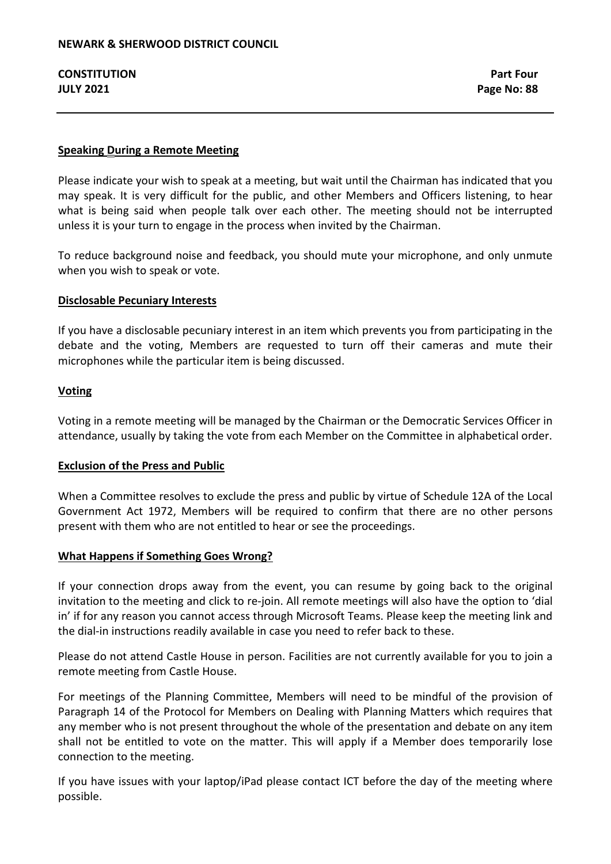## **Speaking During a Remote Meeting**

Please indicate your wish to speak at a meeting, but wait until the Chairman has indicated that you may speak. It is very difficult for the public, and other Members and Officers listening, to hear what is being said when people talk over each other. The meeting should not be interrupted unless it is your turn to engage in the process when invited by the Chairman.

To reduce background noise and feedback, you should mute your microphone, and only unmute when you wish to speak or vote.

#### **Disclosable Pecuniary Interests**

If you have a disclosable pecuniary interest in an item which prevents you from participating in the debate and the voting, Members are requested to turn off their cameras and mute their microphones while the particular item is being discussed.

#### **Voting**

Voting in a remote meeting will be managed by the Chairman or the Democratic Services Officer in attendance, usually by taking the vote from each Member on the Committee in alphabetical order.

## **Exclusion of the Press and Public**

When a Committee resolves to exclude the press and public by virtue of Schedule 12A of the Local Government Act 1972, Members will be required to confirm that there are no other persons present with them who are not entitled to hear or see the proceedings.

#### **What Happens if Something Goes Wrong?**

If your connection drops away from the event, you can resume by going back to the original invitation to the meeting and click to re-join. All remote meetings will also have the option to 'dial in' if for any reason you cannot access through Microsoft Teams. Please keep the meeting link and the dial-in instructions readily available in case you need to refer back to these.

Please do not attend Castle House in person. Facilities are not currently available for you to join a remote meeting from Castle House.

For meetings of the Planning Committee, Members will need to be mindful of the provision of Paragraph 14 of the Protocol for Members on Dealing with Planning Matters which requires that any member who is not present throughout the whole of the presentation and debate on any item shall not be entitled to vote on the matter. This will apply if a Member does temporarily lose connection to the meeting.

If you have issues with your laptop/iPad please contact ICT before the day of the meeting where possible.